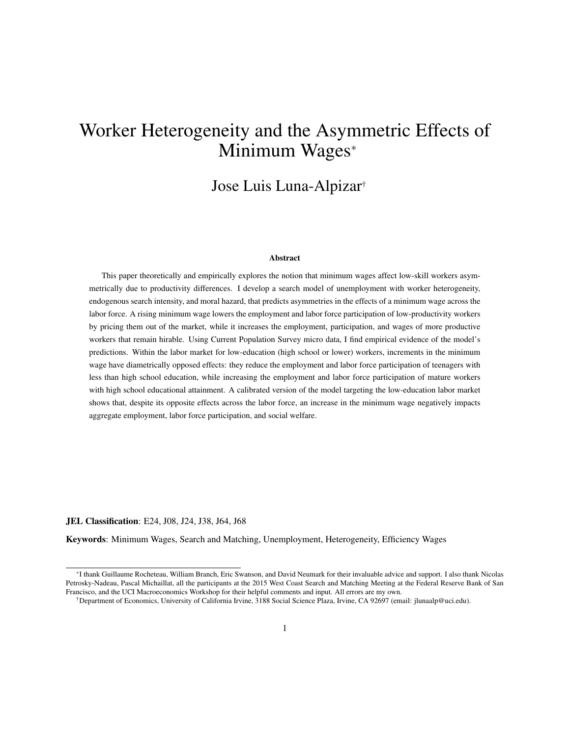# Worker Heterogeneity and the Asymmetric Effects of Minimum Wages<sup>∗</sup>

## Jose Luis Luna-Alpizar†

#### Abstract

This paper theoretically and empirically explores the notion that minimum wages affect low-skill workers asymmetrically due to productivity differences. I develop a search model of unemployment with worker heterogeneity, endogenous search intensity, and moral hazard, that predicts asymmetries in the effects of a minimum wage across the labor force. A rising minimum wage lowers the employment and labor force participation of low-productivity workers by pricing them out of the market, while it increases the employment, participation, and wages of more productive workers that remain hirable. Using Current Population Survey micro data, I find empirical evidence of the model's predictions. Within the labor market for low-education (high school or lower) workers, increments in the minimum wage have diametrically opposed effects: they reduce the employment and labor force participation of teenagers with less than high school education, while increasing the employment and labor force participation of mature workers with high school educational attainment. A calibrated version of the model targeting the low-education labor market shows that, despite its opposite effects across the labor force, an increase in the minimum wage negatively impacts aggregate employment, labor force participation, and social welfare.

JEL Classification: E24, J08, J24, J38, J64, J68

Keywords: Minimum Wages, Search and Matching, Unemployment, Heterogeneity, Efficiency Wages

<sup>∗</sup> I thank Guillaume Rocheteau, William Branch, Eric Swanson, and David Neumark for their invaluable advice and support. I also thank Nicolas Petrosky-Nadeau, Pascal Michaillat, all the participants at the 2015 West Coast Search and Matching Meeting at the Federal Reserve Bank of San Francisco, and the UCI Macroeconomics Workshop for their helpful comments and input. All errors are my own.

<sup>†</sup>Department of Economics, University of California Irvine, 3188 Social Science Plaza, Irvine, CA 92697 (email: jlunaalp@uci.edu).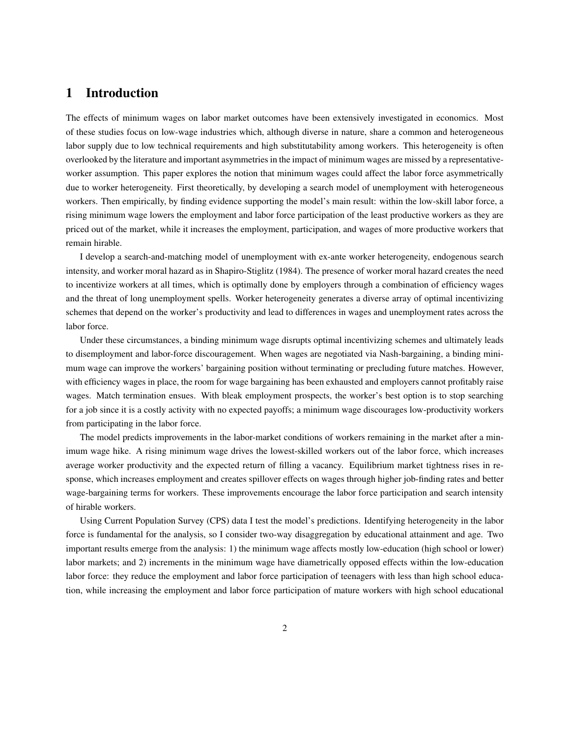## 1 Introduction

The effects of minimum wages on labor market outcomes have been extensively investigated in economics. Most of these studies focus on low-wage industries which, although diverse in nature, share a common and heterogeneous labor supply due to low technical requirements and high substitutability among workers. This heterogeneity is often overlooked by the literature and important asymmetries in the impact of minimum wages are missed by a representativeworker assumption. This paper explores the notion that minimum wages could affect the labor force asymmetrically due to worker heterogeneity. First theoretically, by developing a search model of unemployment with heterogeneous workers. Then empirically, by finding evidence supporting the model's main result: within the low-skill labor force, a rising minimum wage lowers the employment and labor force participation of the least productive workers as they are priced out of the market, while it increases the employment, participation, and wages of more productive workers that remain hirable.

I develop a search-and-matching model of unemployment with ex-ante worker heterogeneity, endogenous search intensity, and worker moral hazard as in Shapiro-Stiglitz (1984). The presence of worker moral hazard creates the need to incentivize workers at all times, which is optimally done by employers through a combination of efficiency wages and the threat of long unemployment spells. Worker heterogeneity generates a diverse array of optimal incentivizing schemes that depend on the worker's productivity and lead to differences in wages and unemployment rates across the labor force.

Under these circumstances, a binding minimum wage disrupts optimal incentivizing schemes and ultimately leads to disemployment and labor-force discouragement. When wages are negotiated via Nash-bargaining, a binding minimum wage can improve the workers' bargaining position without terminating or precluding future matches. However, with efficiency wages in place, the room for wage bargaining has been exhausted and employers cannot profitably raise wages. Match termination ensues. With bleak employment prospects, the worker's best option is to stop searching for a job since it is a costly activity with no expected payoffs; a minimum wage discourages low-productivity workers from participating in the labor force.

The model predicts improvements in the labor-market conditions of workers remaining in the market after a minimum wage hike. A rising minimum wage drives the lowest-skilled workers out of the labor force, which increases average worker productivity and the expected return of filling a vacancy. Equilibrium market tightness rises in response, which increases employment and creates spillover effects on wages through higher job-finding rates and better wage-bargaining terms for workers. These improvements encourage the labor force participation and search intensity of hirable workers.

Using Current Population Survey (CPS) data I test the model's predictions. Identifying heterogeneity in the labor force is fundamental for the analysis, so I consider two-way disaggregation by educational attainment and age. Two important results emerge from the analysis: 1) the minimum wage affects mostly low-education (high school or lower) labor markets; and 2) increments in the minimum wage have diametrically opposed effects within the low-education labor force: they reduce the employment and labor force participation of teenagers with less than high school education, while increasing the employment and labor force participation of mature workers with high school educational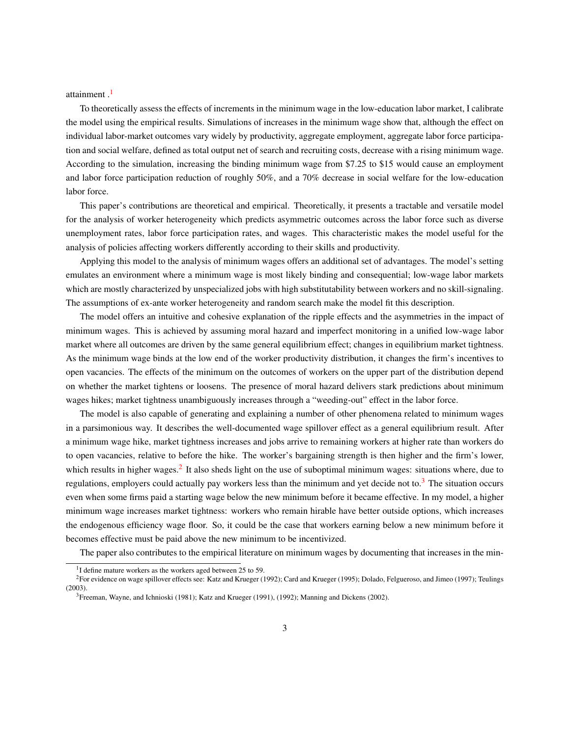attainment.<sup>[1](#page-2-0)</sup>

To theoretically assess the effects of increments in the minimum wage in the low-education labor market, I calibrate the model using the empirical results. Simulations of increases in the minimum wage show that, although the effect on individual labor-market outcomes vary widely by productivity, aggregate employment, aggregate labor force participation and social welfare, defined as total output net of search and recruiting costs, decrease with a rising minimum wage. According to the simulation, increasing the binding minimum wage from \$7.25 to \$15 would cause an employment and labor force participation reduction of roughly 50%, and a 70% decrease in social welfare for the low-education labor force.

This paper's contributions are theoretical and empirical. Theoretically, it presents a tractable and versatile model for the analysis of worker heterogeneity which predicts asymmetric outcomes across the labor force such as diverse unemployment rates, labor force participation rates, and wages. This characteristic makes the model useful for the analysis of policies affecting workers differently according to their skills and productivity.

Applying this model to the analysis of minimum wages offers an additional set of advantages. The model's setting emulates an environment where a minimum wage is most likely binding and consequential; low-wage labor markets which are mostly characterized by unspecialized jobs with high substitutability between workers and no skill-signaling. The assumptions of ex-ante worker heterogeneity and random search make the model fit this description.

The model offers an intuitive and cohesive explanation of the ripple effects and the asymmetries in the impact of minimum wages. This is achieved by assuming moral hazard and imperfect monitoring in a unified low-wage labor market where all outcomes are driven by the same general equilibrium effect; changes in equilibrium market tightness. As the minimum wage binds at the low end of the worker productivity distribution, it changes the firm's incentives to open vacancies. The effects of the minimum on the outcomes of workers on the upper part of the distribution depend on whether the market tightens or loosens. The presence of moral hazard delivers stark predictions about minimum wages hikes; market tightness unambiguously increases through a "weeding-out" effect in the labor force.

The model is also capable of generating and explaining a number of other phenomena related to minimum wages in a parsimonious way. It describes the well-documented wage spillover effect as a general equilibrium result. After a minimum wage hike, market tightness increases and jobs arrive to remaining workers at higher rate than workers do to open vacancies, relative to before the hike. The worker's bargaining strength is then higher and the firm's lower, which results in higher wages.<sup>[2](#page-2-1)</sup> It also sheds light on the use of suboptimal minimum wages: situations where, due to regulations, employers could actually pay workers less than the minimum and yet decide not to.<sup>[3](#page-2-2)</sup> The situation occurs even when some firms paid a starting wage below the new minimum before it became effective. In my model, a higher minimum wage increases market tightness: workers who remain hirable have better outside options, which increases the endogenous efficiency wage floor. So, it could be the case that workers earning below a new minimum before it becomes effective must be paid above the new minimum to be incentivized.

The paper also contributes to the empirical literature on minimum wages by documenting that increases in the min-

<span id="page-2-1"></span><span id="page-2-0"></span><sup>&</sup>lt;sup>1</sup>I define mature workers as the workers aged between 25 to 59.

<sup>2</sup>For evidence on wage spillover effects see: Katz and Krueger (1992); Card and Krueger (1995); Dolado, Felgueroso, and Jimeo (1997); Teulings (2003).

<span id="page-2-2"></span> ${}^{3}$ Freeman, Wayne, and Ichnioski (1981); Katz and Krueger (1991), (1992); Manning and Dickens (2002).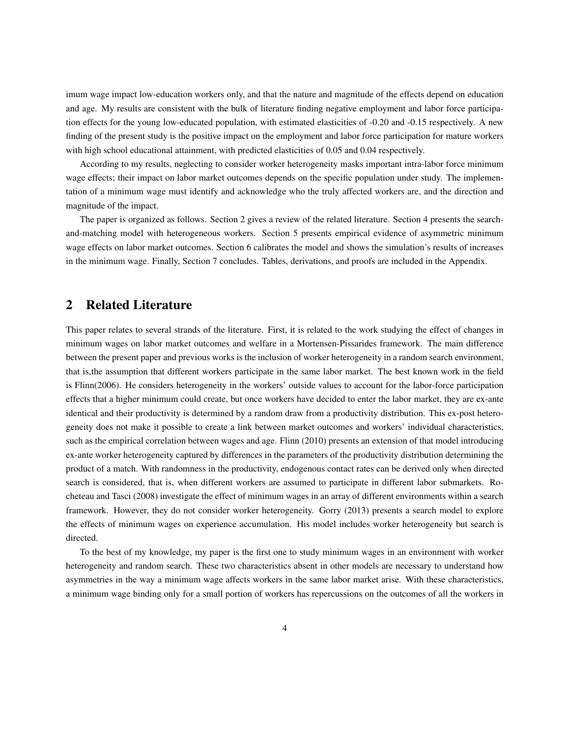imum wage impact low-education workers only, and that the nature and magnitude of the effects depend on education and age. My results are consistent with the bulk of literature finding negative employment and labor force participation effects for the young low-educated population, with estimated elasticities of -0.20 and -0.15 respectively. A new finding of the present study is the positive impact on the employment and labor force participation for mature workers with high school educational attainment, with predicted elasticities of 0.05 and 0.04 respectively.

According to my results, neglecting to consider worker heterogeneity masks important intra-labor force minimum wage effects; their impact on labor market outcomes depends on the specific population under study. The implementation of a minimum wage must identify and acknowledge who the truly affected workers are, and the direction and magnitude of the impact.

The paper is organized as follows. Section 2 gives a review of the related literature. Section 4 presents the searchand-matching model with heterogeneous workers. Section 5 presents empirical evidence of asymmetric minimum wage effects on labor market outcomes. Section 6 calibrates the model and shows the simulation's results of increases in the minimum wage. Finally, Section 7 concludes. Tables, derivations, and proofs are included in the Appendix.

## 2 Related Literature

This paper relates to several strands of the literature. First, it is related to the work studying the effect of changes in minimum wages on labor market outcomes and welfare in a Mortensen-Pissarides framework. The main difference between the present paper and previous works is the inclusion of worker heterogeneity in a random search environment, that is,the assumption that different workers participate in the same labor market. The best known work in the field is Flinn(2006). He considers heterogeneity in the workers' outside values to account for the labor-force participation effects that a higher minimum could create, but once workers have decided to enter the labor market, they are ex-ante identical and their productivity is determined by a random draw from a productivity distribution. This ex-post heterogeneity does not make it possible to create a link between market outcomes and workers' individual characteristics, such as the empirical correlation between wages and age. Flinn (2010) presents an extension of that model introducing ex-ante worker heterogeneity captured by differences in the parameters of the productivity distribution determining the product of a match. With randomness in the productivity, endogenous contact rates can be derived only when directed search is considered, that is, when different workers are assumed to participate in different labor submarkets. Rocheteau and Tasci (2008) investigate the effect of minimum wages in an array of different environments within a search framework. However, they do not consider worker heterogeneity. Gorry (2013) presents a search model to explore the effects of minimum wages on experience accumulation. His model includes worker heterogeneity but search is directed.

To the best of my knowledge, my paper is the first one to study minimum wages in an environment with worker heterogeneity and random search. These two characteristics absent in other models are necessary to understand how asymmetries in the way a minimum wage affects workers in the same labor market arise. With these characteristics, a minimum wage binding only for a small portion of workers has repercussions on the outcomes of all the workers in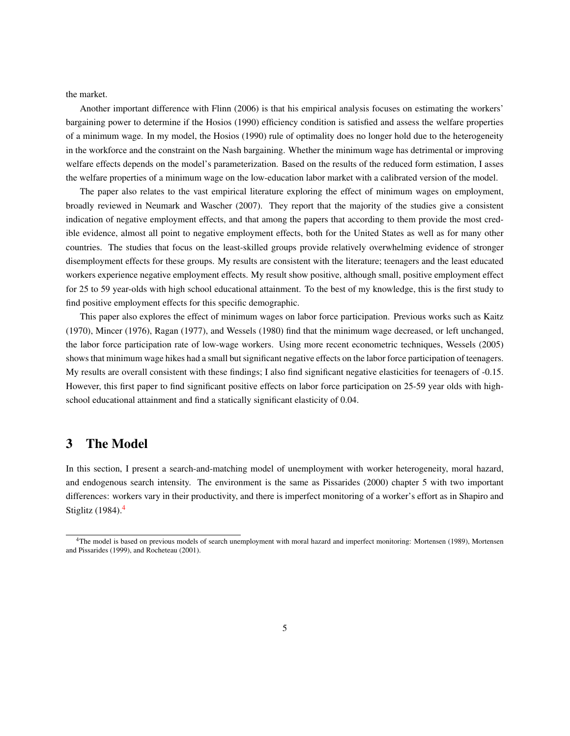the market.

Another important difference with Flinn (2006) is that his empirical analysis focuses on estimating the workers' bargaining power to determine if the Hosios (1990) efficiency condition is satisfied and assess the welfare properties of a minimum wage. In my model, the Hosios (1990) rule of optimality does no longer hold due to the heterogeneity in the workforce and the constraint on the Nash bargaining. Whether the minimum wage has detrimental or improving welfare effects depends on the model's parameterization. Based on the results of the reduced form estimation, I asses the welfare properties of a minimum wage on the low-education labor market with a calibrated version of the model.

The paper also relates to the vast empirical literature exploring the effect of minimum wages on employment, broadly reviewed in Neumark and Wascher (2007). They report that the majority of the studies give a consistent indication of negative employment effects, and that among the papers that according to them provide the most credible evidence, almost all point to negative employment effects, both for the United States as well as for many other countries. The studies that focus on the least-skilled groups provide relatively overwhelming evidence of stronger disemployment effects for these groups. My results are consistent with the literature; teenagers and the least educated workers experience negative employment effects. My result show positive, although small, positive employment effect for 25 to 59 year-olds with high school educational attainment. To the best of my knowledge, this is the first study to find positive employment effects for this specific demographic.

This paper also explores the effect of minimum wages on labor force participation. Previous works such as Kaitz (1970), Mincer (1976), Ragan (1977), and Wessels (1980) find that the minimum wage decreased, or left unchanged, the labor force participation rate of low-wage workers. Using more recent econometric techniques, Wessels (2005) shows that minimum wage hikes had a small but significant negative effects on the labor force participation of teenagers. My results are overall consistent with these findings; I also find significant negative elasticities for teenagers of -0.15. However, this first paper to find significant positive effects on labor force participation on 25-59 year olds with highschool educational attainment and find a statically significant elasticity of 0.04.

## 3 The Model

In this section, I present a search-and-matching model of unemployment with worker heterogeneity, moral hazard, and endogenous search intensity. The environment is the same as Pissarides (2000) chapter 5 with two important differences: workers vary in their productivity, and there is imperfect monitoring of a worker's effort as in Shapiro and Stiglitz  $(1984)$  $(1984)$  $(1984)$ .<sup>4</sup>

<span id="page-4-0"></span><sup>4</sup>The model is based on previous models of search unemployment with moral hazard and imperfect monitoring: Mortensen (1989), Mortensen and Pissarides (1999), and Rocheteau (2001).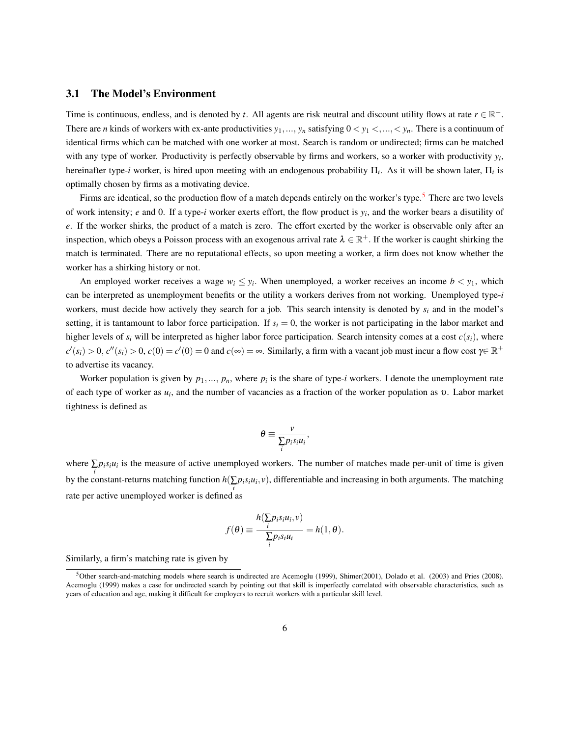#### 3.1 The Model's Environment

Time is continuous, endless, and is denoted by *t*. All agents are risk neutral and discount utility flows at rate  $r \in \mathbb{R}^+$ . There are *n* kinds of workers with ex-ante productivities  $y_1, ..., y_n$  satisfying  $0 < y_1 < ..., < y_n$ . There is a continuum of identical firms which can be matched with one worker at most. Search is random or undirected; firms can be matched with any type of worker. Productivity is perfectly observable by firms and workers, so a worker with productivity *y<sup>i</sup>* , hereinafter type-*i* worker, is hired upon meeting with an endogenous probability Π*<sup>i</sup>* . As it will be shown later, Π*<sup>i</sup>* is optimally chosen by firms as a motivating device.

Firms are identical, so the production flow of a match depends entirely on the worker's type.<sup>[5](#page-5-0)</sup> There are two levels of work intensity; *e* and 0. If a type-*i* worker exerts effort, the flow product is *y<sup>i</sup>* , and the worker bears a disutility of *e*. If the worker shirks, the product of a match is zero. The effort exerted by the worker is observable only after an inspection, which obeys a Poisson process with an exogenous arrival rate  $\lambda \in \mathbb{R}^+$ . If the worker is caught shirking the match is terminated. There are no reputational effects, so upon meeting a worker, a firm does not know whether the worker has a shirking history or not.

An employed worker receives a wage  $w_i \leq y_i$ . When unemployed, a worker receives an income  $b < y_1$ , which can be interpreted as unemployment benefits or the utility a workers derives from not working. Unemployed type-*i* workers, must decide how actively they search for a job. This search intensity is denoted by *s<sup>i</sup>* and in the model's setting, it is tantamount to labor force participation. If  $s_i = 0$ , the worker is not participating in the labor market and higher levels of  $s_i$  will be interpreted as higher labor force participation. Search intensity comes at a cost  $c(s_i)$ , where  $c'(s_i) > 0$ ,  $c''(s_i) > 0$ ,  $c(0) = c'(0) = 0$  and  $c(\infty) = \infty$ . Similarly, a firm with a vacant job must incur a flow cost  $\gamma \in \mathbb{R}^+$ to advertise its vacancy.

Worker population is given by  $p_1, ..., p_n$ , where  $p_i$  is the share of type-*i* workers. I denote the unemployment rate of each type of worker as *u<sup>i</sup>* , and the number of vacancies as a fraction of the worker population as υ. Labor market tightness is defined as

$$
\theta \equiv \frac{v}{\sum_{i} p_i s_i u_i},
$$

where  $\sum p_i s_i u_i$  is the measure of active unemployed workers. The number of matches made per-unit of time is given *i*by the constant-returns matching function  $h(∑p_i s_i u_i, v)$ , differentiable and increasing in both arguments. The matching *i* rate per active unemployed worker is defined as

$$
f(\theta) \equiv \frac{h(\sum p_i s_i u_i, v)}{\sum_i p_i s_i u_i} = h(1, \theta).
$$

Similarly, a firm's matching rate is given by

<span id="page-5-0"></span><sup>&</sup>lt;sup>5</sup>Other search-and-matching models where search is undirected are Acemoglu (1999), Shimer(2001), Dolado et al. (2003) and Pries (2008). Acemoglu (1999) makes a case for undirected search by pointing out that skill is imperfectly correlated with observable characteristics, such as years of education and age, making it difficult for employers to recruit workers with a particular skill level.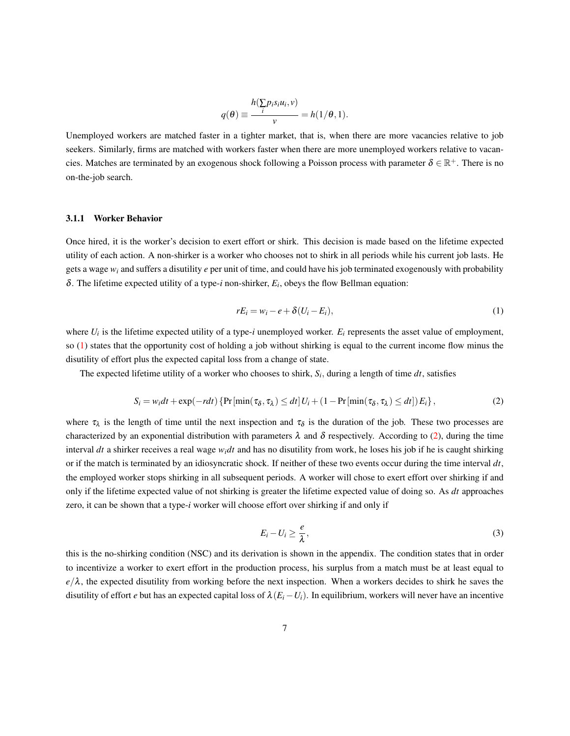$$
q(\theta) \equiv \frac{h(\sum p_i s_i u_i, v)}{v} = h(1/\theta, 1).
$$

Unemployed workers are matched faster in a tighter market, that is, when there are more vacancies relative to job seekers. Similarly, firms are matched with workers faster when there are more unemployed workers relative to vacancies. Matches are terminated by an exogenous shock following a Poisson process with parameter  $\delta \in \mathbb{R}^+$ . There is no on-the-job search.

#### 3.1.1 Worker Behavior

Once hired, it is the worker's decision to exert effort or shirk. This decision is made based on the lifetime expected utility of each action. A non-shirker is a worker who chooses not to shirk in all periods while his current job lasts. He gets a wage *w<sup>i</sup>* and suffers a disutility *e* per unit of time, and could have his job terminated exogenously with probability  $\delta$ . The lifetime expected utility of a type-*i* non-shirker,  $E_i$ , obeys the flow Bellman equation:

<span id="page-6-0"></span>
$$
rE_i = w_i - e + \delta(U_i - E_i), \tag{1}
$$

where  $U_i$  is the lifetime expected utility of a type-*i* unemployed worker.  $E_i$  represents the asset value of employment, so  $(1)$  states that the opportunity cost of holding a job without shirking is equal to the current income flow minus the disutility of effort plus the expected capital loss from a change of state.

The expected lifetime utility of a worker who chooses to shirk, *S<sup>i</sup>* , during a length of time *dt*, satisfies

<span id="page-6-1"></span>
$$
S_i = w_i dt + \exp(-r dt) \left\{ \Pr\left[\min(\tau_\delta, \tau_\lambda) \le dt \right] U_i + (1 - \Pr\left[\min(\tau_\delta, \tau_\lambda) \le dt\right] \right\},\tag{2}
$$

where  $\tau_{\lambda}$  is the length of time until the next inspection and  $\tau_{\delta}$  is the duration of the job. These two processes are characterized by an exponential distribution with parameters  $\lambda$  and  $\delta$  respectively. According to [\(2\)](#page-6-1), during the time interval *dt* a shirker receives a real wage *widt* and has no disutility from work, he loses his job if he is caught shirking or if the match is terminated by an idiosyncratic shock. If neither of these two events occur during the time interval  $dt$ , the employed worker stops shirking in all subsequent periods. A worker will chose to exert effort over shirking if and only if the lifetime expected value of not shirking is greater the lifetime expected value of doing so. As *dt* approaches zero, it can be shown that a type-*i* worker will choose effort over shirking if and only if

<span id="page-6-2"></span>
$$
E_i - U_i \ge \frac{e}{\lambda},\tag{3}
$$

this is the no-shirking condition (NSC) and its derivation is shown in the appendix. The condition states that in order to incentivize a worker to exert effort in the production process, his surplus from a match must be at least equal to  $e/\lambda$ , the expected disutility from working before the next inspection. When a workers decides to shirk he saves the disutility of effort *e* but has an expected capital loss of  $\lambda(E_i - U_i)$ . In equilibrium, workers will never have an incentive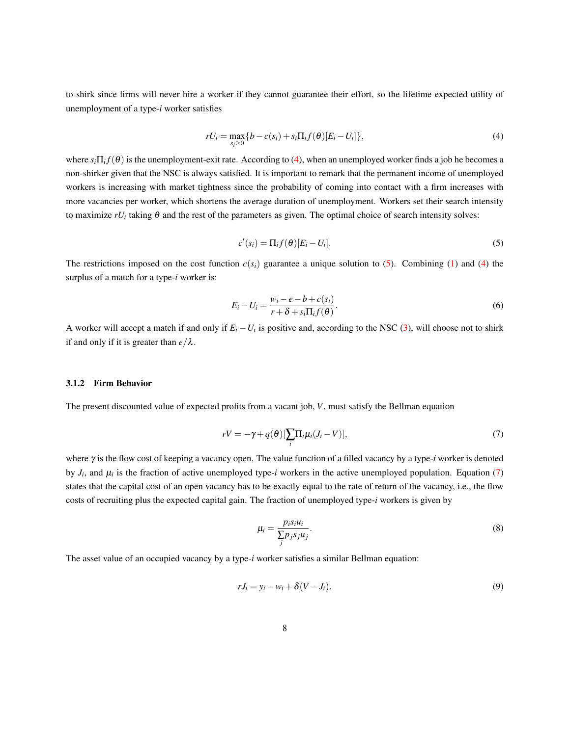to shirk since firms will never hire a worker if they cannot guarantee their effort, so the lifetime expected utility of unemployment of a type-*i* worker satisfies

<span id="page-7-0"></span>
$$
rU_i = \max_{s_i \ge 0} \{b - c(s_i) + s_i \Pi_i f(\boldsymbol{\theta}) [E_i - U_i] \},\tag{4}
$$

where  $s_i\Pi_i f(\theta)$  is the unemployment-exit rate. According to [\(4\)](#page-7-0), when an unemployed worker finds a job he becomes a non-shirker given that the NSC is always satisfied. It is important to remark that the permanent income of unemployed workers is increasing with market tightness since the probability of coming into contact with a firm increases with more vacancies per worker, which shortens the average duration of unemployment. Workers set their search intensity to maximize  $rU_i$  taking  $\theta$  and the rest of the parameters as given. The optimal choice of search intensity solves:

<span id="page-7-1"></span>
$$
c'(s_i) = \Pi_i f(\theta)[E_i - U_i].
$$
\n(5)

The restrictions imposed on the cost function  $c(s_i)$  guarantee a unique solution to [\(5\)](#page-7-1). Combining [\(1\)](#page-6-0) and [\(4\)](#page-7-0) the surplus of a match for a type-*i* worker is:

<span id="page-7-3"></span>
$$
E_i - U_i = \frac{w_i - e - b + c(s_i)}{r + \delta + s_i \Pi_i f(\theta)}.
$$
\n<sup>(6)</sup>

A worker will accept a match if and only if *E<sup>i</sup>* −*U<sup>i</sup>* is positive and, according to the NSC [\(3\)](#page-6-2), will choose not to shirk if and only if it is greater than  $e/\lambda$ .

#### 3.1.2 Firm Behavior

The present discounted value of expected profits from a vacant job, *V*, must satisfy the Bellman equation

<span id="page-7-2"></span>
$$
rV = -\gamma + q(\theta)[\sum_{i} \Pi_{i} \mu_{i} (J_{i} - V)], \qquad (7)
$$

where γ is the flow cost of keeping a vacancy open. The value function of a filled vacancy by a type-*i* worker is denoted by  $J_i$ , and  $\mu_i$  is the fraction of active unemployed type-*i* workers in the active unemployed population. Equation [\(7\)](#page-7-2) states that the capital cost of an open vacancy has to be exactly equal to the rate of return of the vacancy, i.e., the flow costs of recruiting plus the expected capital gain. The fraction of unemployed type-*i* workers is given by

<span id="page-7-5"></span>
$$
\mu_i = \frac{p_i s_i u_i}{\sum_j p_j s_j u_j}.\tag{8}
$$

The asset value of an occupied vacancy by a type-*i* worker satisfies a similar Bellman equation:

<span id="page-7-4"></span>
$$
rJ_i = y_i - w_i + \delta(V - J_i). \tag{9}
$$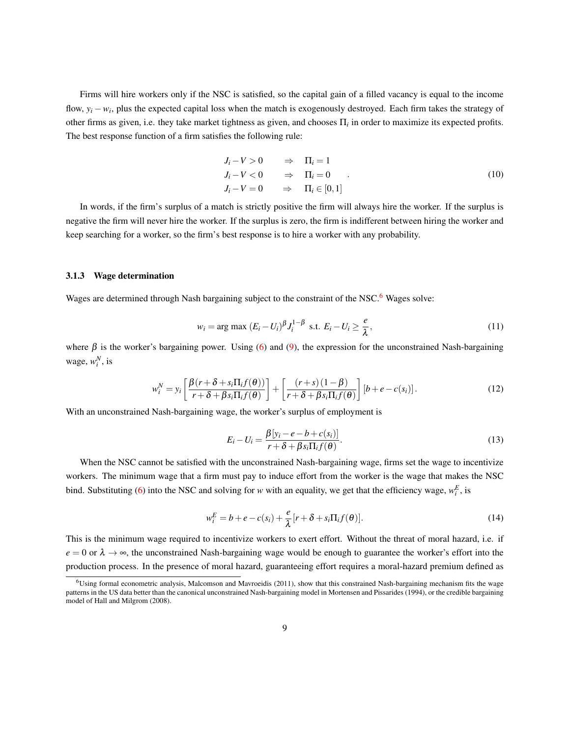Firms will hire workers only if the NSC is satisfied, so the capital gain of a filled vacancy is equal to the income flow,  $y_i - w_i$ , plus the expected capital loss when the match is exogenously destroyed. Each firm takes the strategy of other firms as given, i.e. they take market tightness as given, and chooses  $\Pi_i$  in order to maximize its expected profits. The best response function of a firm satisfies the following rule:

<span id="page-8-3"></span>
$$
J_i - V > 0 \Rightarrow \Pi_i = 1
$$
  
\n
$$
J_i - V < 0 \Rightarrow \Pi_i = 0
$$
  
\n
$$
J_i - V = 0 \Rightarrow \Pi_i \in [0, 1]
$$
 (10)

In words, if the firm's surplus of a match is strictly positive the firm will always hire the worker. If the surplus is negative the firm will never hire the worker. If the surplus is zero, the firm is indifferent between hiring the worker and keep searching for a worker, so the firm's best response is to hire a worker with any probability.

#### 3.1.3 Wage determination

Wages are determined through Nash bargaining subject to the constraint of the NSC.<sup>[6](#page-8-0)</sup> Wages solve:

<span id="page-8-2"></span>
$$
w_i = \arg \max \left( E_i - U_i \right) \beta J_i^{1-\beta} \text{ s.t. } E_i - U_i \ge \frac{e}{\lambda}, \tag{11}
$$

where  $\beta$  is the worker's bargaining power. Using [\(6\)](#page-7-3) and [\(9\)](#page-7-4), the expression for the unconstrained Nash-bargaining wage,  $w_i^N$ , is

$$
w_i^N = y_i \left[ \frac{\beta(r + \delta + s_i \Pi_i f(\theta))}{r + \delta + \beta s_i \Pi_i f(\theta)} \right] + \left[ \frac{(r + s)(1 - \beta)}{r + \delta + \beta s_i \Pi_i f(\theta)} \right] \left[ b + e - c(s_i) \right].
$$
 (12)

With an unconstrained Nash-bargaining wage, the worker's surplus of employment is

<span id="page-8-1"></span>
$$
E_i - U_i = \frac{\beta[y_i - e - b + c(s_i)]}{r + \delta + \beta s_i \Pi_i f(\theta)}.
$$
\n(13)

When the NSC cannot be satisfied with the unconstrained Nash-bargaining wage, firms set the wage to incentivize workers. The minimum wage that a firm must pay to induce effort from the worker is the wage that makes the NSC bind. Substituting [\(6\)](#page-7-3) into the NSC and solving for *w* with an equality, we get that the efficiency wage,  $w_i^E$ , is

<span id="page-8-4"></span>
$$
w_i^E = b + e - c(s_i) + \frac{e}{\lambda} [r + \delta + s_i \Pi_i f(\theta)].
$$
\n(14)

This is the minimum wage required to incentivize workers to exert effort. Without the threat of moral hazard, i.e. if  $e = 0$  or  $\lambda \to \infty$ , the unconstrained Nash-bargaining wage would be enough to guarantee the worker's effort into the production process. In the presence of moral hazard, guaranteeing effort requires a moral-hazard premium defined as

<span id="page-8-0"></span><sup>6</sup>Using formal econometric analysis, Malcomson and Mavroeidis (2011), show that this constrained Nash-bargaining mechanism fits the wage patterns in the US data better than the canonical unconstrained Nash-bargaining model in Mortensen and Pissarides (1994), or the credible bargaining model of Hall and Milgrom (2008).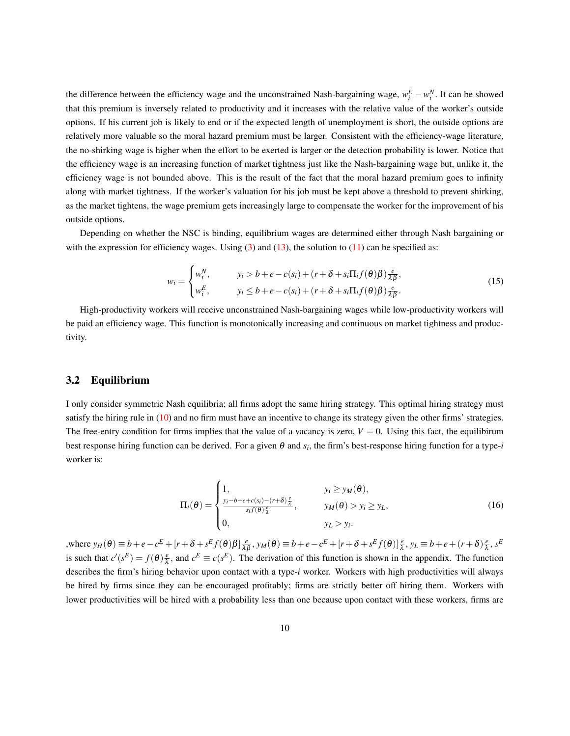the difference between the efficiency wage and the unconstrained Nash-bargaining wage,  $w_i^E - w_i^N$ . It can be showed that this premium is inversely related to productivity and it increases with the relative value of the worker's outside options. If his current job is likely to end or if the expected length of unemployment is short, the outside options are relatively more valuable so the moral hazard premium must be larger. Consistent with the efficiency-wage literature, the no-shirking wage is higher when the effort to be exerted is larger or the detection probability is lower. Notice that the efficiency wage is an increasing function of market tightness just like the Nash-bargaining wage but, unlike it, the efficiency wage is not bounded above. This is the result of the fact that the moral hazard premium goes to infinity along with market tightness. If the worker's valuation for his job must be kept above a threshold to prevent shirking, as the market tightens, the wage premium gets increasingly large to compensate the worker for the improvement of his outside options.

Depending on whether the NSC is binding, equilibrium wages are determined either through Nash bargaining or with the expression for efficiency wages. Using  $(3)$  and  $(13)$ , the solution to  $(11)$  can be specified as:

<span id="page-9-0"></span>
$$
w_i = \begin{cases} w_i^N, & y_i > b + e - c(s_i) + (r + \delta + s_i \Pi_i f(\theta) \beta) \frac{e}{\lambda \beta}, \\ w_i^E, & y_i \le b + e - c(s_i) + (r + \delta + s_i \Pi_i f(\theta) \beta) \frac{e}{\lambda \beta}. \end{cases}
$$
(15)

High-productivity workers will receive unconstrained Nash-bargaining wages while low-productivity workers will be paid an efficiency wage. This function is monotonically increasing and continuous on market tightness and productivity.

#### 3.2 Equilibrium

I only consider symmetric Nash equilibria; all firms adopt the same hiring strategy. This optimal hiring strategy must satisfy the hiring rule in [\(10\)](#page-8-3) and no firm must have an incentive to change its strategy given the other firms' strategies. The free-entry condition for firms implies that the value of a vacancy is zero,  $V = 0$ . Using this fact, the equilibirum best response hiring function can be derived. For a given θ and *s<sup>i</sup>* , the firm's best-response hiring function for a type-*i* worker is:

<span id="page-9-1"></span>
$$
\Pi_i(\theta) = \begin{cases}\n1, & y_i \ge y_M(\theta), \\
\frac{y_i - b - e + c(s_i) - (r + \delta)\frac{e}{\lambda}}{s_i f(\theta)\frac{e}{\lambda}}, & y_M(\theta) > y_i \ge y_L, \\
0, & y_L > y_i.\n\end{cases}
$$
\n(16)

where  $y_H(\theta) \equiv b + e - c^E + [r + \delta + s^E f(\theta) \beta] \frac{e}{\lambda \beta}, y_M(\theta) \equiv b + e - c^E + [r + \delta + s^E f(\theta)] \frac{e}{\lambda}, y_L \equiv b + e + (r + \delta) \frac{e}{\lambda}$  $\frac{e}{\lambda}$ ,  $s^E$ is such that  $c'(s^E) = f(\theta) \frac{e}{\lambda}$  $\frac{e}{\lambda}$ , and  $c^E \equiv c(s^E)$ . The derivation of this function is shown in the appendix. The function describes the firm's hiring behavior upon contact with a type-*i* worker. Workers with high productivities will always be hired by firms since they can be encouraged profitably; firms are strictly better off hiring them. Workers with lower productivities will be hired with a probability less than one because upon contact with these workers, firms are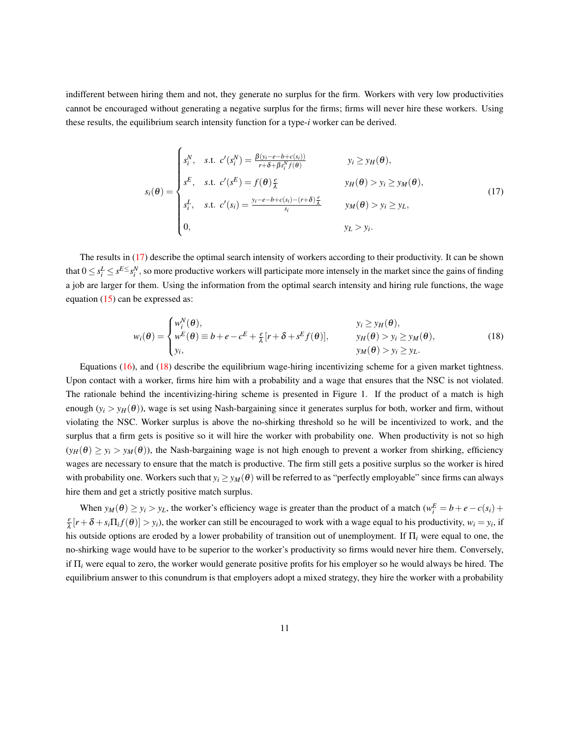indifferent between hiring them and not, they generate no surplus for the firm. Workers with very low productivities cannot be encouraged without generating a negative surplus for the firms; firms will never hire these workers. Using these results, the equilibrium search intensity function for a type-*i* worker can be derived.

<span id="page-10-0"></span>
$$
s_i(\theta) = \begin{cases} s_i^N, & s.t. \ c'(s_i^N) = \frac{\beta(y_i - e - b + c(s_i))}{r + \delta + \beta s_i^N f(\theta)} & y_i \ge y_H(\theta), \\ s^E, & s.t. \ c'(s^E) = f(\theta) \frac{e}{\lambda} & y_H(\theta) > y_i \ge y_M(\theta), \\ s_i^L, & s.t. \ c'(s_i) = \frac{y_i - e - b + c(s_i) - (r + \delta) \frac{e}{\lambda}}{s_i} & y_M(\theta) > y_i \ge y_L, \\ 0, & y_L > y_i. \end{cases}
$$
(17)

The results in [\(17\)](#page-10-0) describe the optimal search intensity of workers according to their productivity. It can be shown that  $0 \le s_i^L \le s^{E \le s_i^N}$ , so more productive workers will participate more intensely in the market since the gains of finding a job are larger for them. Using the information from the optimal search intensity and hiring rule functions, the wage equation [\(15\)](#page-9-0) can be expressed as:

<span id="page-10-1"></span>
$$
w_i(\theta) = \begin{cases} w_i^N(\theta), & y_i \ge y_H(\theta), \\ w^E(\theta) \equiv b + e - c^E + \frac{e}{\lambda} [r + \delta + s^E f(\theta)], & y_H(\theta) > y_i \ge y_M(\theta), \\ y_i, & y_M(\theta) > y_i \ge y_L. \end{cases}
$$
(18)

Equations [\(16\)](#page-9-1), and [\(18\)](#page-10-1) describe the equilibrium wage-hiring incentivizing scheme for a given market tightness. Upon contact with a worker, firms hire him with a probability and a wage that ensures that the NSC is not violated. The rationale behind the incentivizing-hiring scheme is presented in Figure 1. If the product of a match is high enough  $(y_i > y_H(\theta))$ , wage is set using Nash-bargaining since it generates surplus for both, worker and firm, without violating the NSC. Worker surplus is above the no-shirking threshold so he will be incentivized to work, and the surplus that a firm gets is positive so it will hire the worker with probability one. When productivity is not so high  $(y_H(\theta) \ge y_i > y_M(\theta)$ , the Nash-bargaining wage is not high enough to prevent a worker from shirking, efficiency wages are necessary to ensure that the match is productive. The firm still gets a positive surplus so the worker is hired with probability one. Workers such that  $y_i \ge y_M(\theta)$  will be referred to as "perfectly employable" since firms can always hire them and get a strictly positive match surplus.

When  $y_M(\theta) \ge y_i > y_L$ , the worker's efficiency wage is greater than the product of a match  $(w_i^E = b + e - c(s_i) +$ *e*  $\frac{e}{\lambda}[r+\delta+s_i\Pi_i f(\theta)] > y_i$ , the worker can still be encouraged to work with a wage equal to his productivity,  $w_i = y_i$ , if his outside options are eroded by a lower probability of transition out of unemployment. If Π*<sup>i</sup>* were equal to one, the no-shirking wage would have to be superior to the worker's productivity so firms would never hire them. Conversely, if Π*<sup>i</sup>* were equal to zero, the worker would generate positive profits for his employer so he would always be hired. The equilibrium answer to this conundrum is that employers adopt a mixed strategy, they hire the worker with a probability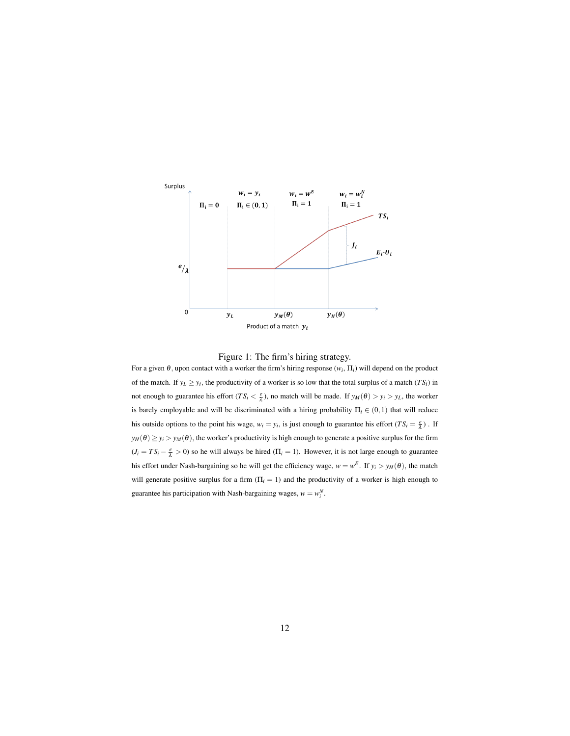



For a given  $\theta$ , upon contact with a worker the firm's hiring response  $(w_i, \Pi_i)$  will depend on the product of the match. If  $y_L \geq y_i$ , the productivity of a worker is so low that the total surplus of a match (*TS<sub>i</sub>*) in not enough to guarantee his effort ( $TS_i < \frac{e}{\lambda}$ ), no match will be made. If  $y_M(\theta) > y_i > y_L$ , the worker is barely employable and will be discriminated with a hiring probability  $\Pi_i \in (0,1)$  that will reduce his outside options to the point his wage,  $w_i = y_i$ , is just enough to guarantee his effort  $(TS_i = \frac{e}{\lambda})$ . If  $y_H(\theta) \ge y_i > y_M(\theta)$ , the worker's productivity is high enough to generate a positive surplus for the firm  $(J_i = TS_i - \frac{e}{\lambda} > 0)$  so he will always be hired  $(\Pi_i = 1)$ . However, it is not large enough to guarantee his effort under Nash-bargaining so he will get the efficiency wage,  $w = w^E$ . If  $y_i > y_H(\theta)$ , the match will generate positive surplus for a firm  $(\Pi_i = 1)$  and the productivity of a worker is high enough to guarantee his participation with Nash-bargaining wages,  $w = w_i^N$ .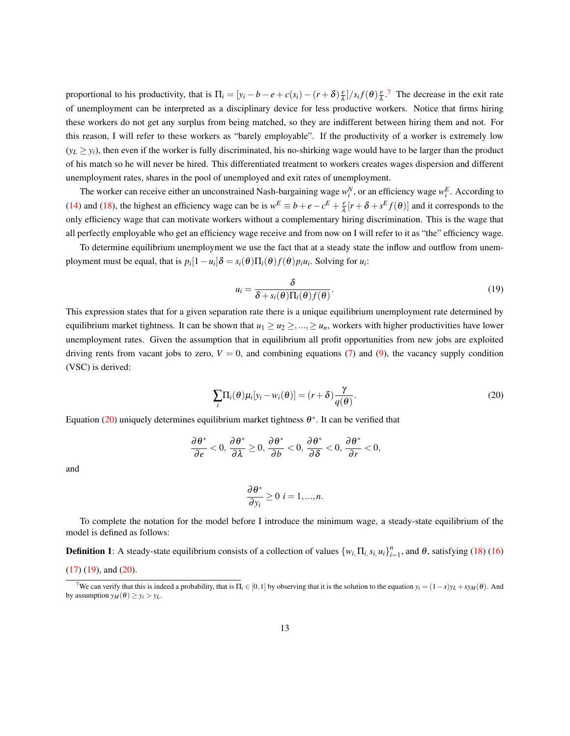proportional to his productivity, that is  $\Pi_i = [y_i - b - e + c(s_i) - (r + \delta)]\frac{e}{\lambda}$  $\frac{e}{\lambda}$ ]/s<sub>*i*</sub> $f(\theta)$  $\frac{e}{\lambda}$  $\frac{e}{\lambda}$ .<sup>[7](#page-12-0)</sup> The decrease in the exit rate of unemployment can be interpreted as a disciplinary device for less productive workers. Notice that firms hiring these workers do not get any surplus from being matched, so they are indifferent between hiring them and not. For this reason, I will refer to these workers as "barely employable". If the productivity of a worker is extremely low  $(y_L \ge y_i)$ , then even if the worker is fully discriminated, his no-shirking wage would have to be larger than the product of his match so he will never be hired. This differentiated treatment to workers creates wages dispersion and different unemployment rates, shares in the pool of unemployed and exit rates of unemployment.

The worker can receive either an unconstrained Nash-bargaining wage  $w_i^N$ , or an efficiency wage  $w_i^E$ . According to [\(14\)](#page-8-4) and [\(18\)](#page-10-1), the highest an efficiency wage can be is  $w^E \equiv b + e - c^E + \frac{e}{\lambda}$  $\frac{e}{\lambda}[r + \delta + s^E f(\theta)]$  and it corresponds to the only efficiency wage that can motivate workers without a complementary hiring discrimination. This is the wage that all perfectly employable who get an efficiency wage receive and from now on I will refer to it as "the" efficiency wage.

To determine equilibrium unemployment we use the fact that at a steady state the inflow and outflow from unemployment must be equal, that is  $p_i[1 - u_i]\delta = s_i(\theta)\prod_i(\theta)f(\theta)p_iu_i$ . Solving for  $u_i$ :

<span id="page-12-2"></span>
$$
u_i = \frac{\delta}{\delta + s_i(\theta) \Pi_i(\theta) f(\theta)}.
$$
\n(19)

This expression states that for a given separation rate there is a unique equilibrium unemployment rate determined by equilibrium market tightness. It can be shown that  $u_1 \ge u_2 \ge ... \ge u_n$ , workers with higher productivities have lower unemployment rates. Given the assumption that in equilibrium all profit opportunities from new jobs are exploited driving rents from vacant jobs to zero,  $V = 0$ , and combining equations [\(7\)](#page-7-2) and [\(9\)](#page-7-4), the vacancy supply condition (VSC) is derived:

<span id="page-12-1"></span>
$$
\sum_{i} \Pi_{i}(\theta) \mu_{i}[y_{i} - w_{i}(\theta)] = (r + \delta) \frac{\gamma}{q(\theta)}.
$$
\n(20)

Equation [\(20\)](#page-12-1) uniquely determines equilibrium market tightness  $\theta^*$ . It can be verified that

$$
\frac{\partial \theta^*}{\partial e} < 0, \frac{\partial \theta^*}{\partial \lambda} \ge 0, \frac{\partial \theta^*}{\partial b} < 0, \frac{\partial \theta^*}{\partial \delta} < 0, \frac{\partial \theta^*}{\partial r} < 0,
$$

and

$$
\frac{\partial \theta^*}{\partial y_i} \ge 0 \quad i = 1, ..., n.
$$

To complete the notation for the model before I introduce the minimum wage, a steady-state equilibrium of the model is defined as follows:

**Definition 1**: A steady-state equilibrium consists of a collection of values  $\{w_i, \Pi_i, s_i, u_i\}_{i=1}^n$ , and  $\theta$ , satisfying [\(18\)](#page-10-1) [\(16\)](#page-9-1)

$$
(17) (19)
$$
, and  $(20)$ .

<span id="page-12-0"></span><sup>&</sup>lt;sup>7</sup>We can verify that this is indeed a probability, that is  $\Pi_i \in [0,1]$  by observing that it is the solution to the equation  $y_i = (1-x)y_L + xy_M(\theta)$ . And by assumption  $y_M(\theta) \ge y_i > y_L$ .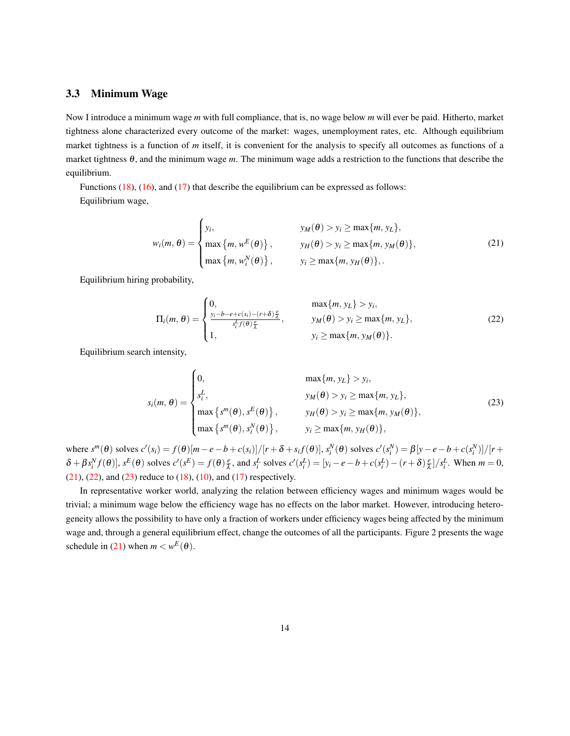## 3.3 Minimum Wage

Now I introduce a minimum wage *m* with full compliance, that is, no wage below *m* will ever be paid. Hitherto, market tightness alone characterized every outcome of the market: wages, unemployment rates, etc. Although equilibrium market tightness is a function of *m* itself, it is convenient for the analysis to specify all outcomes as functions of a market tightness θ, and the minimum wage *m*. The minimum wage adds a restriction to the functions that describe the equilibrium.

Functions [\(18\)](#page-10-1), [\(16\)](#page-9-1), and [\(17\)](#page-10-0) that describe the equilibrium can be expressed as follows: Equilibrium wage,

<span id="page-13-0"></span>
$$
w_i(m, \theta) = \begin{cases} y_i, & y_M(\theta) > y_i \ge \max\{m, y_L\}, \\ \max\{m, w^E(\theta)\}, & y_H(\theta) > y_i \ge \max\{m, y_M(\theta)\}, \\ \max\{m, w_i^N(\theta)\}, & y_i \ge \max\{m, y_H(\theta)\},. \end{cases}
$$
(21)

Equilibrium hiring probability,

<span id="page-13-1"></span>
$$
\Pi_i(m,\theta) = \begin{cases}\n0, & \max\{m, y_L\} > y_i, \\
\frac{y_i - b - e + c(s_i) - (r + \delta)\frac{e}{\lambda}}{s_i^L f(\theta)\frac{e}{\lambda}}, & y_M(\theta) > y_i \ge \max\{m, y_L\}, \\
1, & y_i \ge \max\{m, y_M(\theta)\}.\n\end{cases}
$$
\n(22)

Equilibrium search intensity,

<span id="page-13-2"></span>
$$
s_i(m, \theta) = \begin{cases} 0, & \max\{m, y_L\} > y_i, \\ s_i^L, & y_M(\theta) > y_i \ge \max\{m, y_L\}, \\ \max\{s^m(\theta), s^E(\theta)\}, & y_H(\theta) > y_i \ge \max\{m, y_M(\theta)\}, \\ \max\{s^m(\theta), s_i^N(\theta)\}, & y_i \ge \max\{m, y_H(\theta)\}, \end{cases}
$$
(23)

where  $s^m(\theta)$  solves  $c'(s_i) = f(\theta)[m - e - b + c(s_i)]/[r + \delta + s_i f(\theta)], s_i^N(\theta)$  solves  $c'(s_i^N) = \beta[y - e - b + c(s_i^N)]/[r +$  $\delta + \beta s_i^N f(\theta)$ ,  $s^E(\theta)$  solves  $c'(s^E) = f(\theta) \frac{e}{\lambda}$  $\frac{e}{\lambda}$ , and  $s_i^L$  solves  $c'(s_i^L) = [y_i - e - b + c(s_i^L) - (r + \delta)\frac{e}{\lambda}$  $\left(\frac{e}{\lambda}\right)/s_i^L$ . When  $m = 0$ ,  $(21)$ ,  $(22)$ , and  $(23)$  reduce to  $(18)$ ,  $(10)$ , and  $(17)$  respectively.

In representative worker world, analyzing the relation between efficiency wages and minimum wages would be trivial; a minimum wage below the efficiency wage has no effects on the labor market. However, introducing heterogeneity allows the possibility to have only a fraction of workers under efficiency wages being affected by the minimum wage and, through a general equilibrium effect, change the outcomes of all the participants. Figure 2 presents the wage schedule in [\(21\)](#page-13-0) when  $m < w^E(\theta)$ .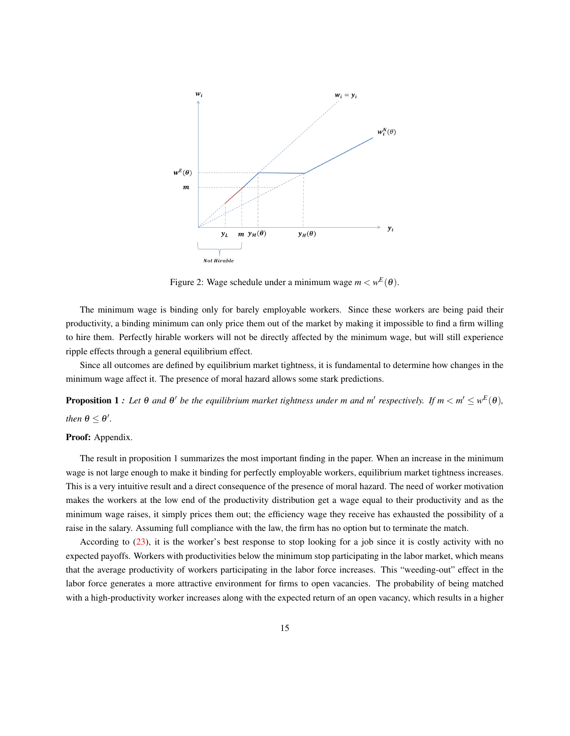

Figure 2: Wage schedule under a minimum wage  $m < w^E(\theta)$ .

The minimum wage is binding only for barely employable workers. Since these workers are being paid their productivity, a binding minimum can only price them out of the market by making it impossible to find a firm willing to hire them. Perfectly hirable workers will not be directly affected by the minimum wage, but will still experience ripple effects through a general equilibrium effect.

Since all outcomes are defined by equilibrium market tightness, it is fundamental to determine how changes in the minimum wage affect it. The presence of moral hazard allows some stark predictions.

**Proposition 1 :** Let  $\theta$  and  $\theta'$  be the equilibrium market tightness under m and m' respectively. If  $m < m' \leq w^E(\theta)$ , *then*  $\theta \leq \theta'$ .

#### Proof: Appendix.

The result in proposition 1 summarizes the most important finding in the paper. When an increase in the minimum wage is not large enough to make it binding for perfectly employable workers, equilibrium market tightness increases. This is a very intuitive result and a direct consequence of the presence of moral hazard. The need of worker motivation makes the workers at the low end of the productivity distribution get a wage equal to their productivity and as the minimum wage raises, it simply prices them out; the efficiency wage they receive has exhausted the possibility of a raise in the salary. Assuming full compliance with the law, the firm has no option but to terminate the match.

According to [\(23\)](#page-13-2), it is the worker's best response to stop looking for a job since it is costly activity with no expected payoffs. Workers with productivities below the minimum stop participating in the labor market, which means that the average productivity of workers participating in the labor force increases. This "weeding-out" effect in the labor force generates a more attractive environment for firms to open vacancies. The probability of being matched with a high-productivity worker increases along with the expected return of an open vacancy, which results in a higher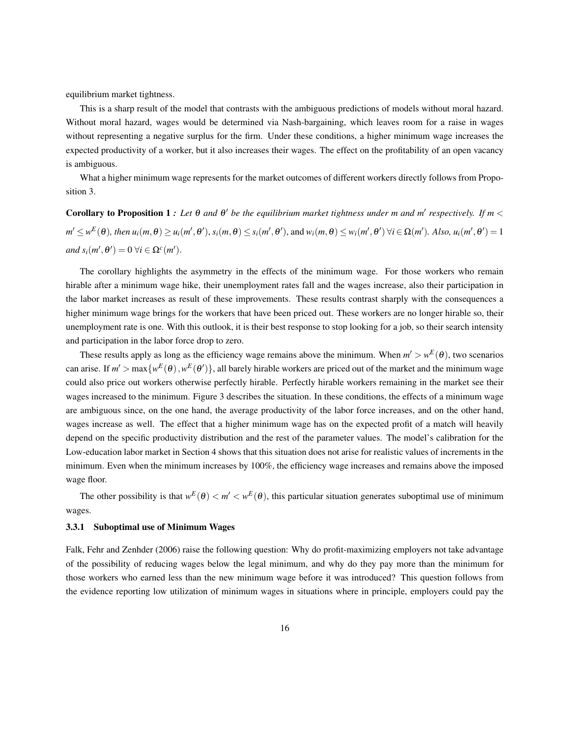equilibrium market tightness.

This is a sharp result of the model that contrasts with the ambiguous predictions of models without moral hazard. Without moral hazard, wages would be determined via Nash-bargaining, which leaves room for a raise in wages without representing a negative surplus for the firm. Under these conditions, a higher minimum wage increases the expected productivity of a worker, but it also increases their wages. The effect on the profitability of an open vacancy is ambiguous.

What a higher minimum wage represents for the market outcomes of different workers directly follows from Proposition 3.

Corollary to Proposition 1: Let  $\theta$  and  $\theta'$  be the equilibrium market tightness under m and m' respectively. If  $m <$  $m'\leq w^E(\theta)$ , then  $u_i(m,\theta)\geq u_i(m',\theta'),$   $s_i(m,\theta)\leq s_i(m',\theta'),$  and  $w_i(m,\theta)\leq w_i(m',\theta')$   $\forall i\in\Omega(m').$  Also,  $u_i(m',\theta')=1$  $and s_i(m', \theta') = 0 \,\forall i \in \Omega^c(m').$ 

The corollary highlights the asymmetry in the effects of the minimum wage. For those workers who remain hirable after a minimum wage hike, their unemployment rates fall and the wages increase, also their participation in the labor market increases as result of these improvements. These results contrast sharply with the consequences a higher minimum wage brings for the workers that have been priced out. These workers are no longer hirable so, their unemployment rate is one. With this outlook, it is their best response to stop looking for a job, so their search intensity and participation in the labor force drop to zero.

These results apply as long as the efficiency wage remains above the minimum. When  $m' > w^E(\theta)$ , two scenarios can arise. If  $m' > \max\{w^E(\theta), w^E(\theta')\}$ , all barely hirable workers are priced out of the market and the minimum wage could also price out workers otherwise perfectly hirable. Perfectly hirable workers remaining in the market see their wages increased to the minimum. Figure 3 describes the situation. In these conditions, the effects of a minimum wage are ambiguous since, on the one hand, the average productivity of the labor force increases, and on the other hand, wages increase as well. The effect that a higher minimum wage has on the expected profit of a match will heavily depend on the specific productivity distribution and the rest of the parameter values. The model's calibration for the Low-education labor market in Section 4 shows that this situation does not arise for realistic values of increments in the minimum. Even when the minimum increases by 100%, the efficiency wage increases and remains above the imposed wage floor.

The other possibility is that  $w^E(\theta) < m' < w^E(\theta)$ , this particular situation generates suboptimal use of minimum wages.

#### 3.3.1 Suboptimal use of Minimum Wages

Falk, Fehr and Zenhder (2006) raise the following question: Why do profit-maximizing employers not take advantage of the possibility of reducing wages below the legal minimum, and why do they pay more than the minimum for those workers who earned less than the new minimum wage before it was introduced? This question follows from the evidence reporting low utilization of minimum wages in situations where in principle, employers could pay the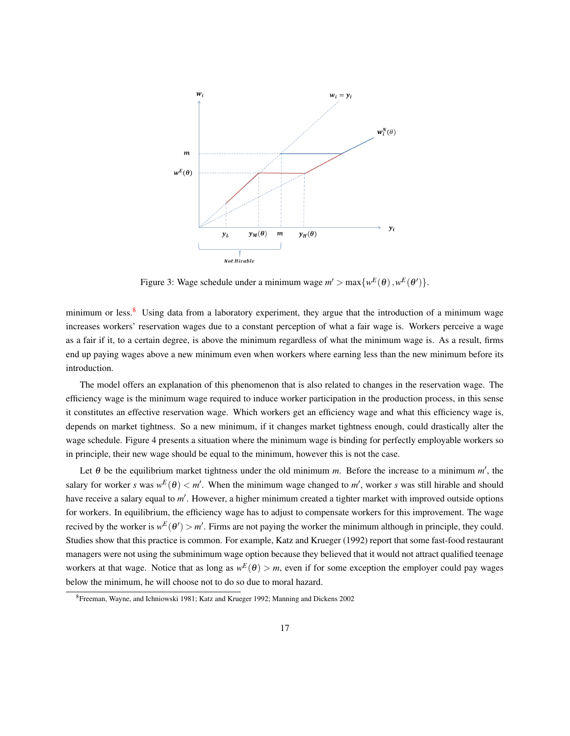

Figure 3: Wage schedule under a minimum wage  $m' > \max\{w^E(\theta), w^E(\theta')\}.$ 

minimum or less. $8\text{ Using data from a laboratory experiment, they argue that the introduction of a minimum wage.}$  $8\text{ Using data from a laboratory experiment, they argue that the introduction of a minimum wage.}$ increases workers' reservation wages due to a constant perception of what a fair wage is. Workers perceive a wage as a fair if it, to a certain degree, is above the minimum regardless of what the minimum wage is. As a result, firms end up paying wages above a new minimum even when workers where earning less than the new minimum before its introduction.

The model offers an explanation of this phenomenon that is also related to changes in the reservation wage. The efficiency wage is the minimum wage required to induce worker participation in the production process, in this sense it constitutes an effective reservation wage. Which workers get an efficiency wage and what this efficiency wage is, depends on market tightness. So a new minimum, if it changes market tightness enough, could drastically alter the wage schedule. Figure 4 presents a situation where the minimum wage is binding for perfectly employable workers so in principle, their new wage should be equal to the minimum, however this is not the case.

Let  $\theta$  be the equilibrium market tightness under the old minimum *m*. Before the increase to a minimum  $m'$ , the salary for worker *s* was  $w^E(\theta) < m'$ . When the minimum wage changed to m', worker *s* was still hirable and should have receive a salary equal to m'. However, a higher minimum created a tighter market with improved outside options for workers. In equilibrium, the efficiency wage has to adjust to compensate workers for this improvement. The wage recived by the worker is  $w^E(\theta') > m'$ . Firms are not paying the worker the minimum although in principle, they could. Studies show that this practice is common. For example, Katz and Krueger (1992) report that some fast-food restaurant managers were not using the subminimum wage option because they believed that it would not attract qualified teenage workers at that wage. Notice that as long as  $w^E(\theta) > m$ , even if for some exception the employer could pay wages below the minimum, he will choose not to do so due to moral hazard.

<span id="page-16-0"></span><sup>8</sup>Freeman, Wayne, and Ichniowski 1981; Katz and Krueger 1992; Manning and Dickens 2002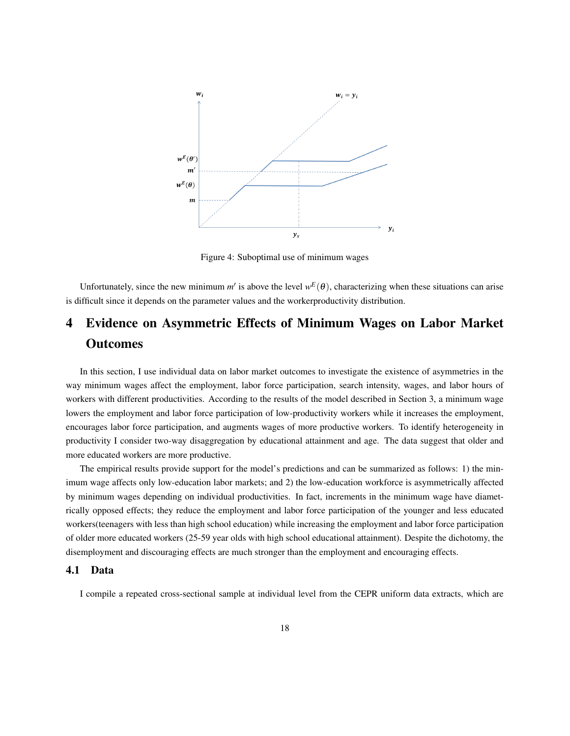

Figure 4: Suboptimal use of minimum wages

Unfortunately, since the new minimum  $m'$  is above the level  $w^E(\theta)$ , characterizing when these situations can arise is difficult since it depends on the parameter values and the workerproductivity distribution.

## 4 Evidence on Asymmetric Effects of Minimum Wages on Labor Market **Outcomes**

In this section, I use individual data on labor market outcomes to investigate the existence of asymmetries in the way minimum wages affect the employment, labor force participation, search intensity, wages, and labor hours of workers with different productivities. According to the results of the model described in Section 3, a minimum wage lowers the employment and labor force participation of low-productivity workers while it increases the employment, encourages labor force participation, and augments wages of more productive workers. To identify heterogeneity in productivity I consider two-way disaggregation by educational attainment and age. The data suggest that older and more educated workers are more productive.

The empirical results provide support for the model's predictions and can be summarized as follows: 1) the minimum wage affects only low-education labor markets; and 2) the low-education workforce is asymmetrically affected by minimum wages depending on individual productivities. In fact, increments in the minimum wage have diametrically opposed effects; they reduce the employment and labor force participation of the younger and less educated workers(teenagers with less than high school education) while increasing the employment and labor force participation of older more educated workers (25-59 year olds with high school educational attainment). Despite the dichotomy, the disemployment and discouraging effects are much stronger than the employment and encouraging effects.

#### 4.1 Data

I compile a repeated cross-sectional sample at individual level from the CEPR uniform data extracts, which are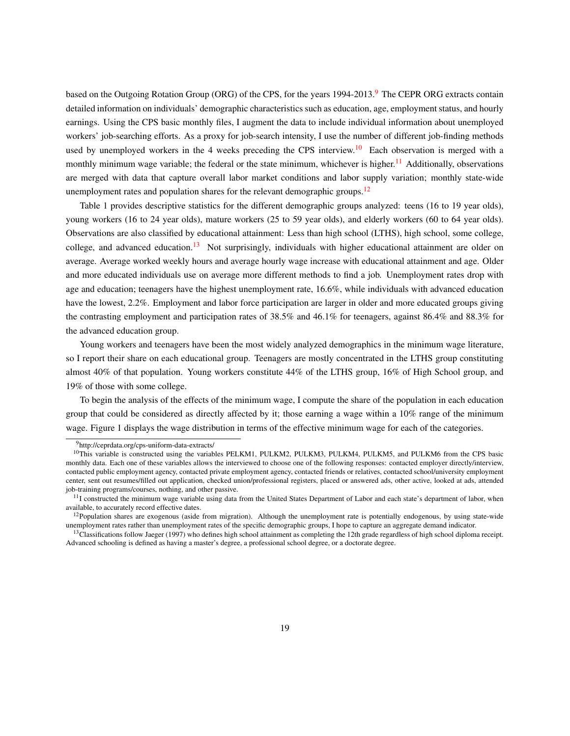based on the Outgoing Rotation Group (ORG) of the CPS, for the years 1[9](#page-18-0)94-2013.<sup>9</sup> The CEPR ORG extracts contain detailed information on individuals' demographic characteristics such as education, age, employment status, and hourly earnings. Using the CPS basic monthly files, I augment the data to include individual information about unemployed workers' job-searching efforts. As a proxy for job-search intensity, I use the number of different job-finding methods used by unemployed workers in the 4 weeks preceding the CPS interview.<sup>[10](#page-18-1)</sup> Each observation is merged with a monthly minimum wage variable; the federal or the state minimum, whichever is higher.<sup>[11](#page-18-2)</sup> Additionally, observations are merged with data that capture overall labor market conditions and labor supply variation; monthly state-wide unemployment rates and population shares for the relevant demographic groups.<sup>[12](#page-18-3)</sup>

Table 1 provides descriptive statistics for the different demographic groups analyzed: teens (16 to 19 year olds), young workers (16 to 24 year olds), mature workers (25 to 59 year olds), and elderly workers (60 to 64 year olds). Observations are also classified by educational attainment: Less than high school (LTHS), high school, some college, college, and advanced education.<sup>[13](#page-18-4)</sup> Not surprisingly, individuals with higher educational attainment are older on average. Average worked weekly hours and average hourly wage increase with educational attainment and age. Older and more educated individuals use on average more different methods to find a job. Unemployment rates drop with age and education; teenagers have the highest unemployment rate, 16.6%, while individuals with advanced education have the lowest, 2.2%. Employment and labor force participation are larger in older and more educated groups giving the contrasting employment and participation rates of 38.5% and 46.1% for teenagers, against 86.4% and 88.3% for the advanced education group.

Young workers and teenagers have been the most widely analyzed demographics in the minimum wage literature, so I report their share on each educational group. Teenagers are mostly concentrated in the LTHS group constituting almost 40% of that population. Young workers constitute 44% of the LTHS group, 16% of High School group, and 19% of those with some college.

To begin the analysis of the effects of the minimum wage, I compute the share of the population in each education group that could be considered as directly affected by it; those earning a wage within a 10% range of the minimum wage. Figure 1 displays the wage distribution in terms of the effective minimum wage for each of the categories.

<span id="page-18-1"></span><span id="page-18-0"></span><sup>9</sup>http://ceprdata.org/cps-uniform-data-extracts/

 $10$ This variable is constructed using the variables PELKM1, PULKM2, PULKM3, PULKM4, PULKM5, and PULKM6 from the CPS basic monthly data. Each one of these variables allows the interviewed to choose one of the following responses: contacted employer directly/interview, contacted public employment agency, contacted private employment agency, contacted friends or relatives, contacted school/university employment center, sent out resumes/filled out application, checked union/professional registers, placed or answered ads, other active, looked at ads, attended job-training programs/courses, nothing, and other passive.

<span id="page-18-2"></span><sup>&</sup>lt;sup>11</sup>I constructed the minimum wage variable using data from the United States Department of Labor and each state's department of labor, when available, to accurately record effective dates.

<span id="page-18-3"></span> $12$ Population shares are exogenous (aside from migration). Although the unemployment rate is potentially endogenous, by using state-wide unemployment rates rather than unemployment rates of the specific demographic groups, I hope to capture an aggregate demand indicator.

<span id="page-18-4"></span><sup>&</sup>lt;sup>13</sup>Classifications follow Jaeger (1997) who defines high school attainment as completing the 12th grade regardless of high school diploma receipt. Advanced schooling is defined as having a master's degree, a professional school degree, or a doctorate degree.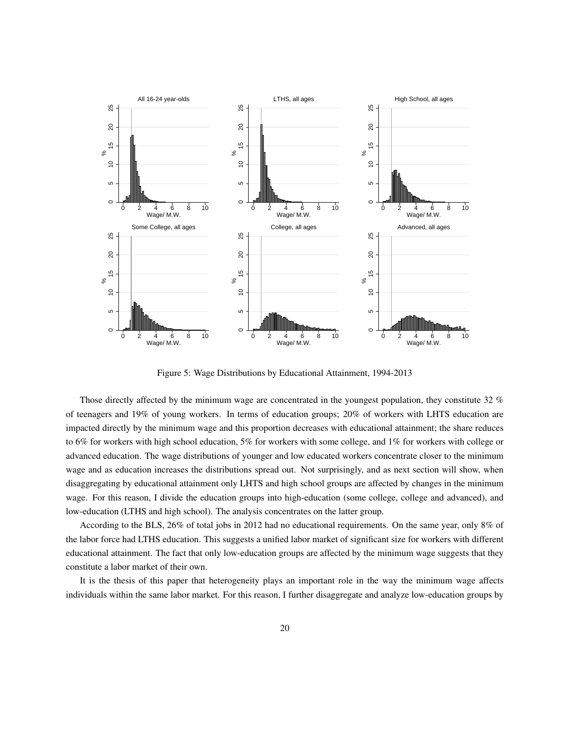

Figure 5: Wage Distributions by Educational Attainment, 1994-2013

Those directly affected by the minimum wage are concentrated in the youngest population, they constitute 32 % of teenagers and 19% of young workers. In terms of education groups; 20% of workers with LHTS education are impacted directly by the minimum wage and this proportion decreases with educational attainment; the share reduces to 6% for workers with high school education, 5% for workers with some college, and 1% for workers with college or advanced education. The wage distributions of younger and low educated workers concentrate closer to the minimum wage and as education increases the distributions spread out. Not surprisingly, and as next section will show, when disaggregating by educational attainment only LHTS and high school groups are affected by changes in the minimum wage. For this reason, I divide the education groups into high-education (some college, college and advanced), and low-education (LTHS and high school). The analysis concentrates on the latter group.

According to the BLS, 26% of total jobs in 2012 had no educational requirements. On the same year, only 8% of the labor force had LTHS education. This suggests a unified labor market of significant size for workers with different educational attainment. The fact that only low-education groups are affected by the minimum wage suggests that they constitute a labor market of their own.

It is the thesis of this paper that heterogeneity plays an important role in the way the minimum wage affects individuals within the same labor market. For this reason, I further disaggregate and analyze low-education groups by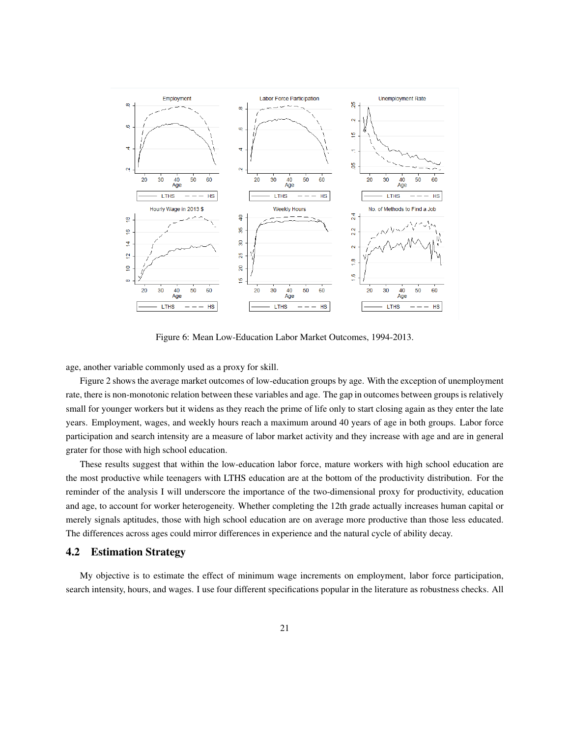

Figure 6: Mean Low-Education Labor Market Outcomes, 1994-2013.

age, another variable commonly used as a proxy for skill.

Figure 2 shows the average market outcomes of low-education groups by age. With the exception of unemployment rate, there is non-monotonic relation between these variables and age. The gap in outcomes between groups is relatively small for younger workers but it widens as they reach the prime of life only to start closing again as they enter the late years. Employment, wages, and weekly hours reach a maximum around 40 years of age in both groups. Labor force participation and search intensity are a measure of labor market activity and they increase with age and are in general grater for those with high school education.

These results suggest that within the low-education labor force, mature workers with high school education are the most productive while teenagers with LTHS education are at the bottom of the productivity distribution. For the reminder of the analysis I will underscore the importance of the two-dimensional proxy for productivity, education and age, to account for worker heterogeneity. Whether completing the 12th grade actually increases human capital or merely signals aptitudes, those with high school education are on average more productive than those less educated. The differences across ages could mirror differences in experience and the natural cycle of ability decay.

## 4.2 Estimation Strategy

My objective is to estimate the effect of minimum wage increments on employment, labor force participation, search intensity, hours, and wages. I use four different specifications popular in the literature as robustness checks. All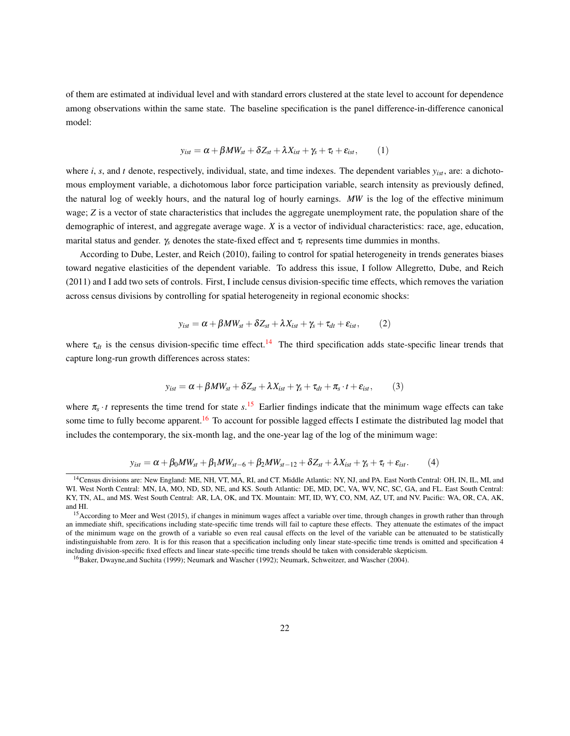of them are estimated at individual level and with standard errors clustered at the state level to account for dependence among observations within the same state. The baseline specification is the panel difference-in-difference canonical model:

$$
y_{ist} = \alpha + \beta M W_{st} + \delta Z_{st} + \lambda X_{ist} + \gamma_s + \tau_t + \varepsilon_{ist}, \qquad (1)
$$

where *i*, *s*, and *t* denote, respectively, individual, state, and time indexes. The dependent variables *yist*, are: a dichotomous employment variable, a dichotomous labor force participation variable, search intensity as previously defined, the natural log of weekly hours, and the natural log of hourly earnings. *MW* is the log of the effective minimum wage; *Z* is a vector of state characteristics that includes the aggregate unemployment rate, the population share of the demographic of interest, and aggregate average wage. *X* is a vector of individual characteristics: race, age, education, marital status and gender.  $\gamma_s$  denotes the state-fixed effect and  $\tau_t$  represents time dummies in months.

According to Dube, Lester, and Reich (2010), failing to control for spatial heterogeneity in trends generates biases toward negative elasticities of the dependent variable. To address this issue, I follow Allegretto, Dube, and Reich (2011) and I add two sets of controls. First, I include census division-specific time effects, which removes the variation across census divisions by controlling for spatial heterogeneity in regional economic shocks:

$$
y_{ist} = \alpha + \beta M W_{st} + \delta Z_{st} + \lambda X_{ist} + \gamma_s + \tau_{dt} + \varepsilon_{ist}, \qquad (2)
$$

where  $\tau_{dt}$  is the census division-specific time effect.<sup>[14](#page-21-0)</sup> The third specification adds state-specific linear trends that capture long-run growth differences across states:

$$
y_{ist} = \alpha + \beta M W_{st} + \delta Z_{st} + \lambda X_{ist} + \gamma_s + \tau_{dt} + \pi_s \cdot t + \varepsilon_{ist}, \qquad (3)
$$

where  $\pi_s \cdot t$  represents the time trend for state  $s$ .<sup>[15](#page-21-1)</sup> Earlier findings indicate that the minimum wage effects can take some time to fully become apparent.<sup>[16](#page-21-2)</sup> To account for possible lagged effects I estimate the distributed lag model that includes the contemporary, the six-month lag, and the one-year lag of the log of the minimum wage:

$$
y_{ist} = \alpha + \beta_0 MW_{st} + \beta_1 MW_{st-6} + \beta_2 MW_{st-12} + \delta Z_{st} + \lambda X_{ist} + \gamma_s + \tau_t + \varepsilon_{ist}.
$$
 (4)

<span id="page-21-0"></span><sup>&</sup>lt;sup>14</sup> Census divisions are: New England: ME, NH, VT, MA, RI, and CT. Middle Atlantic: NY, NJ, and PA. East North Central: OH, IN, IL, MI, and WI. West North Central: MN, IA, MO, ND, SD, NE, and KS. South Atlantic: DE, MD, DC, VA, WV, NC, SC, GA, and FL. East South Central: KY, TN, AL, and MS. West South Central: AR, LA, OK, and TX. Mountain: MT, ID, WY, CO, NM, AZ, UT, and NV. Pacific: WA, OR, CA, AK, and HI.

<span id="page-21-1"></span><sup>&</sup>lt;sup>15</sup> According to Meer and West (2015), if changes in minimum wages affect a variable over time, through changes in growth rather than through an immediate shift, specifications including state-specific time trends will fail to capture these effects. They attenuate the estimates of the impact of the minimum wage on the growth of a variable so even real causal effects on the level of the variable can be attenuated to be statistically indistinguishable from zero. It is for this reason that a specification including only linear state-specific time trends is omitted and specification 4 including division-specific fixed effects and linear state-specific time trends should be taken with considerable skepticism.

<span id="page-21-2"></span><sup>16</sup>Baker, Dwayne,and Suchita (1999); Neumark and Wascher (1992); Neumark, Schweitzer, and Wascher (2004).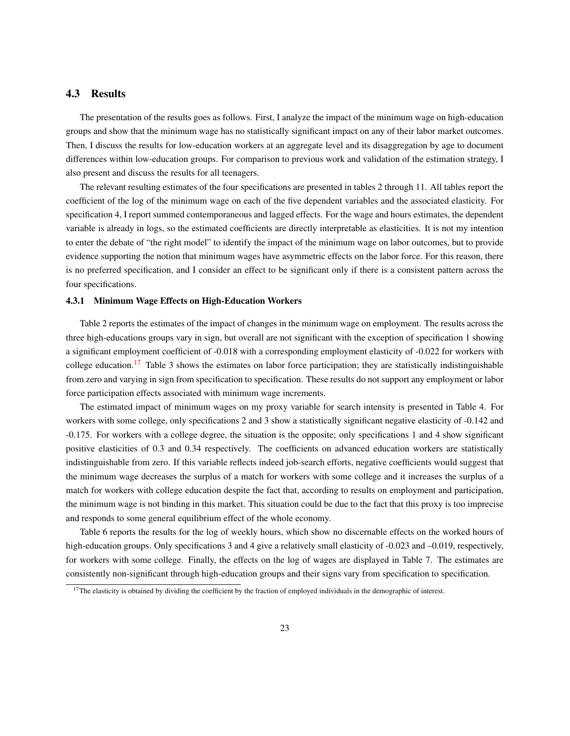## 4.3 Results

The presentation of the results goes as follows. First, I analyze the impact of the minimum wage on high-education groups and show that the minimum wage has no statistically significant impact on any of their labor market outcomes. Then, I discuss the results for low-education workers at an aggregate level and its disaggregation by age to document differences within low-education groups. For comparison to previous work and validation of the estimation strategy, I also present and discuss the results for all teenagers.

The relevant resulting estimates of the four specifications are presented in tables 2 through 11. All tables report the coefficient of the log of the minimum wage on each of the five dependent variables and the associated elasticity. For specification 4, I report summed contemporaneous and lagged effects. For the wage and hours estimates, the dependent variable is already in logs, so the estimated coefficients are directly interpretable as elasticities. It is not my intention to enter the debate of "the right model" to identify the impact of the minimum wage on labor outcomes, but to provide evidence supporting the notion that minimum wages have asymmetric effects on the labor force. For this reason, there is no preferred specification, and I consider an effect to be significant only if there is a consistent pattern across the four specifications.

#### 4.3.1 Minimum Wage Effects on High-Education Workers

Table 2 reports the estimates of the impact of changes in the minimum wage on employment. The results across the three high-educations groups vary in sign, but overall are not significant with the exception of specification 1 showing a significant employment coefficient of -0.018 with a corresponding employment elasticity of -0.022 for workers with college education.<sup>[17](#page-22-0)</sup> Table 3 shows the estimates on labor force participation; they are statistically indistinguishable from zero and varying in sign from specification to specification. These results do not support any employment or labor force participation effects associated with minimum wage increments.

The estimated impact of minimum wages on my proxy variable for search intensity is presented in Table 4. For workers with some college, only specifications 2 and 3 show a statistically significant negative elasticity of -0.142 and -0.175. For workers with a college degree, the situation is the opposite; only specifications 1 and 4 show significant positive elasticities of 0.3 and 0.34 respectively. The coefficients on advanced education workers are statistically indistinguishable from zero. If this variable reflects indeed job-search efforts, negative coefficients would suggest that the minimum wage decreases the surplus of a match for workers with some college and it increases the surplus of a match for workers with college education despite the fact that, according to results on employment and participation, the minimum wage is not binding in this market. This situation could be due to the fact that this proxy is too imprecise and responds to some general equilibrium effect of the whole economy.

Table 6 reports the results for the log of weekly hours, which show no discernable effects on the worked hours of high-education groups. Only specifications 3 and 4 give a relatively small elasticity of -0.023 and -0.019, respectively, for workers with some college. Finally, the effects on the log of wages are displayed in Table 7. The estimates are consistently non-significant through high-education groups and their signs vary from specification to specification.

<span id="page-22-0"></span> $17$ The elasticity is obtained by dividing the coefficient by the fraction of employed individuals in the demographic of interest.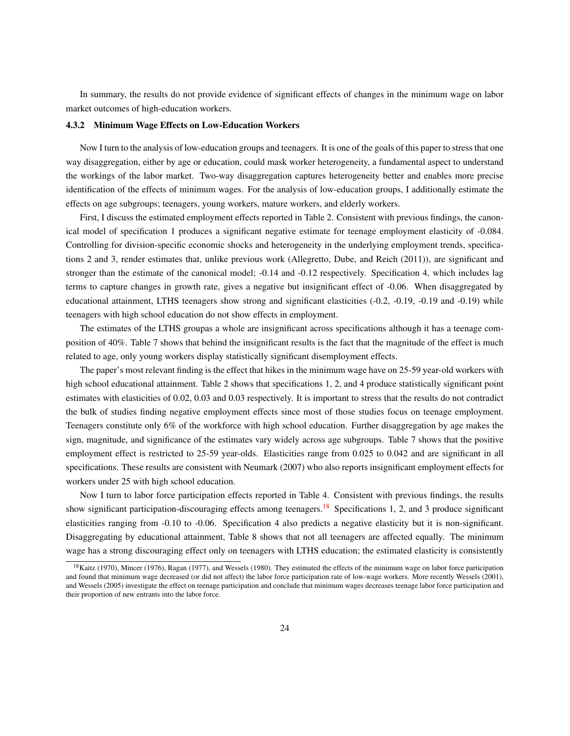In summary, the results do not provide evidence of significant effects of changes in the minimum wage on labor market outcomes of high-education workers.

#### 4.3.2 Minimum Wage Effects on Low-Education Workers

Now I turn to the analysis of low-education groups and teenagers. It is one of the goals of this paper to stress that one way disaggregation, either by age or education, could mask worker heterogeneity, a fundamental aspect to understand the workings of the labor market. Two-way disaggregation captures heterogeneity better and enables more precise identification of the effects of minimum wages. For the analysis of low-education groups, I additionally estimate the effects on age subgroups; teenagers, young workers, mature workers, and elderly workers.

First, I discuss the estimated employment effects reported in Table 2. Consistent with previous findings, the canonical model of specification 1 produces a significant negative estimate for teenage employment elasticity of -0.084. Controlling for division-specific economic shocks and heterogeneity in the underlying employment trends, specifications 2 and 3, render estimates that, unlike previous work (Allegretto, Dube, and Reich (2011)), are significant and stronger than the estimate of the canonical model; -0.14 and -0.12 respectively. Specification 4, which includes lag terms to capture changes in growth rate, gives a negative but insignificant effect of -0.06. When disaggregated by educational attainment, LTHS teenagers show strong and significant elasticities (-0.2, -0.19, -0.19 and -0.19) while teenagers with high school education do not show effects in employment.

The estimates of the LTHS groupas a whole are insignificant across specifications although it has a teenage composition of 40%. Table 7 shows that behind the insignificant results is the fact that the magnitude of the effect is much related to age, only young workers display statistically significant disemployment effects.

The paper's most relevant finding is the effect that hikes in the minimum wage have on 25-59 year-old workers with high school educational attainment. Table 2 shows that specifications 1, 2, and 4 produce statistically significant point estimates with elasticities of 0.02, 0.03 and 0.03 respectively. It is important to stress that the results do not contradict the bulk of studies finding negative employment effects since most of those studies focus on teenage employment. Teenagers constitute only 6% of the workforce with high school education. Further disaggregation by age makes the sign, magnitude, and significance of the estimates vary widely across age subgroups. Table 7 shows that the positive employment effect is restricted to 25-59 year-olds. Elasticities range from 0.025 to 0.042 and are significant in all specifications. These results are consistent with Neumark (2007) who also reports insignificant employment effects for workers under 25 with high school education.

Now I turn to labor force participation effects reported in Table 4. Consistent with previous findings, the results show significant participation-discouraging effects among teenagers.<sup>[18](#page-23-0)</sup> Specifications 1, 2, and 3 produce significant elasticities ranging from -0.10 to -0.06. Specification 4 also predicts a negative elasticity but it is non-significant. Disaggregating by educational attainment, Table 8 shows that not all teenagers are affected equally. The minimum wage has a strong discouraging effect only on teenagers with LTHS education; the estimated elasticity is consistently

<span id="page-23-0"></span><sup>&</sup>lt;sup>18</sup>Kaitz (1970), Mincer (1976), Ragan (1977), and Wessels (1980). They estimated the effects of the minimum wage on labor force participation and found that minimum wage decreased (or did not affect) the labor force participation rate of low-wage workers. More recently Wessels (2001), and Wessels (2005) investigate the effect on teenage participation and conclude that minimum wages decreases teenage labor force participation and their proportion of new entrants into the labor force.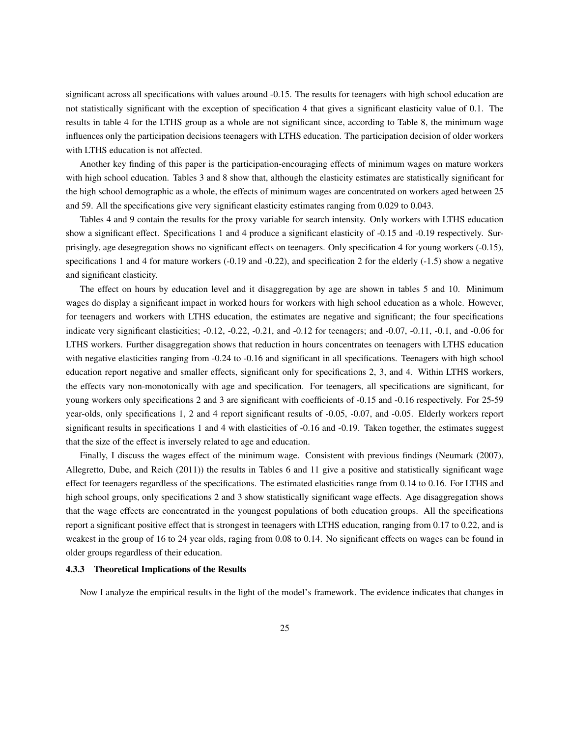significant across all specifications with values around -0.15. The results for teenagers with high school education are not statistically significant with the exception of specification 4 that gives a significant elasticity value of 0.1. The results in table 4 for the LTHS group as a whole are not significant since, according to Table 8, the minimum wage influences only the participation decisions teenagers with LTHS education. The participation decision of older workers with LTHS education is not affected.

Another key finding of this paper is the participation-encouraging effects of minimum wages on mature workers with high school education. Tables 3 and 8 show that, although the elasticity estimates are statistically significant for the high school demographic as a whole, the effects of minimum wages are concentrated on workers aged between 25 and 59. All the specifications give very significant elasticity estimates ranging from 0.029 to 0.043.

Tables 4 and 9 contain the results for the proxy variable for search intensity. Only workers with LTHS education show a significant effect. Specifications 1 and 4 produce a significant elasticity of -0.15 and -0.19 respectively. Surprisingly, age desegregation shows no significant effects on teenagers. Only specification 4 for young workers (-0.15), specifications 1 and 4 for mature workers (-0.19 and -0.22), and specification 2 for the elderly (-1.5) show a negative and significant elasticity.

The effect on hours by education level and it disaggregation by age are shown in tables 5 and 10. Minimum wages do display a significant impact in worked hours for workers with high school education as a whole. However, for teenagers and workers with LTHS education, the estimates are negative and significant; the four specifications indicate very significant elasticities; -0.12, -0.22, -0.21, and -0.12 for teenagers; and -0.07, -0.11, -0.1, and -0.06 for LTHS workers. Further disaggregation shows that reduction in hours concentrates on teenagers with LTHS education with negative elasticities ranging from -0.24 to -0.16 and significant in all specifications. Teenagers with high school education report negative and smaller effects, significant only for specifications 2, 3, and 4. Within LTHS workers, the effects vary non-monotonically with age and specification. For teenagers, all specifications are significant, for young workers only specifications 2 and 3 are significant with coefficients of -0.15 and -0.16 respectively. For 25-59 year-olds, only specifications 1, 2 and 4 report significant results of -0.05, -0.07, and -0.05. Elderly workers report significant results in specifications 1 and 4 with elasticities of -0.16 and -0.19. Taken together, the estimates suggest that the size of the effect is inversely related to age and education.

Finally, I discuss the wages effect of the minimum wage. Consistent with previous findings (Neumark (2007), Allegretto, Dube, and Reich (2011)) the results in Tables 6 and 11 give a positive and statistically significant wage effect for teenagers regardless of the specifications. The estimated elasticities range from 0.14 to 0.16. For LTHS and high school groups, only specifications 2 and 3 show statistically significant wage effects. Age disaggregation shows that the wage effects are concentrated in the youngest populations of both education groups. All the specifications report a significant positive effect that is strongest in teenagers with LTHS education, ranging from 0.17 to 0.22, and is weakest in the group of 16 to 24 year olds, raging from 0.08 to 0.14. No significant effects on wages can be found in older groups regardless of their education.

#### 4.3.3 Theoretical Implications of the Results

Now I analyze the empirical results in the light of the model's framework. The evidence indicates that changes in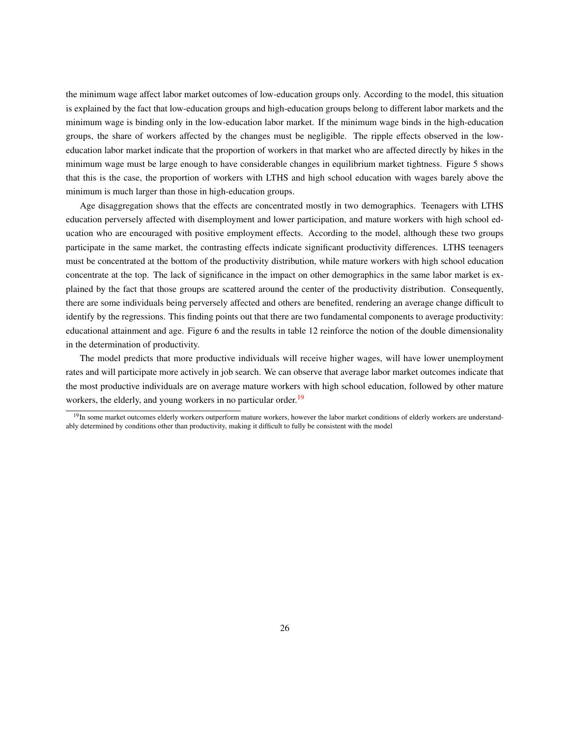the minimum wage affect labor market outcomes of low-education groups only. According to the model, this situation is explained by the fact that low-education groups and high-education groups belong to different labor markets and the minimum wage is binding only in the low-education labor market. If the minimum wage binds in the high-education groups, the share of workers affected by the changes must be negligible. The ripple effects observed in the loweducation labor market indicate that the proportion of workers in that market who are affected directly by hikes in the minimum wage must be large enough to have considerable changes in equilibrium market tightness. Figure 5 shows that this is the case, the proportion of workers with LTHS and high school education with wages barely above the minimum is much larger than those in high-education groups.

Age disaggregation shows that the effects are concentrated mostly in two demographics. Teenagers with LTHS education perversely affected with disemployment and lower participation, and mature workers with high school education who are encouraged with positive employment effects. According to the model, although these two groups participate in the same market, the contrasting effects indicate significant productivity differences. LTHS teenagers must be concentrated at the bottom of the productivity distribution, while mature workers with high school education concentrate at the top. The lack of significance in the impact on other demographics in the same labor market is explained by the fact that those groups are scattered around the center of the productivity distribution. Consequently, there are some individuals being perversely affected and others are benefited, rendering an average change difficult to identify by the regressions. This finding points out that there are two fundamental components to average productivity: educational attainment and age. Figure 6 and the results in table 12 reinforce the notion of the double dimensionality in the determination of productivity.

The model predicts that more productive individuals will receive higher wages, will have lower unemployment rates and will participate more actively in job search. We can observe that average labor market outcomes indicate that the most productive individuals are on average mature workers with high school education, followed by other mature workers, the elderly, and young workers in no particular order.<sup>[19](#page-25-0)</sup>

<span id="page-25-0"></span> $19$ In some market outcomes elderly workers outperform mature workers, however the labor market conditions of elderly workers are understandably determined by conditions other than productivity, making it difficult to fully be consistent with the model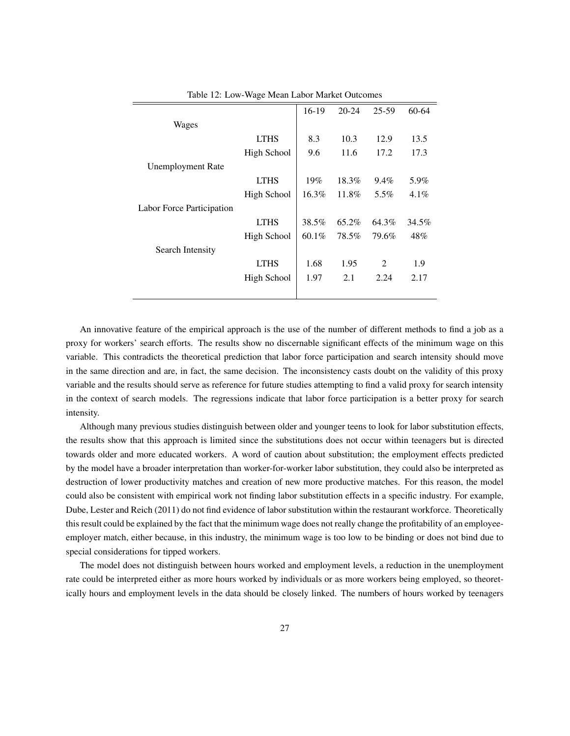| ັ           |          |           |                |         |
|-------------|----------|-----------|----------------|---------|
|             | $16-19$  | $20 - 24$ | 25-59          | 60-64   |
|             |          |           |                |         |
| <b>LTHS</b> | 8.3      | 10.3      | 12.9           | 13.5    |
| High School | 9.6      | 11.6      | 17.2           | 17.3    |
|             |          |           |                |         |
| <b>LTHS</b> | 19%      | 18.3%     | $9.4\%$        | 5.9%    |
| High School | 16.3%    | 11.8%     | 5.5%           | $4.1\%$ |
|             |          |           |                |         |
| <b>LTHS</b> | 38.5%    | 65.2%     | 64.3%          | 34.5%   |
| High School | $60.1\%$ | 78.5%     | 79.6%          | 48%     |
|             |          |           |                |         |
| <b>LTHS</b> | 1.68     | 1.95      | $\overline{2}$ | 1.9     |
| High School | 1.97     | 2.1       | 2.24           | 2.17    |
|             |          |           |                |         |
|             |          |           |                |         |

Table 12: Low-Wage Mean Labor Market Outcomes

L,

An innovative feature of the empirical approach is the use of the number of different methods to find a job as a proxy for workers' search efforts. The results show no discernable significant effects of the minimum wage on this variable. This contradicts the theoretical prediction that labor force participation and search intensity should move in the same direction and are, in fact, the same decision. The inconsistency casts doubt on the validity of this proxy variable and the results should serve as reference for future studies attempting to find a valid proxy for search intensity in the context of search models. The regressions indicate that labor force participation is a better proxy for search intensity.

Although many previous studies distinguish between older and younger teens to look for labor substitution effects, the results show that this approach is limited since the substitutions does not occur within teenagers but is directed towards older and more educated workers. A word of caution about substitution; the employment effects predicted by the model have a broader interpretation than worker-for-worker labor substitution, they could also be interpreted as destruction of lower productivity matches and creation of new more productive matches. For this reason, the model could also be consistent with empirical work not finding labor substitution effects in a specific industry. For example, Dube, Lester and Reich (2011) do not find evidence of labor substitution within the restaurant workforce. Theoretically this result could be explained by the fact that the minimum wage does not really change the profitability of an employeeemployer match, either because, in this industry, the minimum wage is too low to be binding or does not bind due to special considerations for tipped workers.

The model does not distinguish between hours worked and employment levels, a reduction in the unemployment rate could be interpreted either as more hours worked by individuals or as more workers being employed, so theoretically hours and employment levels in the data should be closely linked. The numbers of hours worked by teenagers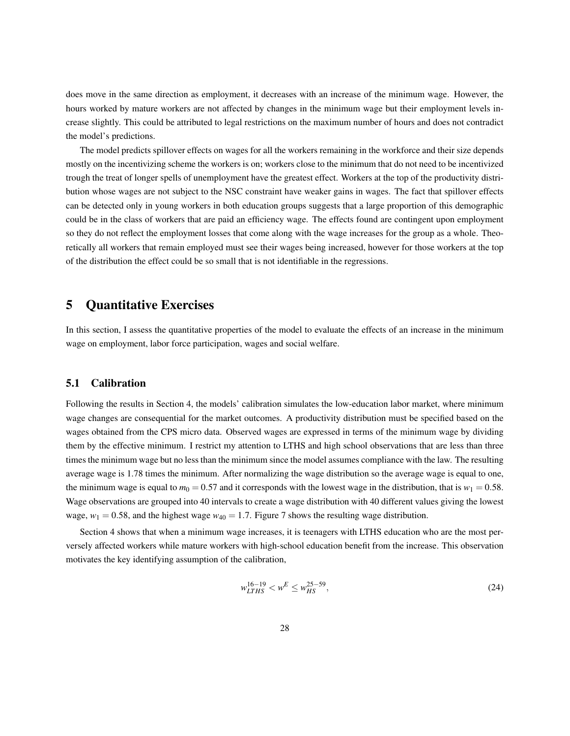does move in the same direction as employment, it decreases with an increase of the minimum wage. However, the hours worked by mature workers are not affected by changes in the minimum wage but their employment levels increase slightly. This could be attributed to legal restrictions on the maximum number of hours and does not contradict the model's predictions.

The model predicts spillover effects on wages for all the workers remaining in the workforce and their size depends mostly on the incentivizing scheme the workers is on; workers close to the minimum that do not need to be incentivized trough the treat of longer spells of unemployment have the greatest effect. Workers at the top of the productivity distribution whose wages are not subject to the NSC constraint have weaker gains in wages. The fact that spillover effects can be detected only in young workers in both education groups suggests that a large proportion of this demographic could be in the class of workers that are paid an efficiency wage. The effects found are contingent upon employment so they do not reflect the employment losses that come along with the wage increases for the group as a whole. Theoretically all workers that remain employed must see their wages being increased, however for those workers at the top of the distribution the effect could be so small that is not identifiable in the regressions.

## 5 Quantitative Exercises

In this section, I assess the quantitative properties of the model to evaluate the effects of an increase in the minimum wage on employment, labor force participation, wages and social welfare.

## 5.1 Calibration

Following the results in Section 4, the models' calibration simulates the low-education labor market, where minimum wage changes are consequential for the market outcomes. A productivity distribution must be specified based on the wages obtained from the CPS micro data. Observed wages are expressed in terms of the minimum wage by dividing them by the effective minimum. I restrict my attention to LTHS and high school observations that are less than three times the minimum wage but no less than the minimum since the model assumes compliance with the law. The resulting average wage is 1.78 times the minimum. After normalizing the wage distribution so the average wage is equal to one, the minimum wage is equal to  $m_0 = 0.57$  and it corresponds with the lowest wage in the distribution, that is  $w_1 = 0.58$ . Wage observations are grouped into 40 intervals to create a wage distribution with 40 different values giving the lowest wage,  $w_1 = 0.58$ , and the highest wage  $w_{40} = 1.7$ . Figure 7 shows the resulting wage distribution.

Section 4 shows that when a minimum wage increases, it is teenagers with LTHS education who are the most perversely affected workers while mature workers with high-school education benefit from the increase. This observation motivates the key identifying assumption of the calibration,

$$
w_{LTHS}^{16-19} < w^E \le w_{HS}^{25-59},\tag{24}
$$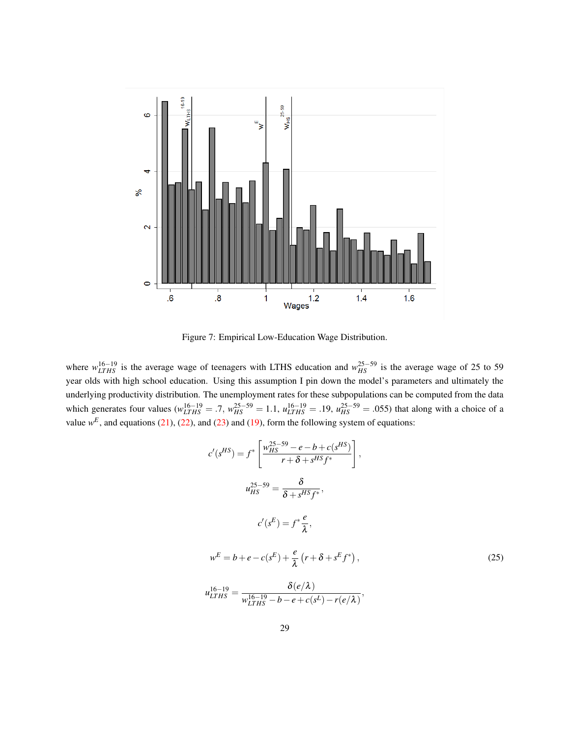

Figure 7: Empirical Low-Education Wage Distribution.

where  $w_{LTHS}^{16-19}$  is the average wage of teenagers with LTHS education and  $w_{HS}^{25-59}$  is the average wage of 25 to 59 year olds with high school education. Using this assumption I pin down the model's parameters and ultimately the underlying productivity distribution. The unemployment rates for these subpopulations can be computed from the data which generates four values ( $w_{LTHS}^{16-19} = .7$ ,  $w_{HS}^{25-59} = 1.1$ ,  $u_{LTHS}^{16-19} = .19$ ,  $u_{HS}^{25-59} = .055$ ) that along with a choice of a value  $w^E$ , and equations [\(21\)](#page-13-0), [\(22\)](#page-13-1), and [\(23\)](#page-13-2) and [\(19\)](#page-12-2), form the following system of equations:

$$
c'(s^{HS}) = f^* \left[ \frac{w_{HS}^{25-59} - e - b + c(s^{HS})}{r + \delta + s^{HS} f^*} \right],
$$
  
\n
$$
u_{HS}^{25-59} = \frac{\delta}{\delta + s^{HS} f^*},
$$
  
\n
$$
c'(s^E) = f^* \frac{e}{\lambda},
$$
  
\n
$$
w^E = b + e - c(s^E) + \frac{e}{\lambda} (r + \delta + s^E f^*),
$$
  
\n
$$
u_{LTHS}^{16-19} = \frac{\delta(e/\lambda)}{w_{LTHS}^{16-19} - b - e + c(s^L) - r(e/\lambda)},
$$
  
\n(25)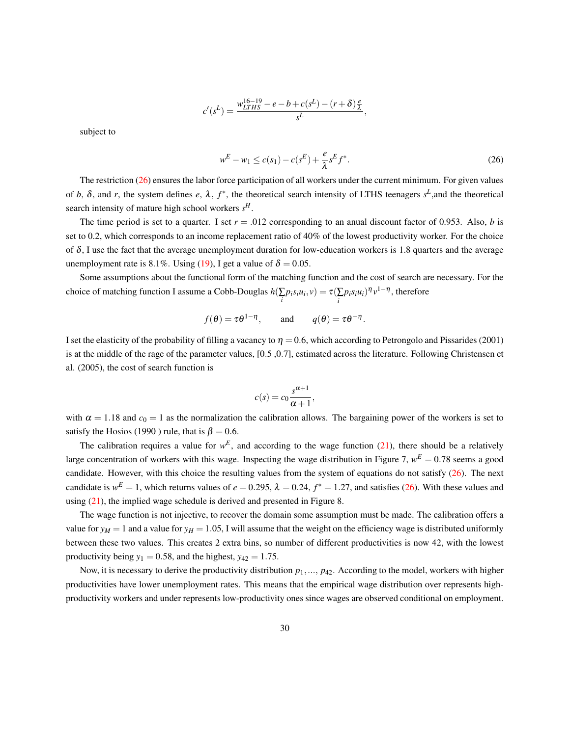$$
c'(s^L) = \frac{w_{LTHS}^{16-19} - e - b + c(s^L) - (r+\delta)\frac{e}{\lambda}}{s^L}
$$

subject to

<span id="page-29-0"></span>
$$
w^{E} - w_{1} \le c(s_{1}) - c(s^{E}) + \frac{e}{\lambda} s^{E} f^{*}.
$$
\n(26)

,

The restriction  $(26)$  ensures the labor force participation of all workers under the current minimum. For given values of *b*,  $\delta$ , and *r*, the system defines *e*,  $\lambda$ ,  $f^*$ , the theoretical search intensity of LTHS teenagers  $s^L$ , and the theoretical search intensity of mature high school workers *s H*.

The time period is set to a quarter. I set  $r = .012$  corresponding to an anual discount factor of 0.953. Also, *b* is set to 0.2, which corresponds to an income replacement ratio of 40% of the lowest productivity worker. For the choice of  $\delta$ , I use the fact that the average unemployment duration for low-education workers is 1.8 quarters and the average unemployment rate is 8.1%. Using [\(19\)](#page-12-2), I get a value of  $\delta = 0.05$ .

Some assumptions about the functional form of the matching function and the cost of search are necessary. For the choice of matching function I assume a Cobb-Douglas  $h(\sum_i p_i s_i u_i, v) = \tau(\sum_i p_i s_i u_i)^{\eta} v^{1-\eta}$ , therefore

$$
f(\theta) = \tau \theta^{1-\eta}
$$
, and  $q(\theta) = \tau \theta^{-\eta}$ .

I set the elasticity of the probability of filling a vacancy to  $\eta = 0.6$ , which according to Petrongolo and Pissarides (2001) is at the middle of the rage of the parameter values, [0.5 ,0.7], estimated across the literature. Following Christensen et al. (2005), the cost of search function is

$$
c(s) = c_0 \frac{s^{\alpha+1}}{\alpha+1},
$$

with  $\alpha = 1.18$  and  $c_0 = 1$  as the normalization the calibration allows. The bargaining power of the workers is set to satisfy the Hosios (1990) rule, that is  $\beta = 0.6$ .

The calibration requires a value for  $w^E$ , and according to the wage function [\(21\)](#page-13-0), there should be a relatively large concentration of workers with this wage. Inspecting the wage distribution in Figure 7,  $w^E = 0.78$  seems a good candidate. However, with this choice the resulting values from the system of equations do not satisfy [\(26\)](#page-29-0). The next candidate is  $w^E = 1$ , which returns values of  $e = 0.295$ ,  $\lambda = 0.24$ ,  $f^* = 1.27$ , and satisfies [\(26\)](#page-29-0). With these values and using [\(21\)](#page-13-0), the implied wage schedule is derived and presented in Figure 8.

The wage function is not injective, to recover the domain some assumption must be made. The calibration offers a value for  $y_M = 1$  and a value for  $y_H = 1.05$ , I will assume that the weight on the efficiency wage is distributed uniformly between these two values. This creates 2 extra bins, so number of different productivities is now 42, with the lowest productivity being  $y_1 = 0.58$ , and the highest,  $y_{42} = 1.75$ .

Now, it is necessary to derive the productivity distribution  $p_1, ..., p_{42}$ . According to the model, workers with higher productivities have lower unemployment rates. This means that the empirical wage distribution over represents highproductivity workers and under represents low-productivity ones since wages are observed conditional on employment.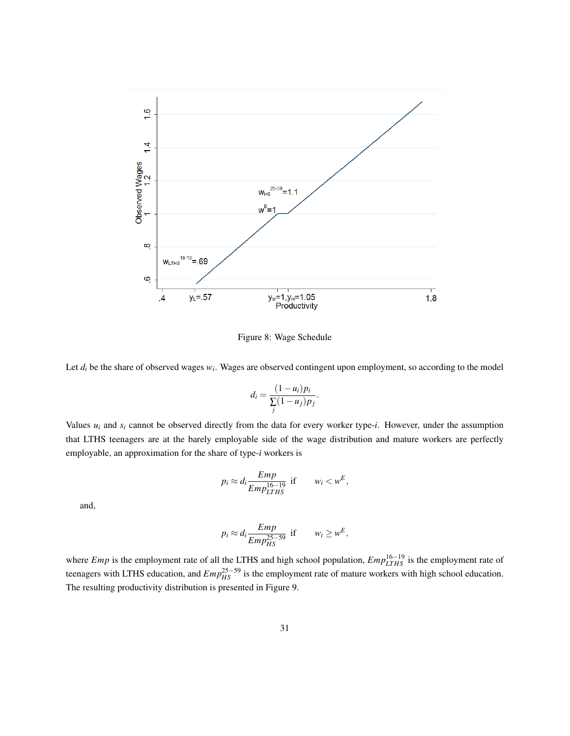

Figure 8: Wage Schedule

Let  $d_i$  be the share of observed wages  $w_i$ . Wages are observed contingent upon employment, so according to the model

$$
d_i = \frac{(1 - u_i)p_i}{\sum_j (1 - u_j)p_j}.
$$

Values  $u_i$  and  $s_i$  cannot be observed directly from the data for every worker type-*i*. However, under the assumption that LTHS teenagers are at the barely employable side of the wage distribution and mature workers are perfectly employable, an approximation for the share of type-*i* workers is

$$
p_i \approx d_i \frac{Emp}{Emp_{LTHS}^{16-19}} \text{ if } w_i < w^E
$$

,

and,

$$
p_i \approx d_i \frac{Emp}{Emp_{HS}^{25-59}} \text{ if } w_i \geq w^E,
$$

where *Emp* is the employment rate of all the LTHS and high school population,  $Emp_{LTHS}^{16-19}$  is the employment rate of teenagers with LTHS education, and  $Emp_{HS}^{25-59}$  is the employment rate of mature workers with high school education. The resulting productivity distribution is presented in Figure 9.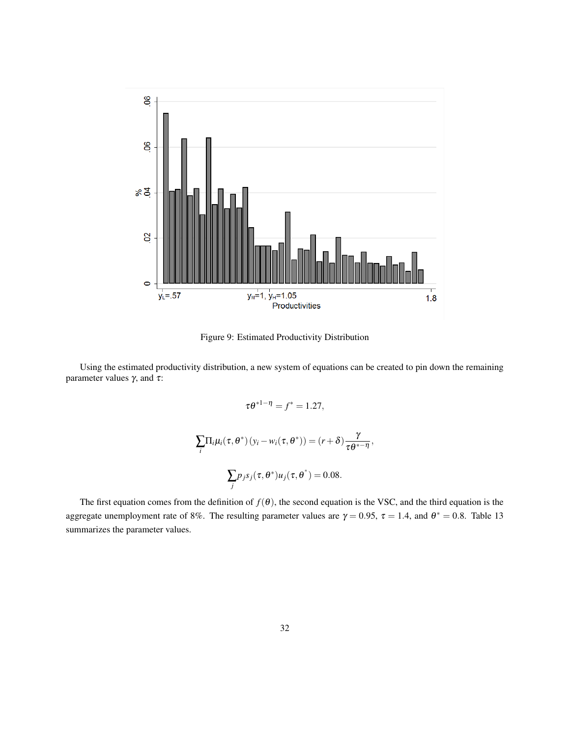

Figure 9: Estimated Productivity Distribution

Using the estimated productivity distribution, a new system of equations can be created to pin down the remaining parameter values  $γ$ , and  $τ$ :

$$
\tau \theta^{*1-\eta} = f^* = 1.27,
$$
  

$$
\sum_{i} \Pi_{i} \mu_{i}(\tau, \theta^*) (y_i - w_i(\tau, \theta^*)) = (r + \delta) \frac{\gamma}{\tau \theta^{*- \eta}},
$$
  

$$
\sum_{i} p_j s_j(\tau, \theta^*) u_j(\tau, \theta^*) = 0.08.
$$

The first equation comes from the definition of  $f(\theta)$ , the second equation is the VSC, and the third equation is the aggregate unemployment rate of 8%. The resulting parameter values are  $\gamma = 0.95$ ,  $\tau = 1.4$ , and  $\theta^* = 0.8$ . Table 13 summarizes the parameter values.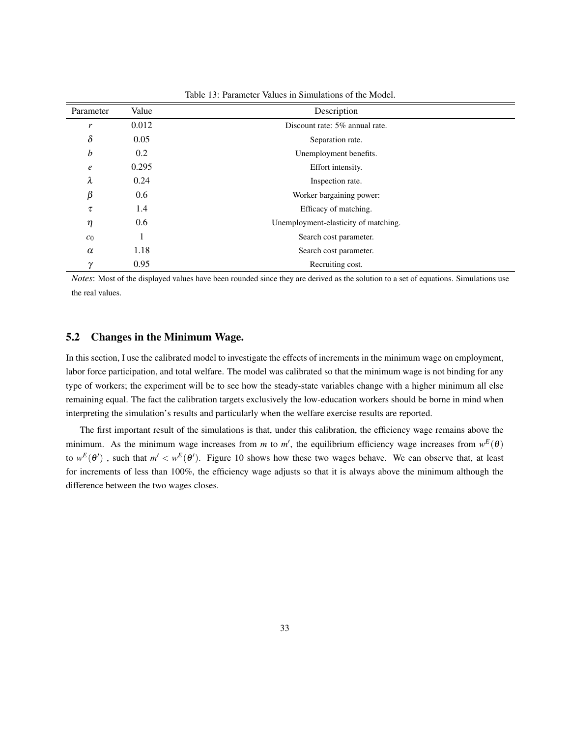| Parameter        | Value | Description                          |
|------------------|-------|--------------------------------------|
| r                | 0.012 | Discount rate: 5% annual rate.       |
| $\delta$         | 0.05  | Separation rate.                     |
| b                | 0.2   | Unemployment benefits.               |
| $\boldsymbol{e}$ | 0.295 | Effort intensity.                    |
| λ                | 0.24  | Inspection rate.                     |
| β                | 0.6   | Worker bargaining power:             |
| τ                | 1.4   | Efficacy of matching.                |
| η                | 0.6   | Unemployment-elasticity of matching. |
| $c_0$            | 1     | Search cost parameter.               |
| $\alpha$         | 1.18  | Search cost parameter.               |
| $\gamma$         | 0.95  | Recruiting cost.                     |

Table 13: Parameter Values in Simulations of the Model.

*Notes*: Most of the displayed values have been rounded since they are derived as the solution to a set of equations. Simulations use the real values.

## 5.2 Changes in the Minimum Wage.

In this section, I use the calibrated model to investigate the effects of increments in the minimum wage on employment, labor force participation, and total welfare. The model was calibrated so that the minimum wage is not binding for any type of workers; the experiment will be to see how the steady-state variables change with a higher minimum all else remaining equal. The fact the calibration targets exclusively the low-education workers should be borne in mind when interpreting the simulation's results and particularly when the welfare exercise results are reported.

The first important result of the simulations is that, under this calibration, the efficiency wage remains above the minimum. As the minimum wage increases from *m* to *m'*, the equilibrium efficiency wage increases from  $w^E(\theta)$ to  $w^E(\theta')$ , such that  $m' < w^E(\theta')$ . Figure 10 shows how these two wages behave. We can observe that, at least for increments of less than 100%, the efficiency wage adjusts so that it is always above the minimum although the difference between the two wages closes.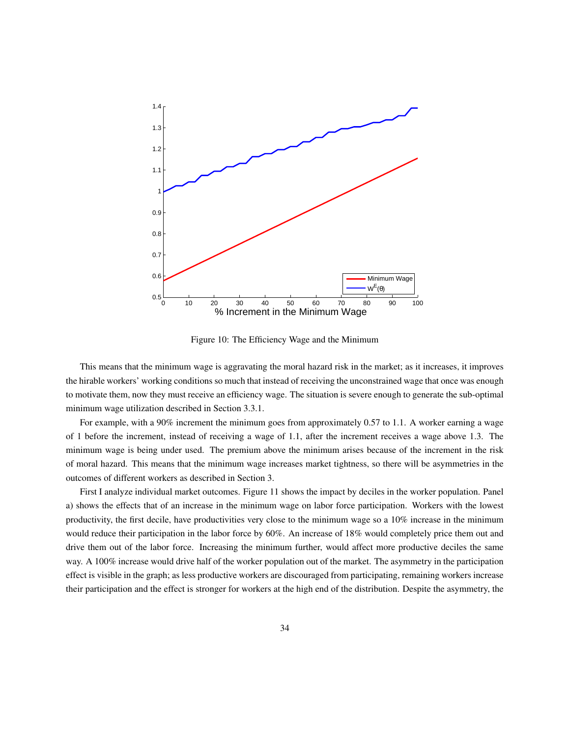

Figure 10: The Efficiency Wage and the Minimum

This means that the minimum wage is aggravating the moral hazard risk in the market; as it increases, it improves the hirable workers' working conditions so much that instead of receiving the unconstrained wage that once was enough to motivate them, now they must receive an efficiency wage. The situation is severe enough to generate the sub-optimal minimum wage utilization described in Section 3.3.1.

For example, with a 90% increment the minimum goes from approximately 0.57 to 1.1. A worker earning a wage of 1 before the increment, instead of receiving a wage of 1.1, after the increment receives a wage above 1.3. The minimum wage is being under used. The premium above the minimum arises because of the increment in the risk of moral hazard. This means that the minimum wage increases market tightness, so there will be asymmetries in the outcomes of different workers as described in Section 3.

First I analyze individual market outcomes. Figure 11 shows the impact by deciles in the worker population. Panel a) shows the effects that of an increase in the minimum wage on labor force participation. Workers with the lowest productivity, the first decile, have productivities very close to the minimum wage so a 10% increase in the minimum would reduce their participation in the labor force by 60%. An increase of 18% would completely price them out and drive them out of the labor force. Increasing the minimum further, would affect more productive deciles the same way. A 100% increase would drive half of the worker population out of the market. The asymmetry in the participation effect is visible in the graph; as less productive workers are discouraged from participating, remaining workers increase their participation and the effect is stronger for workers at the high end of the distribution. Despite the asymmetry, the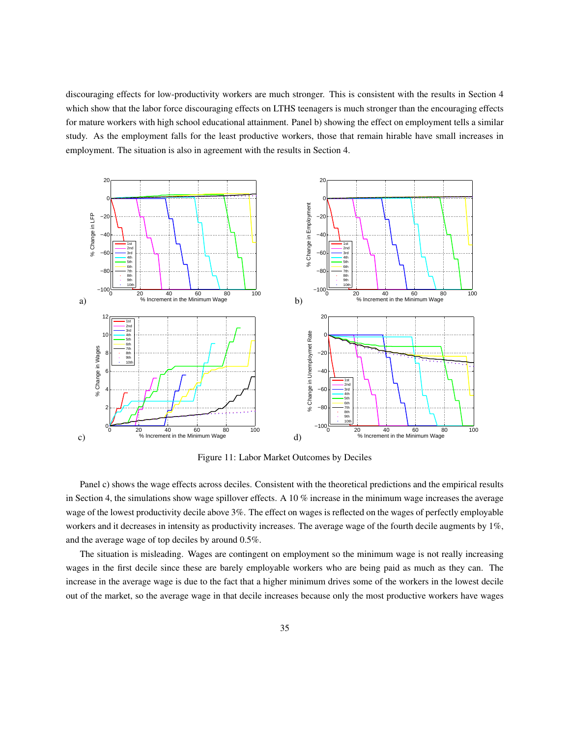discouraging effects for low-productivity workers are much stronger. This is consistent with the results in Section 4 which show that the labor force discouraging effects on LTHS teenagers is much stronger than the encouraging effects for mature workers with high school educational attainment. Panel b) showing the effect on employment tells a similar study. As the employment falls for the least productive workers, those that remain hirable have small increases in employment. The situation is also in agreement with the results in Section 4.



Figure 11: Labor Market Outcomes by Deciles

Panel c) shows the wage effects across deciles. Consistent with the theoretical predictions and the empirical results in Section 4, the simulations show wage spillover effects. A 10 % increase in the minimum wage increases the average wage of the lowest productivity decile above 3%. The effect on wages is reflected on the wages of perfectly employable workers and it decreases in intensity as productivity increases. The average wage of the fourth decile augments by 1%, and the average wage of top deciles by around 0.5%.

The situation is misleading. Wages are contingent on employment so the minimum wage is not really increasing wages in the first decile since these are barely employable workers who are being paid as much as they can. The increase in the average wage is due to the fact that a higher minimum drives some of the workers in the lowest decile out of the market, so the average wage in that decile increases because only the most productive workers have wages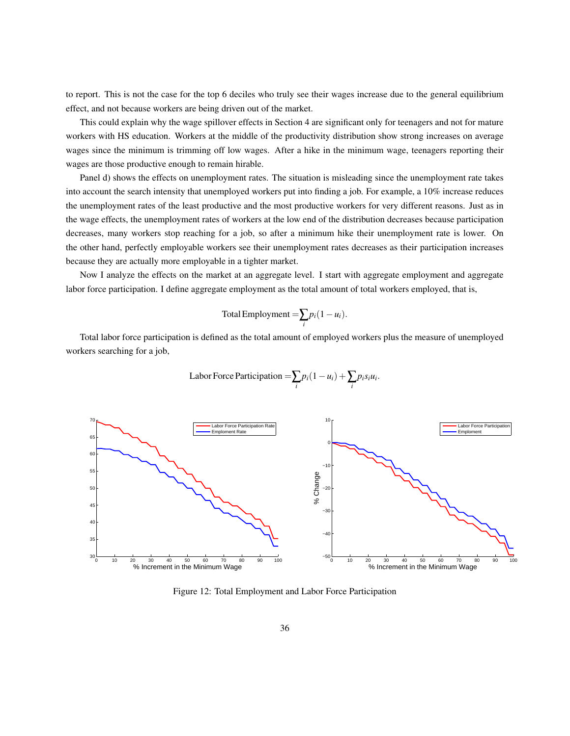to report. This is not the case for the top 6 deciles who truly see their wages increase due to the general equilibrium effect, and not because workers are being driven out of the market.

This could explain why the wage spillover effects in Section 4 are significant only for teenagers and not for mature workers with HS education. Workers at the middle of the productivity distribution show strong increases on average wages since the minimum is trimming off low wages. After a hike in the minimum wage, teenagers reporting their wages are those productive enough to remain hirable.

Panel d) shows the effects on unemployment rates. The situation is misleading since the unemployment rate takes into account the search intensity that unemployed workers put into finding a job. For example, a 10% increase reduces the unemployment rates of the least productive and the most productive workers for very different reasons. Just as in the wage effects, the unemployment rates of workers at the low end of the distribution decreases because participation decreases, many workers stop reaching for a job, so after a minimum hike their unemployment rate is lower. On the other hand, perfectly employable workers see their unemployment rates decreases as their participation increases because they are actually more employable in a tighter market.

Now I analyze the effects on the market at an aggregate level. I start with aggregate employment and aggregate labor force participation. I define aggregate employment as the total amount of total workers employed, that is,

Total Employment = 
$$
\sum_{i} p_i (1 - u_i).
$$

Total labor force participation is defined as the total amount of employed workers plus the measure of unemployed workers searching for a job,

$$
Labor Force Partition = \sum_{i} p_i (1 - u_i) + \sum_{i} p_i s_i u_i.
$$



Figure 12: Total Employment and Labor Force Participation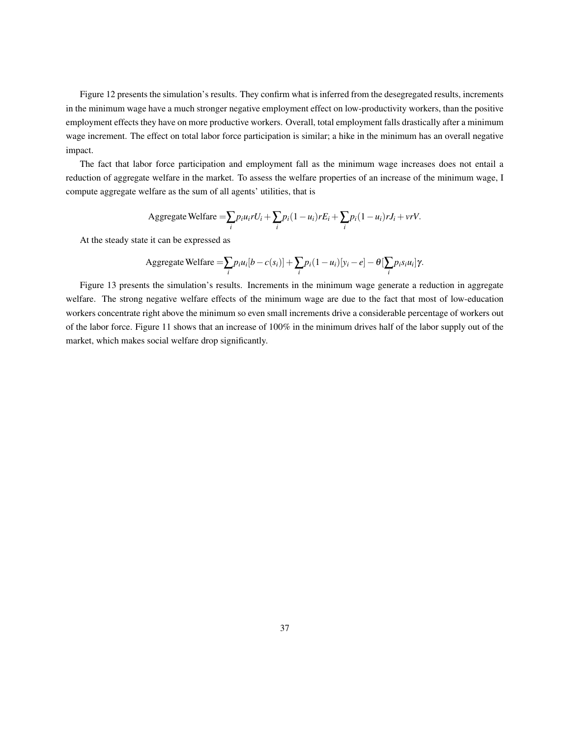Figure 12 presents the simulation's results. They confirm what is inferred from the desegregated results, increments in the minimum wage have a much stronger negative employment effect on low-productivity workers, than the positive employment effects they have on more productive workers. Overall, total employment falls drastically after a minimum wage increment. The effect on total labor force participation is similar; a hike in the minimum has an overall negative impact.

The fact that labor force participation and employment fall as the minimum wage increases does not entail a reduction of aggregate welfare in the market. To assess the welfare properties of an increase of the minimum wage, I compute aggregate welfare as the sum of all agents' utilities, that is

Aggregate Welfare 
$$
=\sum_i p_i u_i r U_i + \sum_i p_i (1 - u_i) r E_i + \sum_i p_i (1 - u_i) r J_i + \nu r V.
$$

At the steady state it can be expressed as

Aggregate Welfare 
$$
=\sum_i p_i u_i [b - c(s_i)] + \sum_i p_i (1 - u_i) [y_i - e] - \theta [\sum_i p_i s_i u_i] \gamma.
$$

Figure 13 presents the simulation's results. Increments in the minimum wage generate a reduction in aggregate welfare. The strong negative welfare effects of the minimum wage are due to the fact that most of low-education workers concentrate right above the minimum so even small increments drive a considerable percentage of workers out of the labor force. Figure 11 shows that an increase of 100% in the minimum drives half of the labor supply out of the market, which makes social welfare drop significantly.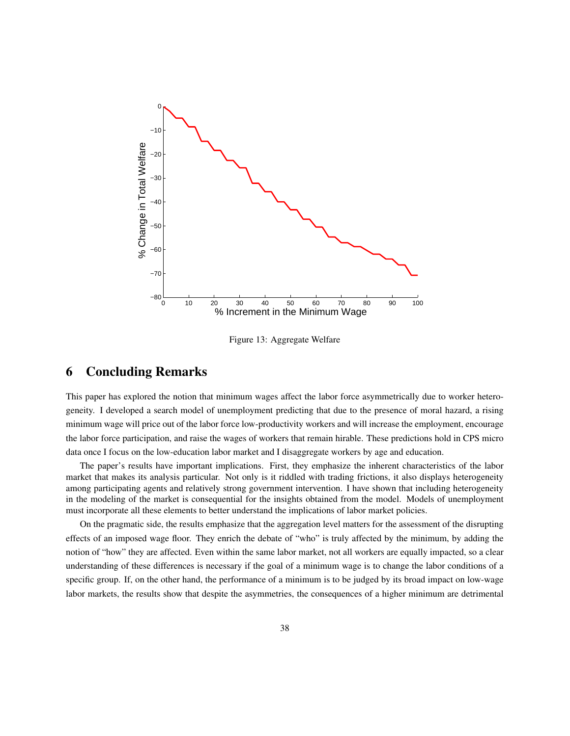

Figure 13: Aggregate Welfare

## 6 Concluding Remarks

This paper has explored the notion that minimum wages affect the labor force asymmetrically due to worker heterogeneity. I developed a search model of unemployment predicting that due to the presence of moral hazard, a rising minimum wage will price out of the labor force low-productivity workers and will increase the employment, encourage the labor force participation, and raise the wages of workers that remain hirable. These predictions hold in CPS micro data once I focus on the low-education labor market and I disaggregate workers by age and education.

The paper's results have important implications. First, they emphasize the inherent characteristics of the labor market that makes its analysis particular. Not only is it riddled with trading frictions, it also displays heterogeneity among participating agents and relatively strong government intervention. I have shown that including heterogeneity in the modeling of the market is consequential for the insights obtained from the model. Models of unemployment must incorporate all these elements to better understand the implications of labor market policies.

On the pragmatic side, the results emphasize that the aggregation level matters for the assessment of the disrupting effects of an imposed wage floor. They enrich the debate of "who" is truly affected by the minimum, by adding the notion of "how" they are affected. Even within the same labor market, not all workers are equally impacted, so a clear understanding of these differences is necessary if the goal of a minimum wage is to change the labor conditions of a specific group. If, on the other hand, the performance of a minimum is to be judged by its broad impact on low-wage labor markets, the results show that despite the asymmetries, the consequences of a higher minimum are detrimental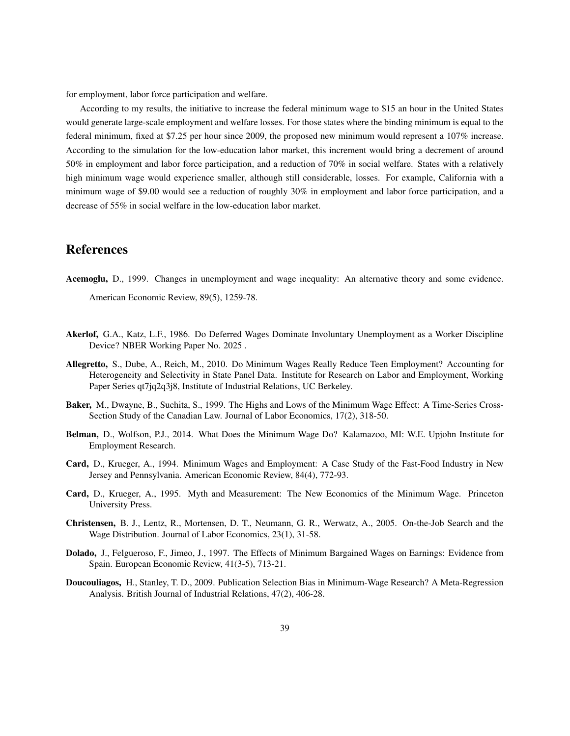for employment, labor force participation and welfare.

According to my results, the initiative to increase the federal minimum wage to \$15 an hour in the United States would generate large-scale employment and welfare losses. For those states where the binding minimum is equal to the federal minimum, fixed at \$7.25 per hour since 2009, the proposed new minimum would represent a 107% increase. According to the simulation for the low-education labor market, this increment would bring a decrement of around 50% in employment and labor force participation, and a reduction of 70% in social welfare. States with a relatively high minimum wage would experience smaller, although still considerable, losses. For example, California with a minimum wage of \$9.00 would see a reduction of roughly 30% in employment and labor force participation, and a decrease of 55% in social welfare in the low-education labor market.

## References

- Acemoglu, D., 1999. Changes in unemployment and wage inequality: An alternative theory and some evidence. American Economic Review, 89(5), 1259-78.
- Akerlof, G.A., Katz, L.F., 1986. Do Deferred Wages Dominate Involuntary Unemployment as a Worker Discipline Device? NBER Working Paper No. 2025 .
- Allegretto, S., Dube, A., Reich, M., 2010. Do Minimum Wages Really Reduce Teen Employment? Accounting for Heterogeneity and Selectivity in State Panel Data. Institute for Research on Labor and Employment, Working Paper Series qt7jq2q3j8, Institute of Industrial Relations, UC Berkeley.
- Baker, M., Dwayne, B., Suchita, S., 1999. The Highs and Lows of the Minimum Wage Effect: A Time-Series Cross-Section Study of the Canadian Law. Journal of Labor Economics, 17(2), 318-50.
- Belman, D., Wolfson, P.J., 2014. What Does the Minimum Wage Do? Kalamazoo, MI: W.E. Upjohn Institute for Employment Research.
- Card, D., Krueger, A., 1994. Minimum Wages and Employment: A Case Study of the Fast-Food Industry in New Jersey and Pennsylvania. American Economic Review, 84(4), 772-93.
- Card, D., Krueger, A., 1995. Myth and Measurement: The New Economics of the Minimum Wage. Princeton University Press.
- Christensen, B. J., Lentz, R., Mortensen, D. T., Neumann, G. R., Werwatz, A., 2005. On-the-Job Search and the Wage Distribution. Journal of Labor Economics, 23(1), 31-58.
- Dolado, J., Felgueroso, F., Jimeo, J., 1997. The Effects of Minimum Bargained Wages on Earnings: Evidence from Spain. European Economic Review, 41(3-5), 713-21.
- Doucouliagos, H., Stanley, T. D., 2009. Publication Selection Bias in Minimum-Wage Research? A Meta-Regression Analysis. British Journal of Industrial Relations, 47(2), 406-28.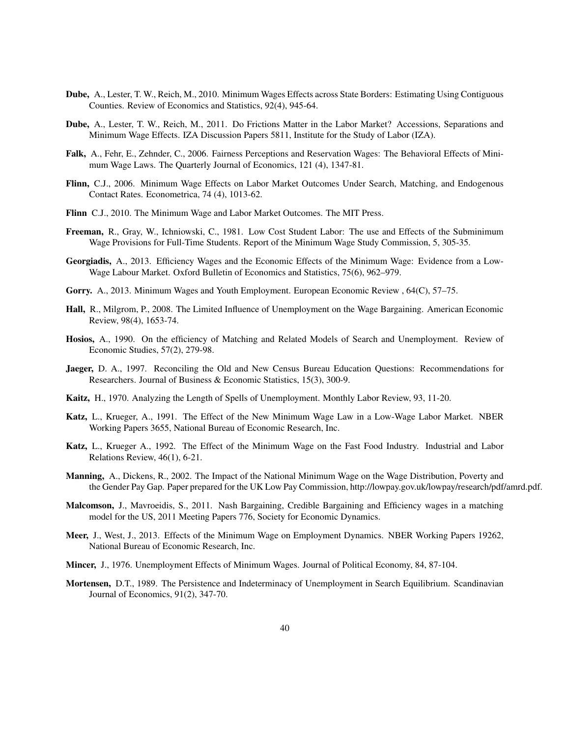- Dube, A., Lester, T. W., Reich, M., 2010. Minimum Wages Effects across State Borders: Estimating Using Contiguous Counties. Review of Economics and Statistics, 92(4), 945-64.
- Dube, A., Lester, T. W., Reich, M., 2011. Do Frictions Matter in the Labor Market? Accessions, Separations and Minimum Wage Effects. IZA Discussion Papers 5811, Institute for the Study of Labor (IZA).
- Falk, A., Fehr, E., Zehnder, C., 2006. Fairness Perceptions and Reservation Wages: The Behavioral Effects of Minimum Wage Laws. The Quarterly Journal of Economics, 121 (4), 1347-81.
- Flinn, C.J., 2006. Minimum Wage Effects on Labor Market Outcomes Under Search, Matching, and Endogenous Contact Rates. Econometrica, 74 (4), 1013-62.
- Flinn C.J., 2010. The Minimum Wage and Labor Market Outcomes. The MIT Press.
- Freeman, R., Gray, W., Ichniowski, C., 1981. Low Cost Student Labor: The use and Effects of the Subminimum Wage Provisions for Full-Time Students. Report of the Minimum Wage Study Commission, 5, 305-35.
- Georgiadis, A., 2013. Efficiency Wages and the Economic Effects of the Minimum Wage: Evidence from a Low-Wage Labour Market. Oxford Bulletin of Economics and Statistics, 75(6), 962–979.
- Gorry. A., 2013. Minimum Wages and Youth Employment. European Economic Review , 64(C), 57–75.
- Hall, R., Milgrom, P., 2008. The Limited Influence of Unemployment on the Wage Bargaining. American Economic Review, 98(4), 1653-74.
- Hosios, A., 1990. On the efficiency of Matching and Related Models of Search and Unemployment. Review of Economic Studies, 57(2), 279-98.
- Jaeger, D. A., 1997. Reconciling the Old and New Census Bureau Education Questions: Recommendations for Researchers. Journal of Business & Economic Statistics, 15(3), 300-9.
- Kaitz, H., 1970. Analyzing the Length of Spells of Unemployment. Monthly Labor Review, 93, 11-20.
- Katz, L., Krueger, A., 1991. The Effect of the New Minimum Wage Law in a Low-Wage Labor Market. NBER Working Papers 3655, National Bureau of Economic Research, Inc.
- Katz, L., Krueger A., 1992. The Effect of the Minimum Wage on the Fast Food Industry. Industrial and Labor Relations Review, 46(1), 6-21.
- Manning, A., Dickens, R., 2002. The Impact of the National Minimum Wage on the Wage Distribution, Poverty and the Gender Pay Gap. Paper prepared for the UK Low Pay Commission, http://lowpay.gov.uk/lowpay/research/pdf/amrd.pdf.
- Malcomson, J., Mavroeidis, S., 2011. Nash Bargaining, Credible Bargaining and Efficiency wages in a matching model for the US, 2011 Meeting Papers 776, Society for Economic Dynamics.
- Meer, J., West, J., 2013. Effects of the Minimum Wage on Employment Dynamics. NBER Working Papers 19262, National Bureau of Economic Research, Inc.
- Mincer, J., 1976. Unemployment Effects of Minimum Wages. Journal of Political Economy, 84, 87-104.
- Mortensen, D.T., 1989. The Persistence and Indeterminacy of Unemployment in Search Equilibrium. Scandinavian Journal of Economics, 91(2), 347-70.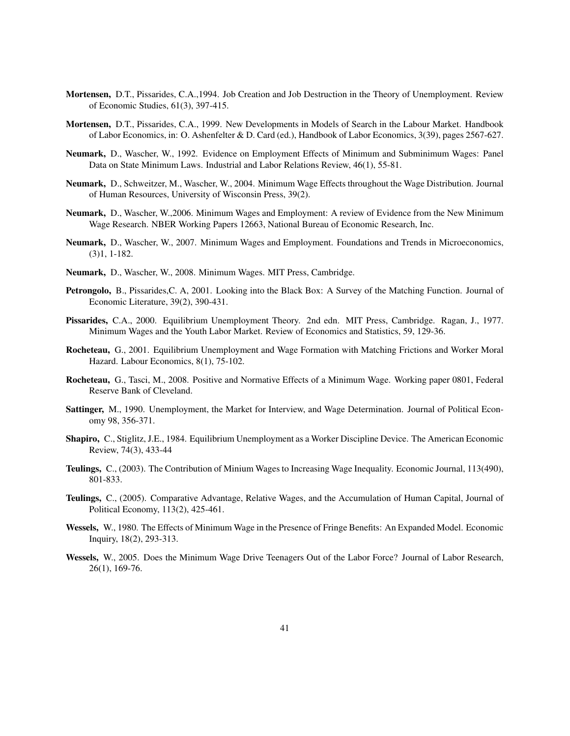- Mortensen, D.T., Pissarides, C.A.,1994. Job Creation and Job Destruction in the Theory of Unemployment. Review of Economic Studies, 61(3), 397-415.
- Mortensen, D.T., Pissarides, C.A., 1999. New Developments in Models of Search in the Labour Market. Handbook of Labor Economics, in: O. Ashenfelter & D. Card (ed.), Handbook of Labor Economics, 3(39), pages 2567-627.
- Neumark, D., Wascher, W., 1992. Evidence on Employment Effects of Minimum and Subminimum Wages: Panel Data on State Minimum Laws. Industrial and Labor Relations Review, 46(1), 55-81.
- Neumark, D., Schweitzer, M., Wascher, W., 2004. Minimum Wage Effects throughout the Wage Distribution. Journal of Human Resources, University of Wisconsin Press, 39(2).
- Neumark, D., Wascher, W.,2006. Minimum Wages and Employment: A review of Evidence from the New Minimum Wage Research. NBER Working Papers 12663, National Bureau of Economic Research, Inc.
- Neumark, D., Wascher, W., 2007. Minimum Wages and Employment. Foundations and Trends in Microeconomics, (3)1, 1-182.
- Neumark, D., Wascher, W., 2008. Minimum Wages. MIT Press, Cambridge.
- Petrongolo, B., Pissarides,C. A, 2001. Looking into the Black Box: A Survey of the Matching Function. Journal of Economic Literature, 39(2), 390-431.
- Pissarides, C.A., 2000. Equilibrium Unemployment Theory. 2nd edn. MIT Press, Cambridge. Ragan, J., 1977. Minimum Wages and the Youth Labor Market. Review of Economics and Statistics, 59, 129-36.
- Rocheteau, G., 2001. Equilibrium Unemployment and Wage Formation with Matching Frictions and Worker Moral Hazard. Labour Economics, 8(1), 75-102.
- Rocheteau, G., Tasci, M., 2008. Positive and Normative Effects of a Minimum Wage. Working paper 0801, Federal Reserve Bank of Cleveland.
- Sattinger, M., 1990. Unemployment, the Market for Interview, and Wage Determination. Journal of Political Economy 98, 356-371.
- Shapiro, C., Stiglitz, J.E., 1984. Equilibrium Unemployment as a Worker Discipline Device. The American Economic Review, 74(3), 433-44
- Teulings, C., (2003). The Contribution of Minium Wages to Increasing Wage Inequality. Economic Journal, 113(490), 801-833.
- Teulings, C., (2005). Comparative Advantage, Relative Wages, and the Accumulation of Human Capital, Journal of Political Economy, 113(2), 425-461.
- Wessels, W., 1980. The Effects of Minimum Wage in the Presence of Fringe Benefits: An Expanded Model. Economic Inquiry, 18(2), 293-313.
- Wessels, W., 2005. Does the Minimum Wage Drive Teenagers Out of the Labor Force? Journal of Labor Research, 26(1), 169-76.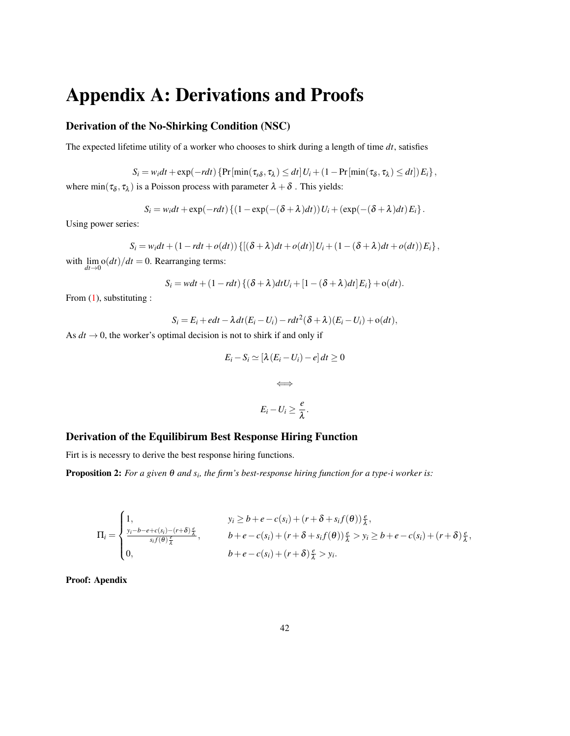# Appendix A: Derivations and Proofs

## Derivation of the No-Shirking Condition (NSC)

The expected lifetime utility of a worker who chooses to shirk during a length of time *dt*, satisfies

$$
S_i = w_i dt + \exp(-r dt) \left\{ \Pr\left[\min(\tau_{\delta\delta}, \tau_{\lambda}) \le dt\right] U_i + (1 - \Pr\left[\min(\tau_{\delta}, \tau_{\lambda}) \le dt\right] \right) E_i \right\},\,
$$

where  $\min(\tau_\delta, \tau_\lambda)$  is a Poisson process with parameter  $\lambda + \delta$ . This yields:

$$
S_i = w_i dt + \exp(-r dt) \left\{ (1 - \exp(-(\delta + \lambda) dt)) U_i + (\exp(-(\delta + \lambda) dt) E_i) \right\}.
$$

Using power series:

$$
S_i = w_i dt + (1 - r dt + o(dt)) \left\{ \left[ (\delta + \lambda) dt + o(dt) \right] U_i + (1 - (\delta + \lambda) dt + o(dt)) E_i \right\},
$$

with  $\lim_{dt\to 0} o(dt)/dt = 0$ . Rearranging terms:

$$
S_i = wdt + (1 - rdt) \left\{ (\delta + \lambda)dtU_i + [1 - (\delta + \lambda)dt]E_i \right\} + o(dt).
$$

From [\(1\)](#page-6-0), substituting :

$$
S_i = E_i + edt - \lambda dt (E_i - U_i) - r dt^2 (\delta + \lambda) (E_i - U_i) + o(dt),
$$

As  $dt \rightarrow 0$ , the worker's optimal decision is not to shirk if and only if

$$
E_i - S_i \simeq [\lambda (E_i - U_i) - e] dt \ge 0
$$
  

$$
\iff
$$
  

$$
E_i - U_i \ge \frac{e}{\lambda}.
$$

## Derivation of the Equilibirum Best Response Hiring Function

Firt is is necessry to derive the best response hiring functions.

**Proposition 2:** *For a given*  $\theta$  *and s<sub>i</sub>, the firm's best-response hiring function for a type-i worker is:* 

$$
\Pi_{i} = \begin{cases}\n1, & y_{i} \geq b + e - c(s_{i}) + (r + \delta + s_{i}f(\theta))\frac{e}{\lambda}, \\
\frac{y_{i} - b - e + c(s_{i}) - (r + \delta)\frac{e}{\lambda}}{s_{i}f(\theta)\frac{e}{\lambda}}, & b + e - c(s_{i}) + (r + \delta + s_{i}f(\theta))\frac{e}{\lambda} > y_{i} \geq b + e - c(s_{i}) + (r + \delta)\frac{e}{\lambda}, \\
0, & b + e - c(s_{i}) + (r + \delta)\frac{e}{\lambda} > y_{i}.\n\end{cases}
$$

Proof: Apendix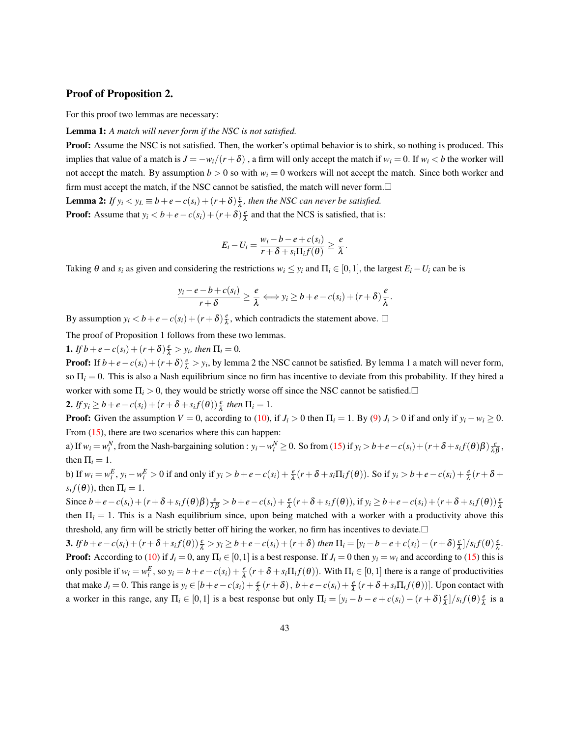#### Proof of Proposition 2.

For this proof two lemmas are necessary:

#### Lemma 1: *A match will never form if the NSC is not satisfied.*

Proof: Assume the NSC is not satisfied. Then, the worker's optimal behavior is to shirk, so nothing is produced. This implies that value of a match is  $J = -w_i/(r + \delta)$ , a firm will only accept the match if  $w_i = 0$ . If  $w_i < b$  the worker will not accept the match. By assumption  $b > 0$  so with  $w_i = 0$  workers will not accept the match. Since both worker and firm must accept the match, if the NSC cannot be satisfied, the match will never form. $\Box$ **Lemma 2:** *If*  $y_i < y_L \equiv b + e - c(s_i) + (r + \delta) \frac{e}{\lambda}$  $\frac{e}{\lambda}$ , then the NSC can never be satisfied.

**Proof:** Assume that  $y_i < b + e - c(s_i) + (r + \delta) \frac{e}{\lambda}$  $\frac{e}{\lambda}$  and that the NCS is satisfied, that is:

$$
E_i-U_i=\frac{w_i-b-e+c(s_i)}{r+\delta+s_i\Pi_i f(\theta)}\geq \frac{e}{\lambda}.
$$

Taking  $\theta$  and  $s_i$  as given and considering the restrictions  $w_i \leq y_i$  and  $\Pi_i \in [0,1]$ , the largest  $E_i - U_i$  can be is

$$
\frac{y_i-e-b+c(s_i)}{r+\delta}\geq \frac{e}{\lambda}\Longleftrightarrow y_i\geq b+e-c(s_i)+(r+\delta)\frac{e}{\lambda}.
$$

By assumption  $y_i < b + e - c(s_i) + (r + \delta) \frac{e}{\lambda}$  $\frac{e}{\lambda}$ , which contradicts the statement above.  $\Box$ 

The proof of Proposition 1 follows from these two lemmas.

**1.** *If*  $b + e - c(s_i) + (r + \delta) \frac{e}{\lambda} > y_i$ , then  $\Pi_i = 0$ .

**Proof:** If  $b + e - c(s_i) + (r + \delta) \frac{e}{\lambda} > y_i$ , by lemma 2 the NSC cannot be satisfied. By lemma 1 a match will never form, so  $\Pi_i = 0$ . This is also a Nash equilibrium since no firm has incentive to deviate from this probability. If they hired a worker with some  $\Pi_i > 0$ , they would be strictly worse off since the NSC cannot be satisfied.

2. *If*  $y_i \ge b + e - c(s_i) + (r + \delta + s_i f(\theta)) \frac{e}{\lambda}$  then  $\Pi_i = 1$ .

**Proof:** Given the assumption  $V = 0$ , according to [\(10\)](#page-8-3), if  $J_i > 0$  then  $\Pi_i = 1$ . By [\(9\)](#page-7-4)  $J_i > 0$  if and only if  $y_i - w_i \ge 0$ . From  $(15)$ , there are two scenarios where this can happen:

a) If  $w_i = w_i^N$ , from the Nash-bargaining solution :  $y_i - w_i^N \ge 0$ . So from [\(15\)](#page-9-0) if  $y_i > b + e - c(s_i) + (r + \delta + s_i f(\theta)) \frac{e}{\lambda \beta}$ , then  $\Pi_i = 1$ .

b) If  $w_i = w_i^E$ ,  $y_i - w_i^E > 0$  if and only if  $y_i > b + e - c(s_i) + \frac{e}{\lambda}(r + \delta + s_i \Pi_i f(\theta))$ . So if  $y_i > b + e - c(s_i) + \frac{e}{\lambda}(r + \delta + s_i \Pi_i f(\theta))$  $s_i f(\theta)$ ), then  $\Pi_i = 1$ .

Since  $b+e-c(s_i)+(r+\delta+s_if(\theta)\beta)\frac{e}{\lambda\beta}>b+e-c(s_i)+\frac{e}{\lambda}(r+\delta+s_if(\theta))$ , if  $y_i\geq b+e-c(s_i)+(r+\delta+s_if(\theta))\frac{e}{\lambda}$ then  $\Pi_i = 1$ . This is a Nash equilibrium since, upon being matched with a worker with a productivity above this threshold, any firm will be strictly better off hiring the worker, no firm has incentives to deviate.

**3.** If  $b+e-c(s_i)+(r+\delta+s_if(\theta))\frac{e}{\lambda} > y_i \geq b+e-c(s_i)+(r+\delta)$  then  $\Pi_i = [y_i-b-e+c(s_i)-(r+\delta)\frac{e}{\lambda}$  $\frac{e}{\lambda}$ ]/s<sub>*i*</sub> $f(\theta)$  $\frac{e}{\lambda}$ λ *.* **Proof:** According to [\(10\)](#page-8-3) if  $J_i = 0$ , any  $\Pi_i \in [0,1]$  is a best response. If  $J_i = 0$  then  $y_i = w_i$  and according to [\(15\)](#page-9-0) this is only posible if  $w_i = w_i^E$ , so  $y_i = b + e - c(s_i) + \frac{e}{\lambda}(r + \delta + s_i \Pi_i f(\theta))$ . With  $\Pi_i \in [0, 1]$  there is a range of productivities that make  $J_i = 0$ . This range is  $y_i \in [b + e - c(s_i) + \frac{e}{\lambda}(r + \delta), b + e - c(s_i) + \frac{e}{\lambda}(r + \delta + s_i \Pi_i f(\theta))]$ . Upon contact with a worker in this range, any  $\Pi_i \in [0,1]$  is a best response but only  $\Pi_i = [y_i - b - e + c(s_i) - (r + \delta)] \frac{e}{\lambda}$  $\frac{e}{\lambda}$ ]/s<sub>*i*</sub> $f(\theta)$  $\frac{e}{\lambda}$  $\frac{e}{\lambda}$  is a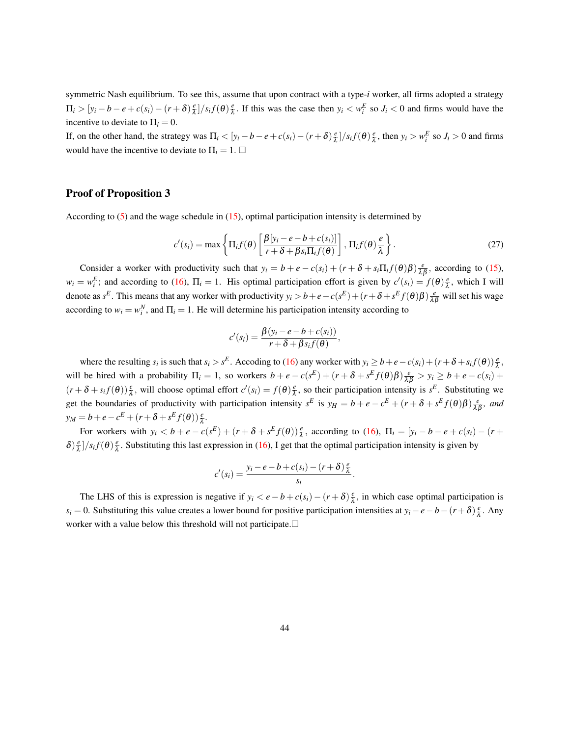symmetric Nash equilibrium. To see this, assume that upon contract with a type-*i* worker, all firms adopted a strategy  $\Pi_i > [y_i - b - e + c(s_i) - (r + \delta)]\frac{e}{\lambda}$  $\frac{e}{\lambda}$ ]/s<sub>i</sub>f( $\theta$ ) $\frac{e}{\lambda}$  $\frac{e}{\lambda}$ . If this was the case then  $y_i < w_i^E$  so  $J_i < 0$  and firms would have the incentive to deviate to  $\Pi_i = 0$ .

If, on the other hand, the strategy was  $\Pi_i < [y_i - b - e + c(s_i) - (r + \delta)]\frac{e}{\lambda}$  $\frac{e}{\lambda}$ ]/s<sub>*i*</sub> $f(\theta)$  $\frac{e}{\lambda}$  $\frac{e}{\lambda}$ , then  $y_i > w_i^E$  so  $J_i > 0$  and firms would have the incentive to deviate to  $\Pi_i = 1$ .  $\Box$ 

#### Proof of Proposition 3

According to [\(5\)](#page-7-1) and the wage schedule in [\(15\)](#page-9-0), optimal participation intensity is determined by

$$
c'(s_i) = \max\left\{\Pi_i f(\theta) \left[ \frac{\beta[y_i - e - b + c(s_i)]}{r + \delta + \beta s_i \Pi_i f(\theta)} \right], \Pi_i f(\theta) \frac{e}{\lambda} \right\}.
$$
 (27)

.

Consider a worker with productivity such that  $y_i = b + e - c(s_i) + (r + \delta + s_i \Pi_i f(\theta) \beta) \frac{e}{\lambda \beta}$ , according to [\(15\)](#page-9-0),  $w_i = w_i^E$ ; and according to [\(16\)](#page-9-1),  $\Pi_i = 1$ . His optimal participation effort is given by  $c'(s_i) = f(\theta) \frac{e}{\lambda}$  $\frac{e}{\lambda}$ , which I will denote as  $s^E$ . This means that any worker with productivity  $y_i > b + e - c(s^E) + (r + \delta + s^E f(\theta)\beta) \frac{e}{\lambda \beta}$  will set his wage according to  $w_i = w_i^N$ , and  $\Pi_i = 1$ . He will determine his participation intensity according to

$$
c'(s_i) = \frac{\beta(y_i - e - b + c(s_i))}{r + \delta + \beta s_i f(\theta)},
$$

where the resulting  $s_i$  is such that  $s_i > s^E$ . Accoding to [\(16\)](#page-9-1) any worker with  $y_i \ge b + e - c(s_i) + (r + \delta + s_i f(\theta)) \frac{e}{\lambda}$ , will be hired with a probability  $\Pi_i = 1$ , so workers  $b + e - c(s^E) + (r + \delta + s^E f(\theta) \beta) \frac{e}{\lambda \beta} > y_i \ge b + e - c(s_i) +$  $(r + \delta + s_i f(\theta)) \frac{e}{\lambda}$ , will choose optimal effort  $c'(s_i) = f(\theta) \frac{e}{\lambda}$  $\frac{e}{\lambda}$ , so their participation intensity is  $s^E$ . Substituting we get the boundaries of productivity with participation intensity  $s^E$  is  $y_H = b + e - c^E + (r + \delta + s^E f(\theta) \beta) \frac{e}{\lambda \beta}$ , and  $y_M = b + e - c^E + (r + \delta + s^E f(\theta)) \frac{e}{\lambda}.$ 

For workers with  $y_i < b + e - c(s^E) + (r + \delta + s^E f(\theta)) \frac{e}{\lambda}$ , according to [\(16\)](#page-9-1),  $\Pi_i = [y_i - b - e + c(s_i) - (r + \delta + s^E f(\theta))]$  $\delta$ ) $\frac{e}{\lambda}$  $\frac{e}{\lambda}$ ]/s<sub>*i*</sub> $f(\theta)$  $\frac{e}{\lambda}$  $\frac{e}{\lambda}$ . Substituting this last expression in [\(16\)](#page-9-1), I get that the optimal participation intensity is given by

$$
c'(s_i) = \frac{y_i - e - b + c(s_i) - (r + \delta)\frac{e}{\lambda}}{s_i}
$$

The LHS of this is expression is negative if  $y_i < e - b + c(s_i) - (r + \delta) \frac{e}{\lambda}$  $\frac{e}{\lambda}$ , in which case optimal participation is *s*<sup>*i*</sup> = 0. Substituting this value creates a lower bound for positive participation intensities at *y*<sup>*i*</sup> − *e*−*b*−(*r* +  $\delta$ )  $\frac{e}{\lambda}$  $\frac{e}{\lambda}$ . Any worker with a value below this threshold will not participate.  $\Box$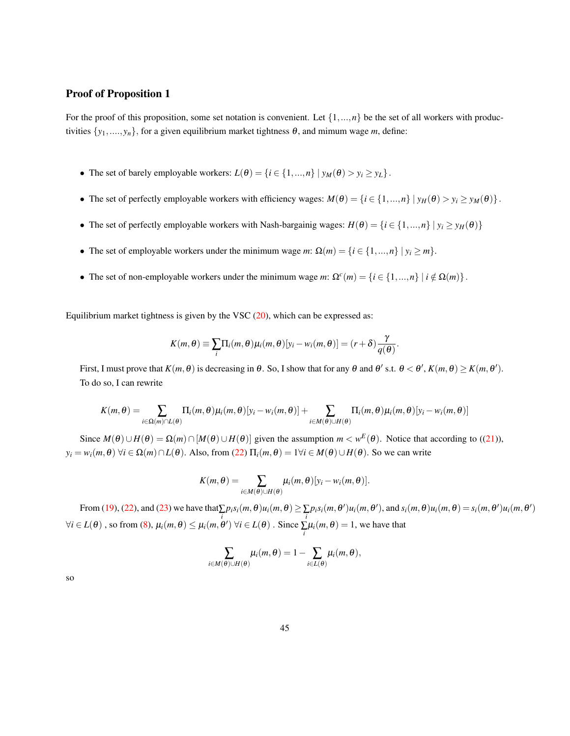## Proof of Proposition 1

For the proof of this proposition, some set notation is convenient. Let  $\{1, ..., n\}$  be the set of all workers with productivities  $\{y_1, \ldots, y_n\}$ , for a given equilibrium market tightness  $\theta$ , and mimum wage *m*, define:

- The set of barely employable workers:  $L(\theta) = \{i \in \{1, ..., n\} \mid y_M(\theta) > y_i \geq y_L\}.$
- The set of perfectly employable workers with efficiency wages:  $M(\theta) = \{i \in \{1, ..., n\} \mid y_H(\theta) > y_i \ge y_M(\theta)\}.$
- The set of perfectly employable workers with Nash-bargainig wages:  $H(\theta) = \{i \in \{1, ..., n\} \mid y_i \geq y_H(\theta)\}\$
- The set of employable workers under the minimum wage  $m: \Omega(m) = \{i \in \{1, ..., n\} \mid y_i \ge m\}$ .
- The set of non-employable workers under the minimum wage *m*:  $\Omega^c(m) = \{i \in \{1, ..., n\} \mid i \notin \Omega(m)\}.$

Equilibrium market tightness is given by the VSC  $(20)$ , which can be expressed as:

$$
K(m,\theta) \equiv \sum_i \Pi_i(m,\theta) \mu_i(m,\theta) [y_i - w_i(m,\theta)] = (r+\delta) \frac{\gamma}{q(\theta)}.
$$

First, I must prove that  $K(m, \theta)$  is decreasing in  $\theta$ . So, I show that for any  $\theta$  and  $\theta'$  s.t.  $\theta < \theta'$ ,  $K(m, \theta) \ge K(m, \theta')$ . To do so, I can rewrite

$$
K(m,\theta) = \sum_{i \in \Omega(m) \cap L(\theta)} \Pi_i(m,\theta) \mu_i(m,\theta) [y_i - w_i(m,\theta)] + \sum_{i \in M(\theta) \cup H(\theta)} \Pi_i(m,\theta) \mu_i(m,\theta) [y_i - w_i(m,\theta)]
$$

Since  $M(\theta) \cup H(\theta) = \Omega(m) \cap [M(\theta) \cup H(\theta)]$  given the assumption  $m \lt w^E(\theta)$ . Notice that according to ([\(21\)](#page-13-0)),  $y_i = w_i(m, \theta)$   $\forall i \in \Omega(m) \cap L(\theta)$ . Also, from [\(22\)](#page-13-1)  $\Pi_i(m, \theta) = 1 \forall i \in M(\theta) \cup H(\theta)$ . So we can write

$$
K(m,\theta)=\sum_{i\in M(\theta)\cup H(\theta)}\mu_i(m,\theta)[y_i-w_i(m,\theta)].
$$

From [\(19\)](#page-12-2), [\(22\)](#page-13-1), and [\(23\)](#page-13-2) we have that  $\sum_{i} p_i s_i(m, \theta) u_i(m, \theta) \ge \sum_{i} p_i s_i(m, \theta') u_i(m, \theta')$ , and  $s_i(m, \theta) u_i(m, \theta) = s_i(m, \theta') u_i(m, \theta')$  $\forall i \in L(\theta)$ , so from [\(8\)](#page-7-5),  $\mu_i(m, \theta) \leq \mu_i(m, \theta') \ \forall i \in L(\theta)$ . Since  $\sum_i \mu_i(m, \theta) = 1$ , we have that

$$
\sum_{i\in M(\theta)\cup H(\theta)}\mu_i(m,\theta)=1-\sum_{i\in L(\theta)}\mu_i(m,\theta),
$$

so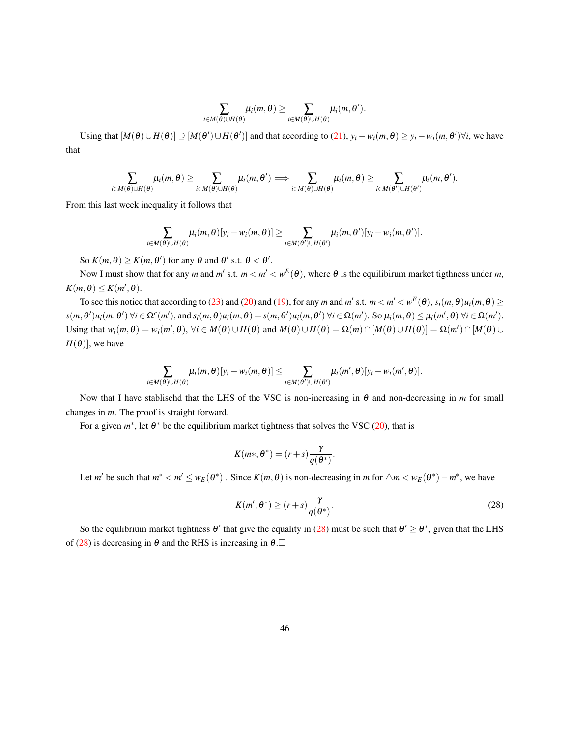$$
\sum_{i\in M(\theta)\cup H(\theta)}\mu_i(m,\theta)\geq \sum_{i\in M(\theta)\cup H(\theta)}\mu_i(m,\theta').
$$

Using that  $[M(\theta) \cup H(\theta)] \supseteq [M(\theta') \cup H(\theta')]$  and that according to [\(21\)](#page-13-0),  $y_i - w_i(m, \theta) \ge y_i - w_i(m, \theta') \forall i$ , we have that

$$
\sum_{i\in M(\theta)\cup H(\theta)}\mu_i(m,\theta)\geq \sum_{i\in M(\theta)\cup H(\theta)}\mu_i(m,\theta') \Longrightarrow \sum_{i\in M(\theta)\cup H(\theta)}\mu_i(m,\theta)\geq \sum_{i\in M(\theta')\cup H(\theta')} \mu_i(m,\theta').
$$

From this last week inequality it follows that

$$
\sum_{i\in M(\theta)\cup H(\theta)}\mu_i(m,\theta)[y_i-w_i(m,\theta)]\geq \sum_{i\in M(\theta')\cup H(\theta')}\mu_i(m,\theta')[y_i-w_i(m,\theta')].
$$

So  $K(m, \theta) \ge K(m, \theta')$  for any  $\theta$  and  $\theta'$  s.t.  $\theta < \theta'$ .

Now I must show that for any *m* and *m'* s.t.  $m < m' < w^E(\theta)$ , where  $\theta$  is the equilibirum market tigthness under *m*,  $K(m, \theta) \leq K(m', \theta).$ 

To see this notice that according to [\(23\)](#page-13-2) and [\(20\)](#page-12-1) and [\(19\)](#page-12-2), for any *m* and *m'* s.t.  $m < m' < w<sup>E</sup>(\theta)$ ,  $s<sub>i</sub>(m, \theta)u<sub>i</sub>(m, \theta) \ge$  $s(m, \theta')u_i(m, \theta')$   $\forall i \in \Omega^c(m')$ , and  $s_i(m, \theta)u_i(m, \theta) = s(m, \theta')u_i(m, \theta')$   $\forall i \in \Omega(m')$ . So  $\mu_i(m, \theta) \leq \mu_i(m', \theta)$   $\forall i \in \Omega(m')$ . Using that  $w_i(m, \theta) = w_i(m', \theta)$ ,  $\forall i \in M(\theta) \cup H(\theta)$  and  $M(\theta) \cup H(\theta) = \Omega(m) \cap [M(\theta) \cup H(\theta)] = \Omega(m') \cap [M(\theta) \cup M(\theta)]$  $H(\theta)$ ], we have

$$
\sum_{i\in M(\theta)\cup H(\theta)}\mu_i(m,\theta)[y_i-w_i(m,\theta)]\leq \sum_{i\in M(\theta')\cup H(\theta')}\mu_i(m',\theta)[y_i-w_i(m',\theta)].
$$

Now that I have stablisehd that the LHS of the VSC is non-increasing in θ and non-decreasing in *m* for small changes in *m*. The proof is straight forward.

For a given  $m^*$ , let  $\theta^*$  be the equilibrium market tightness that solves the VSC [\(20\)](#page-12-1), that is

$$
K(m*,\theta^*)=(r+s)\frac{\gamma}{q(\theta^*)}.
$$

Let *m'* be such that  $m^* < m' \le w_E(\theta^*)$ . Since  $K(m, \theta)$  is non-decreasing in *m* for  $\triangle m < w_E(\theta^*) - m^*$ , we have

<span id="page-45-0"></span>
$$
K(m', \theta^*) \ge (r+s)\frac{\gamma}{q(\theta^*)}.\tag{28}
$$

So the equlibrium market tightness  $\theta'$  that give the equality in [\(28\)](#page-45-0) must be such that  $\theta' \ge \theta^*$ , given that the LHS of [\(28\)](#page-45-0) is decreasing in  $\theta$  and the RHS is increasing in  $\theta$ .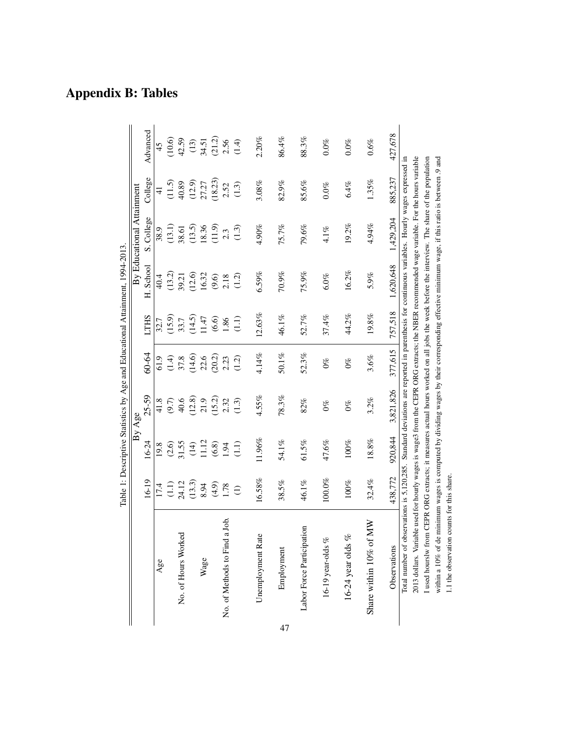|    |                                                                                                                                                                                                                                                                                                |                  |           | By Age          |                                 |             | Table 1: Descriptive Statistics by Age and Educational Attainment, 1994-2013 | By Educational Attainment |               |                  |
|----|------------------------------------------------------------------------------------------------------------------------------------------------------------------------------------------------------------------------------------------------------------------------------------------------|------------------|-----------|-----------------|---------------------------------|-------------|------------------------------------------------------------------------------|---------------------------|---------------|------------------|
|    |                                                                                                                                                                                                                                                                                                | $6 - 19$         | $16 - 24$ | $25 - 59$       | 60-64                           | <b>LTHS</b> | H. School                                                                    | S. College                | College       | Advanced         |
|    | Age                                                                                                                                                                                                                                                                                            | 17.4             | 19.8      | 41.8            | 61.9                            | 32.7        | 40.4                                                                         | 38.9                      | $\frac{4}{5}$ | 45               |
|    |                                                                                                                                                                                                                                                                                                |                  | (2.6)     | (9.7)           | (1.4)                           | (15.9)      | (13.2)                                                                       | (13.1)                    | (11.5)        | (10.6)           |
|    | No. of Hours Worked                                                                                                                                                                                                                                                                            | $(1.1)$<br>24.12 | 31.55     | 40.6            | 37.8                            | 33.7        | 39.21                                                                        | 38.61                     | 40.89         | 42.59            |
|    |                                                                                                                                                                                                                                                                                                | (13.3)           | (14)      | (12.8)          | (14.6)                          | (14.5)      | (12.6)                                                                       | (13.5)                    | (12.9)        | $(13)$           |
|    | Wage                                                                                                                                                                                                                                                                                           | 8.94             | 11.12     | 21.9            | 22.6                            | 1.47        | 16.32                                                                        | 18.36                     | 27.27         | 34.51            |
|    |                                                                                                                                                                                                                                                                                                |                  | $(6.8)$   | (15.2)          | (20.2)                          | (6.6)       | $(9.6)$                                                                      | (11.9)                    | (18.23)       |                  |
|    | a Job.<br>No. of Methods to Find                                                                                                                                                                                                                                                               | $(4.9)$<br>1.78  | 1.94      | 2.32            | 2.23                            | 1.86        | 2.18                                                                         | 2.3                       | 2.52          | $(21.2)$<br>2.56 |
|    |                                                                                                                                                                                                                                                                                                | $\ominus$        | (1.1)     | (1.3)           | (1.2)                           | (1.1)       | (1.2)                                                                        | (1.3)                     | (1.3)         | (1.4)            |
|    | Unemployment Rate                                                                                                                                                                                                                                                                              | 16.58%           | 11.96%    | 4.55%           | 4.14%                           | 12.63%      | 6.59%                                                                        | 4.90%                     | 3.08%         | 2.20%            |
| 47 | Employment                                                                                                                                                                                                                                                                                     | 38.5%            | 54.1%     | 78.3%           | 50.1%                           | 46.1%       | 70.9%                                                                        | 75.7%                     | 82.9%         | 86.4%            |
|    | Labor Force Participation                                                                                                                                                                                                                                                                      | 46.1%            | 61.5%     | 82%             | 52.3%                           | 52.7%       | 75.9%                                                                        | 79.6%                     | 85.6%         | 88.3%            |
|    | 16-19 year-olds %                                                                                                                                                                                                                                                                              | $100.0\%$        | 47.6%     | $\mathcal{O}\%$ | $\mathcal{O}_{\infty}^{\infty}$ | 37.4%       | $6.0\%$                                                                      | $4.1\%$                   | $0.0\%$       | $0.0\%$          |
|    | 16-24 year olds %                                                                                                                                                                                                                                                                              | 100%             | 100%      | $0\%$           | $0\%$                           | 44.2%       | 16.2%                                                                        | 19.2%                     | 6.4%          | $0.0\%$          |
|    | Share within 10% of MW                                                                                                                                                                                                                                                                         | 32.4%            | $18.8\%$  | 3.2%            | 3.6%                            | $19.8\%$    | 5.9%                                                                         | 4.94%                     | 1.35%         | 0.6%             |
|    | Observations                                                                                                                                                                                                                                                                                   | 438.772          | 920,844   | 3,821,826       | 377,615                         | 757,518     | 1,620,648                                                                    | 1,429,204                 | 885,237       | 427,678          |
|    | 2013 dollars. Variable used for hourly wages is wage3 from the CEPR ORG extracts; the NBER recommended wage variable. For the hours variable<br>Total number of observations is 5,120,285. Standard deviations are reported in parenthesis for continuous variables. Hourly wages expressed in |                  |           |                 |                                 |             |                                                                              |                           |               |                  |
|    | I used hourslw from CEPR ORG extracts; it measures actual hours worked on all jobs the week before the interview. The share of the population                                                                                                                                                  |                  |           |                 |                                 |             |                                                                              |                           |               |                  |
|    | within a 10% of de minimum wages is computed by dividing wages by their corresponding effective minimum wage, if this ratio is between .9 and                                                                                                                                                  |                  |           |                 |                                 |             |                                                                              |                           |               |                  |

1.1 the observation counts for this share.

1.1 the observation counts for this share.

Appendix B: Tables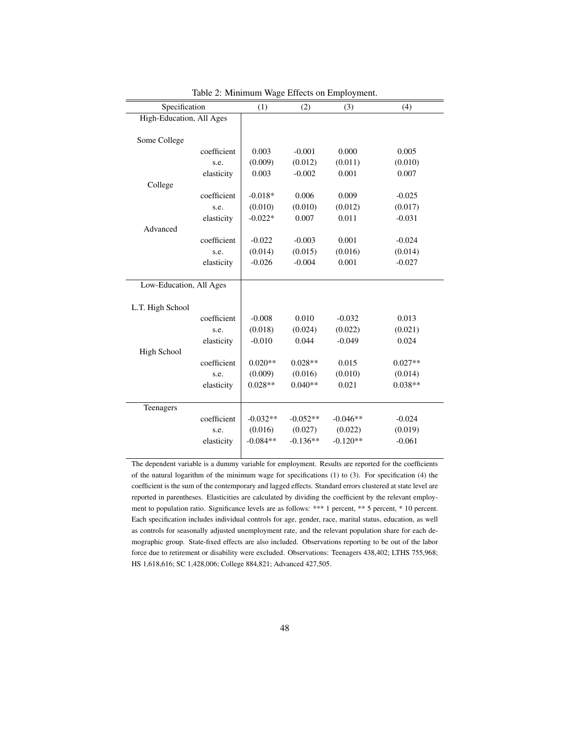|                          |             | c          |            |            |           |
|--------------------------|-------------|------------|------------|------------|-----------|
| Specification            |             | (1)        | (2)        | (3)        | (4)       |
| High-Education, All Ages |             |            |            |            |           |
|                          |             |            |            |            |           |
| Some College             |             |            |            |            |           |
|                          | coefficient | 0.003      | $-0.001$   | 0.000      | 0.005     |
|                          | s.e.        | (0.009)    | (0.012)    | (0.011)    | (0.010)   |
|                          | elasticity  | 0.003      | $-0.002$   | 0.001      | 0.007     |
| College                  |             |            |            |            |           |
|                          | coefficient | $-0.018*$  | 0.006      | 0.009      | $-0.025$  |
|                          | s.e.        | (0.010)    | (0.010)    | (0.012)    | (0.017)   |
|                          | elasticity  | $-0.022*$  | 0.007      | 0.011      | $-0.031$  |
| Advanced                 |             |            |            |            |           |
|                          | coefficient | $-0.022$   | $-0.003$   | 0.001      | $-0.024$  |
|                          | s.e.        | (0.014)    | (0.015)    | (0.016)    | (0.014)   |
|                          | elasticity  | $-0.026$   | $-0.004$   | 0.001      | $-0.027$  |
|                          |             |            |            |            |           |
| Low-Education, All Ages  |             |            |            |            |           |
|                          |             |            |            |            |           |
| L.T. High School         |             |            |            |            |           |
|                          | coefficient | $-0.008$   | 0.010      | $-0.032$   | 0.013     |
|                          | s.e.        | (0.018)    | (0.024)    | (0.022)    | (0.021)   |
|                          | elasticity  | $-0.010$   | 0.044      | $-0.049$   | 0.024     |
| High School              |             |            |            |            |           |
|                          | coefficient | $0.020**$  | $0.028**$  | 0.015      | $0.027**$ |
|                          | s.e.        | (0.009)    | (0.016)    | (0.010)    | (0.014)   |
|                          | elasticity  | $0.028**$  | $0.040**$  | 0.021      | $0.038**$ |
|                          |             |            |            |            |           |
| Teenagers                |             |            |            |            |           |
|                          | coefficient | $-0.032**$ | $-0.052**$ | $-0.046**$ | $-0.024$  |
|                          | s.e.        | (0.016)    | (0.027)    | (0.022)    | (0.019)   |
|                          | elasticity  | $-0.084**$ | $-0.136**$ | $-0.120**$ | $-0.061$  |
|                          |             |            |            |            |           |

Table 2: Minimum Wage Effects on Employment.

The dependent variable is a dummy variable for employment. Results are reported for the coefficients of the natural logarithm of the minimum wage for specifications (1) to (3). For specification (4) the coefficient is the sum of the contemporary and lagged effects. Standard errors clustered at state level are reported in parentheses. Elasticities are calculated by dividing the coefficient by the relevant employment to population ratio. Significance levels are as follows: \*\*\* 1 percent, \*\* 5 percent, \* 10 percent. Each specification includes individual controls for age, gender, race, marital status, education, as well as controls for seasonally adjusted unemployment rate, and the relevant population share for each demographic group. State-fixed effects are also included. Observations reporting to be out of the labor force due to retirement or disability were excluded. Observations: Teenagers 438,402; LTHS 755,968; HS 1,618,616; SC 1,428,006; College 884,821; Advanced 427,505.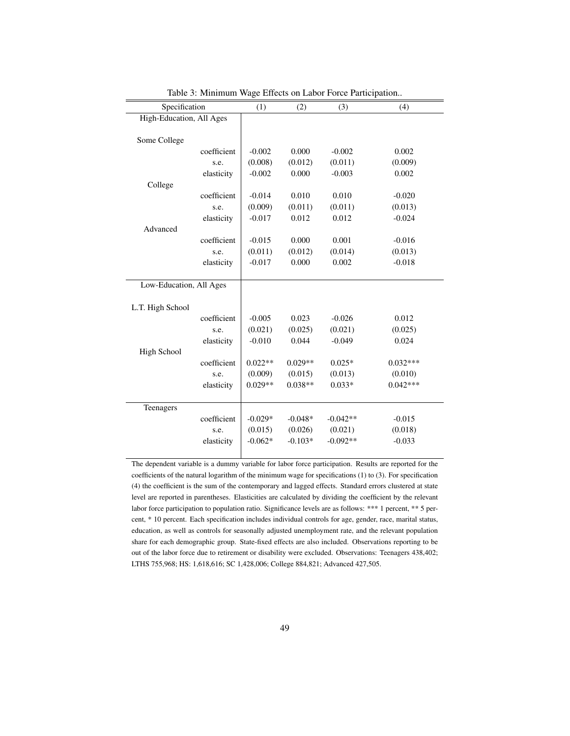| Specification            |             | (1)       | (2)       | (3)        | (4)        |
|--------------------------|-------------|-----------|-----------|------------|------------|
| High-Education, All Ages |             |           |           |            |            |
|                          |             |           |           |            |            |
| Some College             |             |           |           |            |            |
|                          | coefficient | $-0.002$  | 0.000     | $-0.002$   | 0.002      |
|                          | s.e.        | (0.008)   | (0.012)   | (0.011)    | (0.009)    |
|                          | elasticity  | $-0.002$  | 0.000     | $-0.003$   | 0.002      |
| College                  |             |           |           |            |            |
|                          | coefficient | $-0.014$  | 0.010     | 0.010      | $-0.020$   |
|                          | s.e.        | (0.009)   | (0.011)   | (0.011)    | (0.013)    |
|                          | elasticity  | $-0.017$  | 0.012     | 0.012      | $-0.024$   |
| Advanced                 |             |           |           |            |            |
|                          | coefficient | $-0.015$  | 0.000     | 0.001      | $-0.016$   |
|                          | s.e.        | (0.011)   | (0.012)   | (0.014)    | (0.013)    |
|                          | elasticity  | $-0.017$  | 0.000     | 0.002      | $-0.018$   |
|                          |             |           |           |            |            |
| Low-Education, All Ages  |             |           |           |            |            |
|                          |             |           |           |            |            |
| L.T. High School         |             |           |           |            |            |
|                          | coefficient | $-0.005$  | 0.023     | $-0.026$   | 0.012      |
|                          | s.e.        | (0.021)   | (0.025)   | (0.021)    | (0.025)    |
|                          | elasticity  | $-0.010$  | 0.044     | $-0.049$   | 0.024      |
| <b>High School</b>       |             |           |           |            |            |
|                          | coefficient | $0.022**$ | $0.029**$ | $0.025*$   | $0.032***$ |
|                          | s.e.        | (0.009)   | (0.015)   | (0.013)    | (0.010)    |
|                          | elasticity  | $0.029**$ | $0.038**$ | $0.033*$   | $0.042***$ |
|                          |             |           |           |            |            |
| Teenagers                |             |           |           |            |            |
|                          | coefficient | $-0.029*$ | $-0.048*$ | $-0.042**$ | $-0.015$   |
|                          | s.e.        | (0.015)   | (0.026)   | (0.021)    | (0.018)    |
|                          | elasticity  | $-0.062*$ | $-0.103*$ | $-0.092**$ | $-0.033$   |
|                          |             |           |           |            |            |

Table 3: Minimum Wage Effects on Labor Force Participation..

The dependent variable is a dummy variable for labor force participation. Results are reported for the coefficients of the natural logarithm of the minimum wage for specifications (1) to (3). For specification (4) the coefficient is the sum of the contemporary and lagged effects. Standard errors clustered at state level are reported in parentheses. Elasticities are calculated by dividing the coefficient by the relevant labor force participation to population ratio. Significance levels are as follows: \*\*\* 1 percent, \*\* 5 percent, \* 10 percent. Each specification includes individual controls for age, gender, race, marital status, education, as well as controls for seasonally adjusted unemployment rate, and the relevant population share for each demographic group. State-fixed effects are also included. Observations reporting to be out of the labor force due to retirement or disability were excluded. Observations: Teenagers 438,402; LTHS 755,968; HS: 1,618,616; SC 1,428,006; College 884,821; Advanced 427,505.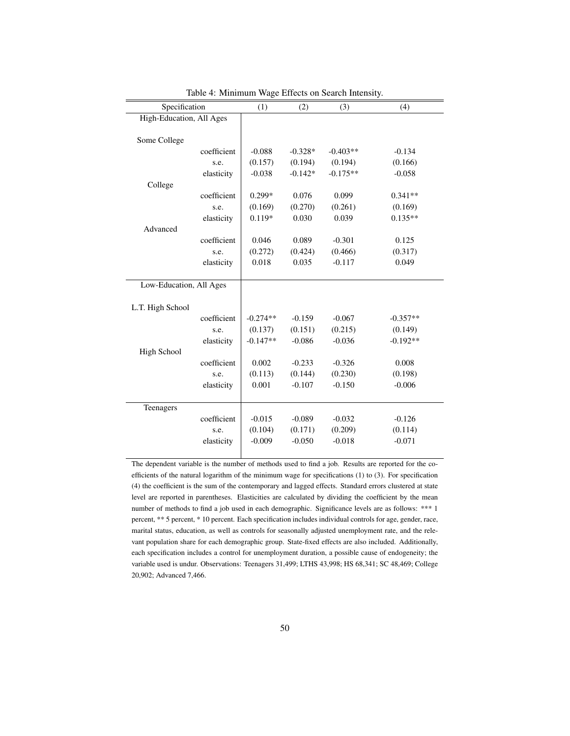| Specification            |             | (1)        | (2)       | (3)        | (4)        |
|--------------------------|-------------|------------|-----------|------------|------------|
| High-Education, All Ages |             |            |           |            |            |
|                          |             |            |           |            |            |
| Some College             |             |            |           |            |            |
|                          | coefficient | $-0.088$   | $-0.328*$ | $-0.403**$ | $-0.134$   |
|                          | s.e.        | (0.157)    | (0.194)   | (0.194)    | (0.166)    |
|                          | elasticity  | $-0.038$   | $-0.142*$ | $-0.175**$ | $-0.058$   |
| College                  |             |            |           |            |            |
|                          | coefficient | $0.299*$   | 0.076     | 0.099      | $0.341**$  |
|                          | s.e.        | (0.169)    | (0.270)   | (0.261)    | (0.169)    |
|                          | elasticity  | $0.119*$   | 0.030     | 0.039      | $0.135**$  |
| Advanced                 |             |            |           |            |            |
|                          | coefficient | 0.046      | 0.089     | $-0.301$   | 0.125      |
|                          | s.e.        | (0.272)    | (0.424)   | (0.466)    | (0.317)    |
|                          | elasticity  | 0.018      | 0.035     | $-0.117$   | 0.049      |
|                          |             |            |           |            |            |
| Low-Education, All Ages  |             |            |           |            |            |
|                          |             |            |           |            |            |
| L.T. High School         |             |            |           |            |            |
|                          | coefficient | $-0.274**$ | $-0.159$  | $-0.067$   | $-0.357**$ |
|                          | s.e.        | (0.137)    | (0.151)   | (0.215)    | (0.149)    |
|                          | elasticity  | $-0.147**$ | $-0.086$  | $-0.036$   | $-0.192**$ |
| High School              |             |            |           |            |            |
|                          | coefficient | 0.002      | $-0.233$  | $-0.326$   | 0.008      |
|                          | s.e.        | (0.113)    | (0.144)   | (0.230)    | (0.198)    |
|                          | elasticity  | 0.001      | $-0.107$  | $-0.150$   | $-0.006$   |
|                          |             |            |           |            |            |
| Teenagers                |             |            |           |            |            |
|                          | coefficient | $-0.015$   | $-0.089$  | $-0.032$   | $-0.126$   |
|                          | s.e.        | (0.104)    | (0.171)   | (0.209)    | (0.114)    |
|                          | elasticity  | $-0.009$   | $-0.050$  | $-0.018$   | $-0.071$   |
|                          |             |            |           |            |            |

Table 4: Minimum Wage Effects on Search Intensity.

The dependent variable is the number of methods used to find a job. Results are reported for the coefficients of the natural logarithm of the minimum wage for specifications (1) to (3). For specification (4) the coefficient is the sum of the contemporary and lagged effects. Standard errors clustered at state level are reported in parentheses. Elasticities are calculated by dividing the coefficient by the mean number of methods to find a job used in each demographic. Significance levels are as follows: \*\*\* 1 percent, \*\* 5 percent, \* 10 percent. Each specification includes individual controls for age, gender, race, marital status, education, as well as controls for seasonally adjusted unemployment rate, and the relevant population share for each demographic group. State-fixed effects are also included. Additionally, each specification includes a control for unemployment duration, a possible cause of endogeneity; the variable used is undur. Observations: Teenagers 31,499; LTHS 43,998; HS 68,341; SC 48,469; College 20,902; Advanced 7,466.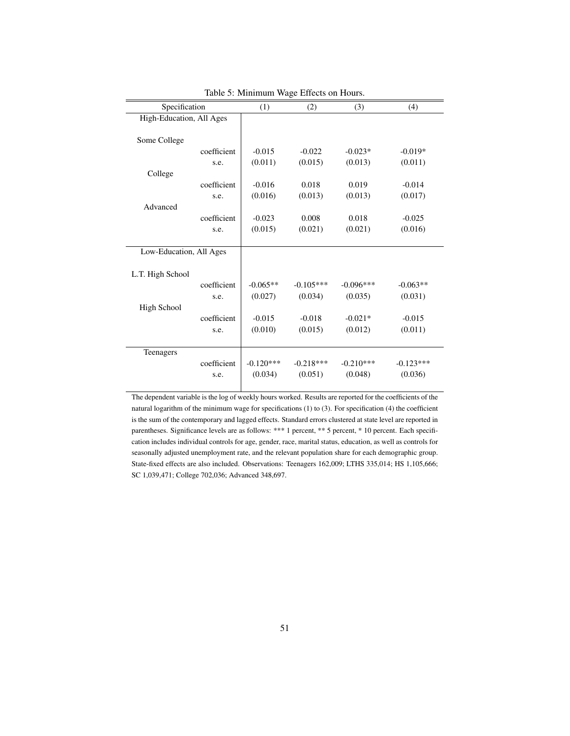| Specification            |             | (1)         | (2)         | (3)         | (4)         |
|--------------------------|-------------|-------------|-------------|-------------|-------------|
| High-Education, All Ages |             |             |             |             |             |
|                          |             |             |             |             |             |
| Some College             |             |             |             |             |             |
|                          | coefficient | $-0.015$    | $-0.022$    | $-0.023*$   | $-0.019*$   |
|                          | s.e.        | (0.011)     | (0.015)     | (0.013)     | (0.011)     |
| College                  |             |             |             |             |             |
|                          | coefficient | $-0.016$    | 0.018       | 0.019       | $-0.014$    |
|                          | s.e.        | (0.016)     | (0.013)     | (0.013)     | (0.017)     |
| Advanced                 |             |             |             |             |             |
|                          | coefficient | $-0.023$    | 0.008       | 0.018       | $-0.025$    |
|                          | s.e.        | (0.015)     | (0.021)     | (0.021)     | (0.016)     |
|                          |             |             |             |             |             |
| Low-Education, All Ages  |             |             |             |             |             |
|                          |             |             |             |             |             |
| L.T. High School         |             |             |             |             |             |
|                          | coefficient | $-0.065**$  | $-0.105***$ | $-0.096***$ | $-0.063**$  |
|                          | s.e.        | (0.027)     | (0.034)     | (0.035)     | (0.031)     |
| <b>High School</b>       |             |             |             |             |             |
|                          | coefficient | $-0.015$    | $-0.018$    | $-0.021*$   | $-0.015$    |
|                          | s.e.        | (0.010)     | (0.015)     | (0.012)     | (0.011)     |
|                          |             |             |             |             |             |
| Teenagers                |             |             |             |             |             |
|                          | coefficient | $-0.120***$ | $-0.218***$ | $-0.210***$ | $-0.123***$ |
|                          | s.e.        | (0.034)     | (0.051)     | (0.048)     | (0.036)     |
|                          |             |             |             |             |             |

Table 5: Minimum Wage Effects on Hours.

The dependent variable is the log of weekly hours worked. Results are reported for the coefficients of the natural logarithm of the minimum wage for specifications (1) to (3). For specification (4) the coefficient is the sum of the contemporary and lagged effects. Standard errors clustered at state level are reported in parentheses. Significance levels are as follows: \*\*\* 1 percent, \*\* 5 percent, \* 10 percent. Each specification includes individual controls for age, gender, race, marital status, education, as well as controls for seasonally adjusted unemployment rate, and the relevant population share for each demographic group. State-fixed effects are also included. Observations: Teenagers 162,009; LTHS 335,014; HS 1,105,666; SC 1,039,471; College 702,036; Advanced 348,697.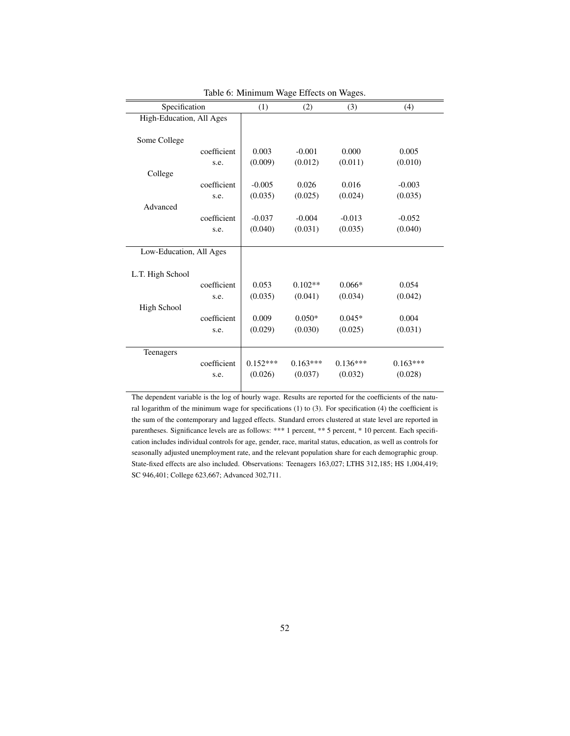| Specification            |             | (1)        | (2)        | (3)        | (4)        |
|--------------------------|-------------|------------|------------|------------|------------|
| High-Education, All Ages |             |            |            |            |            |
|                          |             |            |            |            |            |
| Some College             |             |            |            |            |            |
|                          | coefficient | 0.003      | $-0.001$   | 0.000      | 0.005      |
|                          | s.e.        | (0.009)    | (0.012)    | (0.011)    | (0.010)    |
| College                  |             |            |            |            |            |
|                          | coefficient | $-0.005$   | 0.026      | 0.016      | $-0.003$   |
|                          | s.e.        | (0.035)    | (0.025)    | (0.024)    | (0.035)    |
| Advanced                 |             |            |            |            |            |
|                          | coefficient | $-0.037$   | $-0.004$   | $-0.013$   | $-0.052$   |
|                          | s.e.        | (0.040)    | (0.031)    | (0.035)    | (0.040)    |
|                          |             |            |            |            |            |
| Low-Education, All Ages  |             |            |            |            |            |
|                          |             |            |            |            |            |
| L.T. High School         |             |            |            |            |            |
|                          | coefficient | 0.053      | $0.102**$  | $0.066*$   | 0.054      |
|                          | s.e.        | (0.035)    | (0.041)    | (0.034)    | (0.042)    |
| <b>High School</b>       |             |            |            |            |            |
|                          | coefficient | 0.009      | $0.050*$   | $0.045*$   | 0.004      |
|                          | s.e.        | (0.029)    | (0.030)    | (0.025)    | (0.031)    |
|                          |             |            |            |            |            |
| Teenagers                |             |            |            |            |            |
|                          | coefficient | $0.152***$ | $0.163***$ | $0.136***$ | $0.163***$ |
|                          | s.e.        | (0.026)    | (0.037)    | (0.032)    | (0.028)    |
|                          |             |            |            |            |            |

Table 6: Minimum Wage Effects on Wages.

The dependent variable is the log of hourly wage. Results are reported for the coefficients of the natural logarithm of the minimum wage for specifications (1) to (3). For specification (4) the coefficient is the sum of the contemporary and lagged effects. Standard errors clustered at state level are reported in parentheses. Significance levels are as follows: \*\*\* 1 percent, \*\* 5 percent, \* 10 percent. Each specification includes individual controls for age, gender, race, marital status, education, as well as controls for seasonally adjusted unemployment rate, and the relevant population share for each demographic group. State-fixed effects are also included. Observations: Teenagers 163,027; LTHS 312,185; HS 1,004,419; SC 946,401; College 623,667; Advanced 302,711.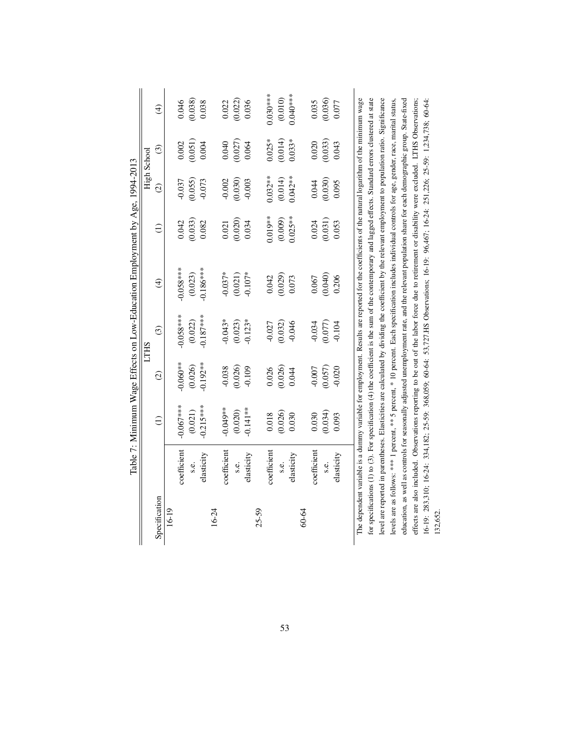|               |                |                 |           |               | Table 7: Minimum Wage Effects on Low-Education Employment by Age, 1994-2013                                                                                |                 |               |          |               |
|---------------|----------------|-----------------|-----------|---------------|------------------------------------------------------------------------------------------------------------------------------------------------------------|-----------------|---------------|----------|---------------|
|               |                |                 |           | <b>LTHS</b>   |                                                                                                                                                            |                 | High School   |          |               |
| Specification |                | $\widehat{\Xi}$ | $\odot$   | $\widehat{c}$ | $\bigoplus$                                                                                                                                                | $\widehat{\Xi}$ | $\widehat{c}$ | $\odot$  | $\widehat{t}$ |
| 16-19         |                |                 |           |               |                                                                                                                                                            |                 |               |          |               |
|               | coefficient    | $-0.067***$     | $0.060**$ | $-0.058***$   | $-0.058***$                                                                                                                                                | 0.042           | 0.037         | 0.002    | 0.046         |
|               | S.E.           | (0.021)         | (0.026)   | (0.022)       | (0.023)                                                                                                                                                    | (0.033)         | (0.055)       | (0.051)  | (0.038)       |
|               | elasticity     | $-0.215***$     | $0.192**$ | $-0.187***$   | $-0.186***$                                                                                                                                                | 0.082           | $-0.073$      | 0.004    | 0.038         |
| 16-24         |                |                 |           |               |                                                                                                                                                            |                 |               |          |               |
|               | coefficient    | $-0.049**$      | $-0.038$  | $-0.043*$     | $-0.037*$                                                                                                                                                  | 0.021           | 0.002         | 0.040    | 0.022         |
|               | $\ddot{s}$ .e. | (0.020)         | (0.026)   | (0.023)       | (0.021)                                                                                                                                                    | (0.020)         | (0.030)       | (0.027)  | (0.022)       |
|               | elasticity     | $-0.141**$      | $-0.109$  | $-0.123*$     | $-0.107*$                                                                                                                                                  | 0.034           | $-0.003$      | 0.064    | 0.036         |
| $25 - 59$     |                |                 |           |               |                                                                                                                                                            |                 |               |          |               |
|               | coefficient    | 0.018           | 0.026     | $-0.027$      | 0.042                                                                                                                                                      | $0.019**$       | $0.032**$     | $0.025*$ | $0.030***$    |
|               | s.e.           | (0.026)         | (0.026)   | (0.032)       | (0.029)                                                                                                                                                    | (0.009)         | (0.014)       | (0.014)  | (0.010)       |
|               | elasticity     | 0.030           | 0.044     | $-0.046$      | 0.073                                                                                                                                                      | $0.025**$       | $0.042**$     | $0.033*$ | $0.040***$    |
| 60-64         |                |                 |           |               |                                                                                                                                                            |                 |               |          |               |
|               | coefficient    | 0.030           | $-0.007$  | $-0.034$      | 0.067                                                                                                                                                      | 0.024           | 0.044         | 0.020    | 0.035         |
|               | s.e.           | (0.034)         | (0.057)   | (0.077)       | (0.040)                                                                                                                                                    | (0.031)         | (0.030)       | (0.033)  | (0.036)       |
|               | elasticity     | 0.093           | $-0.020$  | $-0.104$      | 0.206                                                                                                                                                      | 0.053           | 0.095         | 0.043    | 0.077         |
|               |                |                 |           |               | The dependent variable is a dummy variable for employment. Results are reported for the coefficients of the natural logarithm of the minimum wage          |                 |               |          |               |
|               |                |                 |           |               | for specifications (1) to (3). For specification (4) the coefficient is the sum of the contemporary and lagged effects. Standard errors clustered at state |                 |               |          |               |
|               |                |                 |           |               | level are reported in parentheses. Elasticities are calculated by dividing the coefficient by the relevant employment to population ratio. Significance    |                 |               |          |               |
|               |                |                 |           |               | levels are as follows: **** 1 percent, *** 5 percent, * 10 percent. Each specification includes individual controls for age, gender, race, marital status, |                 |               |          |               |
|               |                |                 |           |               | education, as well as controls for seasonally adjusted unemployment rate, and the relevant population share for each demographic group. State-fixed        |                 |               |          |               |
|               |                |                 |           |               | effects are also included. Observations reporting to be out of the labor force due to retirement or disability were excluded. LTHS Observations;           |                 |               |          |               |
|               |                |                 |           |               | 16-19: 283,310; 16-24: 334,182; 25-59: 368,059; 60-64: 53,727.HS Observations; 16-19: 96,467; 16-24: 251,226; 25-59: 1,234,738; 60-64;                     |                 |               |          |               |
| 132,652       |                |                 |           |               |                                                                                                                                                            |                 |               |          |               |

53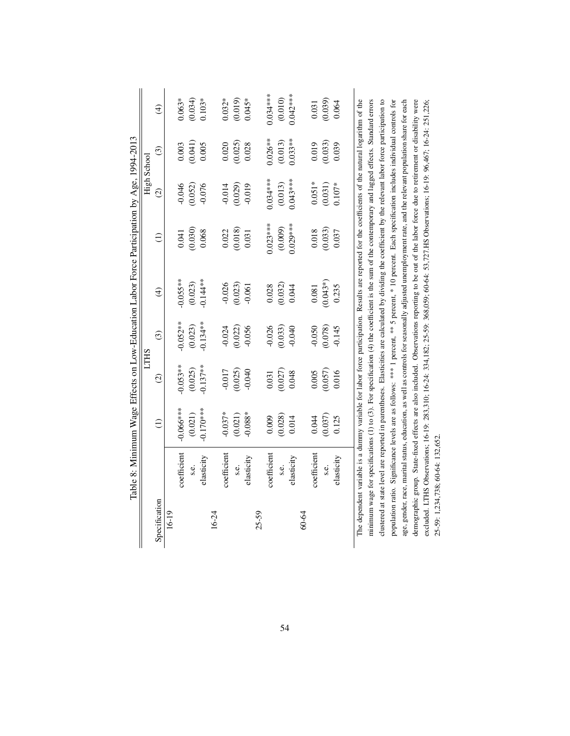|               |             |             |             |               |                         | Table 8: Minimum Wage Effects on Low-Education Labor Force Participation by Age, 1994-2013                                                                 |               |               |                         |
|---------------|-------------|-------------|-------------|---------------|-------------------------|------------------------------------------------------------------------------------------------------------------------------------------------------------|---------------|---------------|-------------------------|
|               |             |             | <b>LTHS</b> |               |                         |                                                                                                                                                            | High School   |               |                         |
| Specification |             | $\ominus$   | $\odot$     | $\widehat{c}$ | $\widehat{\mathcal{F}}$ | $\widehat{\Xi}$                                                                                                                                            | $\widehat{c}$ | $\widehat{c}$ | $\widehat{\mathcal{F}}$ |
| 16-19         |             |             |             |               |                         |                                                                                                                                                            |               |               |                         |
|               | coefficient | $-0.066***$ | $-0.053**$  | $0.052**$     | $-0.055**$              | 0.041                                                                                                                                                      | $-0.046$      | 0.003         | $0.063*$                |
|               | s.e.        | (0.021)     | (0.025)     | (0.023)       | (0.023)                 | (0.030)                                                                                                                                                    | (0.052)       | (0.041)       | (0.034)                 |
|               | elasticity  | $-0.170***$ | $-0.137**$  | $-0.134**$    | $-0.144**$              | 0.068                                                                                                                                                      | $-0.076$      | 0.005         | $0.103*$                |
| 16-24         |             |             |             |               |                         |                                                                                                                                                            |               |               |                         |
|               | coefficient | $-0.037*$   | $-0.017$    | $-0.024$      | $-0.026$                | 0.022                                                                                                                                                      | $-0.014$      | 0.020         | $0.032*$                |
|               | S.E.        | (0.021)     | (0.025)     | (0.022)       | (0.023)                 | (0.018)                                                                                                                                                    | (0.029)       | (0.025)       | (0.019)                 |
|               | elasticity  | $-0.088*$   | $-0.040$    | $-0.056$      | $-0.061$                | 0.031                                                                                                                                                      | $-0.019$      | 0.028         | $0.045*$                |
| $25 - 59$     |             |             |             |               |                         |                                                                                                                                                            |               |               |                         |
|               | coefficient | 0.009       | 0.031       | $-0.026$      | 0.028                   | $0.023***$                                                                                                                                                 | 0.034***      | $0.026**$     | $0.034***$              |
|               | s.e.        | (0.028)     | (0.027)     | (0.033)       | (0.032)                 | (0.009)                                                                                                                                                    | (0.013)       | (0.013)       | (0.010)                 |
|               | elasticity  | 0.014       | 0.048       | $-0.040$      | 0.044                   | $0.029***$                                                                                                                                                 | $0.043***$    | $0.033**$     | $0.042***$              |
| 60-64         |             |             |             |               |                         |                                                                                                                                                            |               |               |                         |
|               | coefficient | 0.044       | 0.005       | $-0.050$      | 0.081                   | 0.018                                                                                                                                                      | $0.051*$      | 0.019         | 0.031                   |
|               | s.e.        | (0.037)     | (0.057)     | (0.078)       | $(0.043*)$              | (0.033)                                                                                                                                                    | (0.031)       | (0.033)       | (0.039)                 |
|               | elasticity  | 0.125       | 0.016       | $-0.145$      | 0.235                   | 0.037                                                                                                                                                      | $0.107*$      | 0.039         | 0.064                   |
|               |             |             |             |               |                         | The dependent variable is a dummy variable for labor force participation. Results are reported for the coefficients of the natural logarithm of the        |               |               |                         |
|               |             |             |             |               |                         | minimum wage for specifications (1) to (3). For specification (4) the coefficient is the sum of the contemporary and lagged effects. Standard errors       |               |               |                         |
|               |             |             |             |               |                         | clustered at state level are reported in parentheses. Elasticities are calculated by dividing the coefficient by the relevant labor force participation to |               |               |                         |
|               |             |             |             |               |                         | population ratio. Significance levels are as follows: *** 1 percent, ** 5 percent, * 10 percent. Each specification includes individual controls for       |               |               |                         |
|               |             |             |             |               |                         | age, gender, race, marital status, education, as well as controls for seasonally adjusted unemployment rate, and the relevant population share for each    |               |               |                         |
|               |             |             |             |               |                         | demographic group. State-fixed effects are also included. Observations reporting to be out of the labor force due to retirement or disability were         |               |               |                         |
|               |             |             |             |               |                         | excluded. LTHS Observations; 16-19: 283,310; 16-24: 334,182; 25-59: 368,059; 60-64: 33,727.HS Observations; 16-19: 96,467; 16-24: 251,226;                 |               |               |                         |

25-59: 1,234,738; 60-64: 132,652.

25-59: 1,234,738; 60-64: 132,652.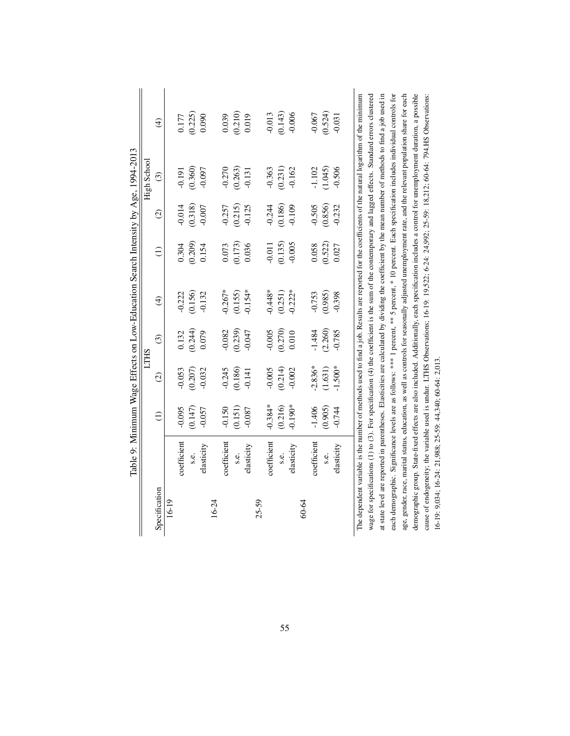|               |                                                          |               |                    |                         |               |                 |                   | Table 9: Minimum Wage Effects on Low-Education Search Intensity by Age, 1994-2013 |                                                                                                                                                         |
|---------------|----------------------------------------------------------|---------------|--------------------|-------------------------|---------------|-----------------|-------------------|-----------------------------------------------------------------------------------|---------------------------------------------------------------------------------------------------------------------------------------------------------|
|               |                                                          |               |                    | <b>LTHS</b>             |               |                 |                   | High School                                                                       |                                                                                                                                                         |
| Specification |                                                          | $\widehat{E}$ | $\widehat{\infty}$ | $\widehat{\mathcal{C}}$ | $\widehat{t}$ | $\widehat{\Xi}$ | $\widehat{\circ}$ | $\widehat{c}$                                                                     | $\widehat{t}$                                                                                                                                           |
| 16-19         |                                                          |               |                    |                         |               |                 |                   |                                                                                   |                                                                                                                                                         |
|               | coefficient                                              | $-0.095$      | 0.053              | 0.132                   | $-0.222$      | 0.304           | $-0.014$          | $-0.191$                                                                          | 0.177                                                                                                                                                   |
|               | s.e.                                                     | (0.147)       | (0.207)            | (0.244)                 | (0.156)       | (0.209)         | (0.318)           | (0.360)                                                                           | (0.225)                                                                                                                                                 |
|               | elasticity                                               | $-0.057$      | $-0.032$           | 0.079                   | $-0.132$      | 0.154           | $-0.007$          | $-0.097$                                                                          | 0.090                                                                                                                                                   |
| 16-24         |                                                          |               |                    |                         |               |                 |                   |                                                                                   |                                                                                                                                                         |
|               | coefficient                                              | $-0.150$      | $-0.245$           | 0.082                   | $-0.267*$     | 0.073           | $-0.257$          | $-0.270$                                                                          | 0.039                                                                                                                                                   |
|               | s.e.                                                     | (0.151)       | (0.186)            | (0.239)                 | (0.155)       | (0.173)         | (0.215)           | (0.263)                                                                           | (0.210)                                                                                                                                                 |
|               | elasticity                                               | $-0.087$      | $-0.141$           | $-0.047$                | $-0.154*$     | 0.036           | $-0.125$          | $-0.131$                                                                          | 0.019                                                                                                                                                   |
| $25 - 59$     |                                                          |               |                    |                         |               |                 |                   |                                                                                   |                                                                                                                                                         |
|               | coefficient                                              | $-0.384*$     | $-0.005$           | $-0.005$                | $-0.448*$     | $-0.011$        | $-0.244$          | $-0.363$                                                                          | $-0.013$                                                                                                                                                |
|               | s.e.                                                     | (0.216)       | (0.214)            | (0.270)                 | (0.251)       | (0.135)         | (0.186)           | (0.231)                                                                           | (0.143)                                                                                                                                                 |
|               | elasticity                                               | $0.190*$      | $-0.002$           | 0.010                   | $-0.222*$     | $-0.005$        | $-0.109$          | $-0.162$                                                                          | $-0.006$                                                                                                                                                |
| 60-64         |                                                          |               |                    |                         |               |                 |                   |                                                                                   |                                                                                                                                                         |
|               | coefficient                                              | $-1.406$      | $-2.836*$          | $-1.484$                | $-0.753$      | 0.058           | $-0.505$          | $-1.102$                                                                          | $-0.067$                                                                                                                                                |
|               | s.e.                                                     | (0.905)       | (1.631)            | (2.260)                 | (0.985)       | (0.522)         | (0.856)           | (1.045)                                                                           | (0.524)                                                                                                                                                 |
|               | elasticity                                               | $-0.744$      | $-1.500*$          | $-0.785$                | $-0.398$      | 0.027           | $-0.232$          | $-0.506$                                                                          | $-0.031$                                                                                                                                                |
|               |                                                          |               |                    |                         |               |                 |                   |                                                                                   | The dependent variable is the number of methods used to find a job. Results are reported for the coefficients of the natural logarithm of the minimum   |
|               |                                                          |               |                    |                         |               |                 |                   |                                                                                   | wage for specifications (1) to (3). For specification (4) the coefficient is the sum of the contemporary and lagged effects. Standard errors clustered  |
|               |                                                          |               |                    |                         |               |                 |                   |                                                                                   | at state level are reported in parentheses. Elasticities are calculated by dividing the coefficient by the mean number of methods to find a job used in |
|               |                                                          |               |                    |                         |               |                 |                   |                                                                                   | each demographic. Significance levels are as follows: *** I percent, ** 5 percent, * 10 percent. Each specification includes individual controls for    |
|               |                                                          |               |                    |                         |               |                 |                   |                                                                                   | age, gender, race, marital status, education, as well as controls for seasonally adjusted unemployment rate, and the relevant population share for each |
|               |                                                          |               |                    |                         |               |                 |                   |                                                                                   | demographic group. State-fixed effects are also included. Additionally, each specification includes a control for unemployment duration, a possible     |
|               |                                                          |               |                    |                         |               |                 |                   |                                                                                   | cause of endogeneity; the variable used is undur. LTHS Observations; 16-19: 19,522; 6-24: 24,992; 25-59: 18,212; 60-64: 794.HS Observations:            |
|               | 16-19: 9,034; 16-24: 21,988; 25-59: 44,340; 60-64: 2,013 |               |                    |                         |               |                 |                   |                                                                                   |                                                                                                                                                         |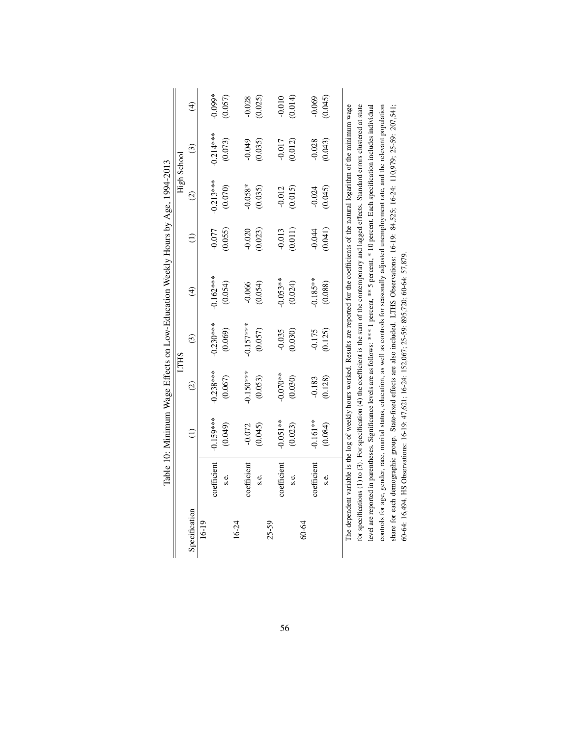|               |             |                 |               |             | Table 10: Minimum Wage Effects on Low-Education Weekly Hours by Age, 1994-2013                                                                             |          |               |                         |               |
|---------------|-------------|-----------------|---------------|-------------|------------------------------------------------------------------------------------------------------------------------------------------------------------|----------|---------------|-------------------------|---------------|
|               |             |                 |               | <b>LTHS</b> |                                                                                                                                                            |          |               | High School             |               |
| Specification |             | $\widehat{\Xi}$ | $\widehat{c}$ | $\odot$     | $\widehat{\mathcal{F}}$                                                                                                                                    |          | $\widehat{c}$ | $\widehat{\mathcal{C}}$ | $\widehat{t}$ |
| 16-19         |             |                 |               |             |                                                                                                                                                            |          |               |                         |               |
|               | coefficient | $-0.159***$     | $-0.238***$   | $-0.230***$ | $-0.162***$                                                                                                                                                | $-0.077$ | $-0.213***$   | $-0.214***$             | $0.099*$      |
|               | s.e.        | (0.049)         | (0.067)       | (0.069)     | (0.054)                                                                                                                                                    | (0.055)  | (0.070)       | (0.073)                 | (0.057)       |
| 16-24         |             |                 |               |             |                                                                                                                                                            |          |               |                         |               |
|               | coefficient | $-0.072$        | $0.150***$    | $-0.157***$ | $-0.066$                                                                                                                                                   | $-0.020$ | $-0.058*$     | $-0.049$                | $-0.028$      |
|               | S.C.        | (0.045)         | (0.053)       | (0.057)     | (0.054)                                                                                                                                                    | (0.023)  | (0.035)       | (0.035)                 | (0.025)       |
| $25 - 59$     |             |                 |               |             |                                                                                                                                                            |          |               |                         |               |
|               | coefficient | $-0.051**$      | $-0.070**$    | $-0.035$    | $-0.053**$                                                                                                                                                 | $-0.013$ | $-0.012$      | $-0.017$                | $-0.010$      |
|               | s.e.        | (0.023)         | (0.030)       | (0.030)     | (0.024)                                                                                                                                                    | (0.011)  | (0.015)       | (0.012)                 | (0.014)       |
| 60-64         |             |                 |               |             |                                                                                                                                                            |          |               |                         |               |
|               | coefficient | $0.161**$       | $-0.183$      | $-0.175$    | $-0.185**$                                                                                                                                                 | $-0.044$ | $-0.024$      | $-0.028$                | $-0.069$      |
|               | s.e.        | (0.084)         | (0.128)       | (0.125)     | (0.088)                                                                                                                                                    | (0.041)  | (0.045)       | (0.043)                 | (0.045)       |
|               |             |                 |               |             |                                                                                                                                                            |          |               |                         |               |
|               |             |                 |               |             | The dependent variable is the log of weekly hours worked. Results are reported for the coefficients of the natural logarithm of the minimum wage           |          |               |                         |               |
|               |             |                 |               |             | for specifications (1) to (3). For specification (4) the coefficient is the sum of the contemporary and lagged effects. Standard errors clustered at state |          |               |                         |               |
|               |             |                 |               |             | level are reported in parentheses. Significance levels are as follows: *** 1 percent, *** 5 percent, * 10 percent. Each specification includes individual  |          |               |                         |               |
|               |             |                 |               |             | controls for age, gender, race, marital status, education, as well as controls for seasonally adjusted unemployment rate, and the relevant population      |          |               |                         |               |
|               |             |                 |               |             | share for each demographic group. State-fixed effects are also included. LTHS Observations: 16-19: 84,525; 16-24: 110,979; 25-39: 207,541;                 |          |               |                         |               |

60-64: 16,494. HS Observations: 16-19: 47,621; 16-24: 152,067; 25-59: 895,720; 60-64: 57,879.

60-64: 16,494. HS Observations: 16-19: 47,621; 16-24: 152,067; 25-59: 895,720; 60-64: 57,879.

56